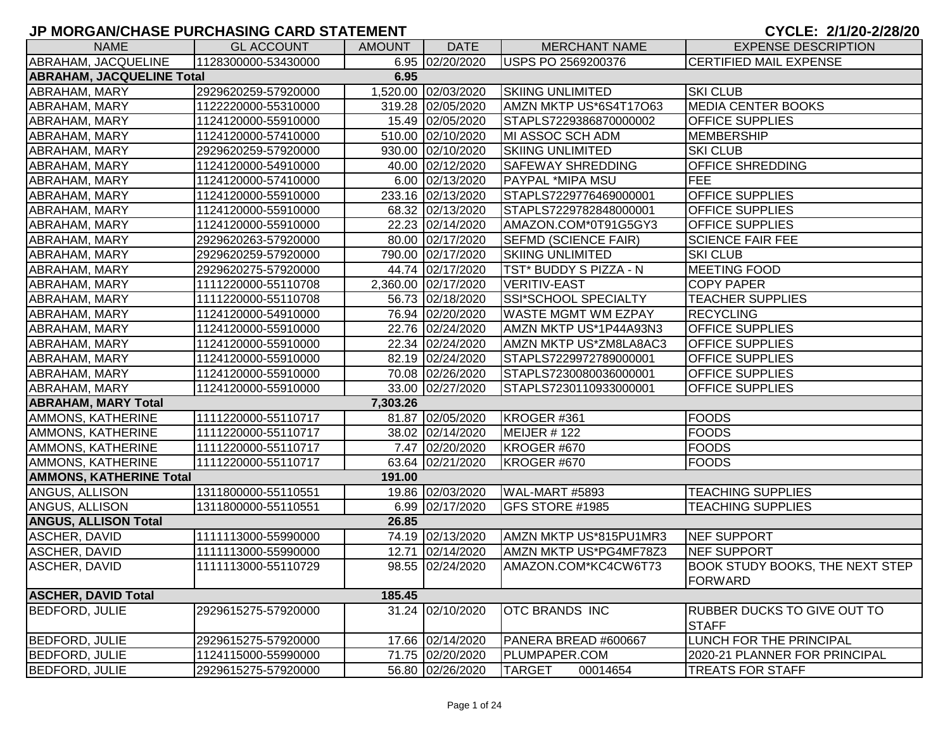| <b>NAME</b>                              | <b>GL ACCOUNT</b>   | <b>AMOUNT</b> | <b>DATE</b>         | <b>MERCHANT NAME</b>        | <b>EXPENSE DESCRIPTION</b>             |  |  |  |
|------------------------------------------|---------------------|---------------|---------------------|-----------------------------|----------------------------------------|--|--|--|
| ABRAHAM, JACQUELINE                      | 1128300000-53430000 |               | 6.95 02/20/2020     | USPS PO 2569200376          | <b>CERTIFIED MAIL EXPENSE</b>          |  |  |  |
| <b>ABRAHAM, JACQUELINE Total</b><br>6.95 |                     |               |                     |                             |                                        |  |  |  |
| ABRAHAM, MARY                            | 2929620259-57920000 |               | 1,520.00 02/03/2020 | <b>SKIING UNLIMITED</b>     | <b>SKI CLUB</b>                        |  |  |  |
| ABRAHAM, MARY                            | 1122220000-55310000 |               | 319.28 02/05/2020   | AMZN MKTP US*6S4T17O63      | <b>MEDIA CENTER BOOKS</b>              |  |  |  |
| ABRAHAM, MARY                            | 1124120000-55910000 |               | 15.49 02/05/2020    | STAPLS7229386870000002      | <b>OFFICE SUPPLIES</b>                 |  |  |  |
| ABRAHAM, MARY                            | 1124120000-57410000 |               | 510.00 02/10/2020   | MI ASSOC SCH ADM            | MEMBERSHIP                             |  |  |  |
| ABRAHAM, MARY                            | 2929620259-57920000 |               | 930.00 02/10/2020   | <b>SKIING UNLIMITED</b>     | <b>SKI CLUB</b>                        |  |  |  |
| ABRAHAM, MARY                            | 1124120000-54910000 |               | 40.00 02/12/2020    | <b>SAFEWAY SHREDDING</b>    | <b>OFFICE SHREDDING</b>                |  |  |  |
| ABRAHAM, MARY                            | 1124120000-57410000 |               | 6.00 02/13/2020     | <b>PAYPAL *MIPA MSU</b>     | <b>FEE</b>                             |  |  |  |
| ABRAHAM, MARY                            | 1124120000-55910000 |               | 233.16 02/13/2020   | STAPLS7229776469000001      | <b>OFFICE SUPPLIES</b>                 |  |  |  |
| <b>ABRAHAM, MARY</b>                     | 1124120000-55910000 |               | 68.32 02/13/2020    | STAPLS7229782848000001      | <b>OFFICE SUPPLIES</b>                 |  |  |  |
| ABRAHAM, MARY                            | 1124120000-55910000 |               | 22.23 02/14/2020    | AMAZON.COM*0T91G5GY3        | <b>OFFICE SUPPLIES</b>                 |  |  |  |
| ABRAHAM, MARY                            | 2929620263-57920000 |               | 80.00 02/17/2020    | <b>SEFMD (SCIENCE FAIR)</b> | <b>SCIENCE FAIR FEE</b>                |  |  |  |
| <b>ABRAHAM, MARY</b>                     | 2929620259-57920000 |               | 790.00 02/17/2020   | <b>SKIING UNLIMITED</b>     | <b>SKI CLUB</b>                        |  |  |  |
| <b>ABRAHAM, MARY</b>                     | 2929620275-57920000 |               | 44.74 02/17/2020    | TST* BUDDY S PIZZA - N      | <b>MEETING FOOD</b>                    |  |  |  |
| <b>ABRAHAM, MARY</b>                     | 1111220000-55110708 |               | 2,360.00 02/17/2020 | <b>VERITIV-EAST</b>         | <b>COPY PAPER</b>                      |  |  |  |
| ABRAHAM, MARY                            | 1111220000-55110708 |               | 56.73 02/18/2020    | SSI*SCHOOL SPECIALTY        | <b>TEACHER SUPPLIES</b>                |  |  |  |
| <b>ABRAHAM, MARY</b>                     | 1124120000-54910000 |               | 76.94 02/20/2020    | <b>WASTE MGMT WM EZPAY</b>  | <b>RECYCLING</b>                       |  |  |  |
| ABRAHAM, MARY                            | 1124120000-55910000 |               | 22.76 02/24/2020    | AMZN MKTP US*1P44A93N3      | <b>OFFICE SUPPLIES</b>                 |  |  |  |
| ABRAHAM, MARY                            | 1124120000-55910000 |               | 22.34 02/24/2020    | AMZN MKTP US*ZM8LA8AC3      | <b>OFFICE SUPPLIES</b>                 |  |  |  |
| ABRAHAM, MARY                            | 1124120000-55910000 |               | 82.19 02/24/2020    | STAPLS7229972789000001      | <b>OFFICE SUPPLIES</b>                 |  |  |  |
| ABRAHAM, MARY                            | 1124120000-55910000 |               | 70.08 02/26/2020    | STAPLS7230080036000001      | <b>OFFICE SUPPLIES</b>                 |  |  |  |
| ABRAHAM, MARY                            | 1124120000-55910000 |               | 33.00 02/27/2020    | STAPLS7230110933000001      | <b>OFFICE SUPPLIES</b>                 |  |  |  |
| <b>ABRAHAM, MARY Total</b>               |                     | 7,303.26      |                     |                             |                                        |  |  |  |
| <b>AMMONS, KATHERINE</b>                 | 1111220000-55110717 |               | 81.87 02/05/2020    | KROGER #361                 | <b>FOODS</b>                           |  |  |  |
| <b>AMMONS, KATHERINE</b>                 | 1111220000-55110717 |               | 38.02 02/14/2020    | MEIJER #122                 | <b>FOODS</b>                           |  |  |  |
| <b>AMMONS, KATHERINE</b>                 | 1111220000-55110717 |               | 7.47 02/20/2020     | KROGER #670                 | <b>FOODS</b>                           |  |  |  |
| AMMONS, KATHERINE                        | 1111220000-55110717 |               | 63.64 02/21/2020    | KROGER #670                 | <b>FOODS</b>                           |  |  |  |
| <b>AMMONS, KATHERINE Total</b>           |                     | 191.00        |                     |                             |                                        |  |  |  |
| ANGUS, ALLISON                           | 1311800000-55110551 |               | 19.86 02/03/2020    | WAL-MART #5893              | <b>TEACHING SUPPLIES</b>               |  |  |  |
| <b>ANGUS, ALLISON</b>                    | 1311800000-55110551 |               | 6.99 02/17/2020     | <b>GFS STORE #1985</b>      | <b>TEACHING SUPPLIES</b>               |  |  |  |
| <b>ANGUS, ALLISON Total</b>              |                     | 26.85         |                     |                             |                                        |  |  |  |
| ASCHER, DAVID                            | 1111113000-55990000 |               | 74.19 02/13/2020    | AMZN MKTP US*815PU1MR3      | <b>NEF SUPPORT</b>                     |  |  |  |
| ASCHER, DAVID                            | 1111113000-55990000 |               | 12.71 02/14/2020    | AMZN MKTP US*PG4MF78Z3      | <b>NEF SUPPORT</b>                     |  |  |  |
| ASCHER, DAVID                            | 1111113000-55110729 |               | 98.55 02/24/2020    | AMAZON.COM*KC4CW6T73        | <b>BOOK STUDY BOOKS, THE NEXT STEP</b> |  |  |  |
|                                          |                     |               |                     |                             | FORWARD                                |  |  |  |
| <b>ASCHER, DAVID Total</b>               |                     | 185.45        |                     |                             |                                        |  |  |  |
| <b>BEDFORD, JULIE</b>                    | 2929615275-57920000 |               | 31.24 02/10/2020    | <b>OTC BRANDS INC</b>       | <b>RUBBER DUCKS TO GIVE OUT TO</b>     |  |  |  |
|                                          |                     |               |                     |                             | <b>STAFF</b>                           |  |  |  |
| <b>BEDFORD, JULIE</b>                    | 2929615275-57920000 |               | 17.66 02/14/2020    | PANERA BREAD #600667        | <b>LUNCH FOR THE PRINCIPAL</b>         |  |  |  |
| <b>BEDFORD, JULIE</b>                    | 1124115000-55990000 |               | 71.75 02/20/2020    | PLUMPAPER.COM               | 2020-21 PLANNER FOR PRINCIPAL          |  |  |  |
| <b>BEDFORD, JULIE</b>                    | 2929615275-57920000 |               | 56.80 02/26/2020    | <b>TARGET</b><br>00014654   | <b>TREATS FOR STAFF</b>                |  |  |  |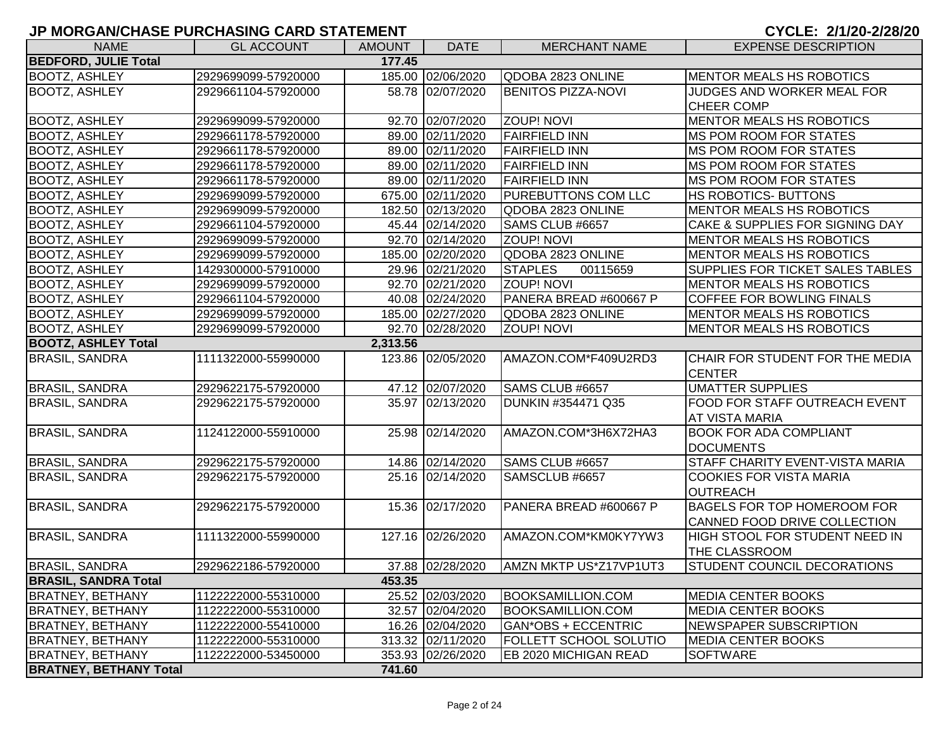| <b>NAME</b>                   | <b>GL ACCOUNT</b>   | <b>AMOUNT</b> | <b>DATE</b>       | <b>MERCHANT NAME</b>       | <b>EXPENSE DESCRIPTION</b>         |
|-------------------------------|---------------------|---------------|-------------------|----------------------------|------------------------------------|
| <b>BEDFORD, JULIE Total</b>   |                     | 177.45        |                   |                            |                                    |
| <b>BOOTZ, ASHLEY</b>          | 2929699099-57920000 |               | 185.00 02/06/2020 | QDOBA 2823 ONLINE          | MENTOR MEALS HS ROBOTICS           |
| <b>BOOTZ, ASHLEY</b>          | 2929661104-57920000 |               | 58.78 02/07/2020  | <b>BENITOS PIZZA-NOVI</b>  | JUDGES AND WORKER MEAL FOR         |
|                               |                     |               |                   |                            | <b>CHEER COMP</b>                  |
| <b>BOOTZ, ASHLEY</b>          | 2929699099-57920000 |               | 92.70 02/07/2020  | <b>ZOUP! NOVI</b>          | MENTOR MEALS HS ROBOTICS           |
| <b>BOOTZ, ASHLEY</b>          | 2929661178-57920000 |               | 89.00 02/11/2020  | <b>FAIRFIELD INN</b>       | <b>MS POM ROOM FOR STATES</b>      |
| <b>BOOTZ, ASHLEY</b>          | 2929661178-57920000 |               | 89.00 02/11/2020  | <b>FAIRFIELD INN</b>       | <b>MS POM ROOM FOR STATES</b>      |
| <b>BOOTZ, ASHLEY</b>          | 2929661178-57920000 |               | 89.00 02/11/2020  | <b>FAIRFIELD INN</b>       | <b>MS POM ROOM FOR STATES</b>      |
| <b>BOOTZ, ASHLEY</b>          | 2929661178-57920000 |               | 89.00 02/11/2020  | <b>FAIRFIELD INN</b>       | MS POM ROOM FOR STATES             |
| <b>BOOTZ, ASHLEY</b>          | 2929699099-57920000 |               | 675.00 02/11/2020 | PUREBUTTONS COM LLC        | HS ROBOTICS- BUTTONS               |
| <b>BOOTZ, ASHLEY</b>          | 2929699099-57920000 |               | 182.50 02/13/2020 | QDOBA 2823 ONLINE          | <b>MENTOR MEALS HS ROBOTICS</b>    |
| <b>BOOTZ, ASHLEY</b>          | 2929661104-57920000 |               | 45.44 02/14/2020  | SAMS CLUB #6657            | CAKE & SUPPLIES FOR SIGNING DAY    |
| <b>BOOTZ, ASHLEY</b>          | 2929699099-57920000 |               | 92.70 02/14/2020  | <b>ZOUP! NOVI</b>          | <b>MENTOR MEALS HS ROBOTICS</b>    |
| <b>BOOTZ, ASHLEY</b>          | 2929699099-57920000 |               | 185.00 02/20/2020 | QDOBA 2823 ONLINE          | <b>MENTOR MEALS HS ROBOTICS</b>    |
| <b>BOOTZ, ASHLEY</b>          | 1429300000-57910000 |               | 29.96 02/21/2020  | <b>STAPLES</b><br>00115659 | SUPPLIES FOR TICKET SALES TABLES   |
| <b>BOOTZ, ASHLEY</b>          | 2929699099-57920000 |               | 92.70 02/21/2020  | <b>ZOUP! NOVI</b>          | MENTOR MEALS HS ROBOTICS           |
| <b>BOOTZ, ASHLEY</b>          | 2929661104-57920000 |               | 40.08 02/24/2020  | PANERA BREAD #600667 P     | <b>COFFEE FOR BOWLING FINALS</b>   |
| <b>BOOTZ, ASHLEY</b>          | 2929699099-57920000 |               | 185.00 02/27/2020 | QDOBA 2823 ONLINE          | MENTOR MEALS HS ROBOTICS           |
| <b>BOOTZ, ASHLEY</b>          | 2929699099-57920000 |               | 92.70 02/28/2020  | <b>ZOUP! NOVI</b>          | MENTOR MEALS HS ROBOTICS           |
| <b>BOOTZ, ASHLEY Total</b>    |                     | 2,313.56      |                   |                            |                                    |
| <b>BRASIL, SANDRA</b>         | 1111322000-55990000 |               | 123.86 02/05/2020 | AMAZON.COM*F409U2RD3       | CHAIR FOR STUDENT FOR THE MEDIA    |
|                               |                     |               |                   |                            | <b>CENTER</b>                      |
| <b>BRASIL, SANDRA</b>         | 2929622175-57920000 |               | 47.12 02/07/2020  | SAMS CLUB #6657            | <b>UMATTER SUPPLIES</b>            |
| <b>BRASIL, SANDRA</b>         | 2929622175-57920000 |               | 35.97 02/13/2020  | DUNKIN #354471 Q35         | FOOD FOR STAFF OUTREACH EVENT      |
|                               |                     |               |                   |                            | AT VISTA MARIA                     |
| <b>BRASIL, SANDRA</b>         | 1124122000-55910000 |               | 25.98 02/14/2020  | AMAZON.COM*3H6X72HA3       | <b>BOOK FOR ADA COMPLIANT</b>      |
|                               |                     |               |                   |                            | <b>DOCUMENTS</b>                   |
| <b>BRASIL, SANDRA</b>         | 2929622175-57920000 |               | 14.86 02/14/2020  | SAMS CLUB #6657            | STAFF CHARITY EVENT-VISTA MARIA    |
| <b>BRASIL, SANDRA</b>         | 2929622175-57920000 |               | 25.16 02/14/2020  | SAMSCLUB #6657             | <b>COOKIES FOR VISTA MARIA</b>     |
|                               |                     |               |                   |                            | <b>OUTREACH</b>                    |
| <b>BRASIL, SANDRA</b>         | 2929622175-57920000 |               | 15.36 02/17/2020  | PANERA BREAD #600667 P     | <b>BAGELS FOR TOP HOMEROOM FOR</b> |
|                               |                     |               |                   |                            | CANNED FOOD DRIVE COLLECTION       |
| <b>BRASIL, SANDRA</b>         | 1111322000-55990000 |               | 127.16 02/26/2020 | AMAZON.COM*KM0KY7YW3       | HIGH STOOL FOR STUDENT NEED IN     |
|                               |                     |               |                   |                            | <b>THE CLASSROOM</b>               |
| <b>BRASIL, SANDRA</b>         | 2929622186-57920000 |               | 37.88 02/28/2020  | AMZN MKTP US*Z17VP1UT3     | <b>STUDENT COUNCIL DECORATIONS</b> |
| <b>BRASIL, SANDRA Total</b>   |                     | 453.35        |                   |                            |                                    |
| <b>BRATNEY, BETHANY</b>       | 1122222000-55310000 |               | 25.52 02/03/2020  | <b>BOOKSAMILLION.COM</b>   | <b>MEDIA CENTER BOOKS</b>          |
| <b>BRATNEY, BETHANY</b>       | 1122222000-55310000 |               | 32.57 02/04/2020  | <b>BOOKSAMILLION.COM</b>   | <b>MEDIA CENTER BOOKS</b>          |
| <b>BRATNEY, BETHANY</b>       | 1122222000-55410000 |               | 16.26 02/04/2020  | GAN*OBS + ECCENTRIC        | <b>NEWSPAPER SUBSCRIPTION</b>      |
| <b>BRATNEY, BETHANY</b>       | 1122222000-55310000 |               | 313.32 02/11/2020 | FOLLETT SCHOOL SOLUTIO     | <b>MEDIA CENTER BOOKS</b>          |
| <b>BRATNEY, BETHANY</b>       | 1122222000-53450000 |               | 353.93 02/26/2020 | EB 2020 MICHIGAN READ      | <b>SOFTWARE</b>                    |
| <b>BRATNEY, BETHANY Total</b> |                     | 741.60        |                   |                            |                                    |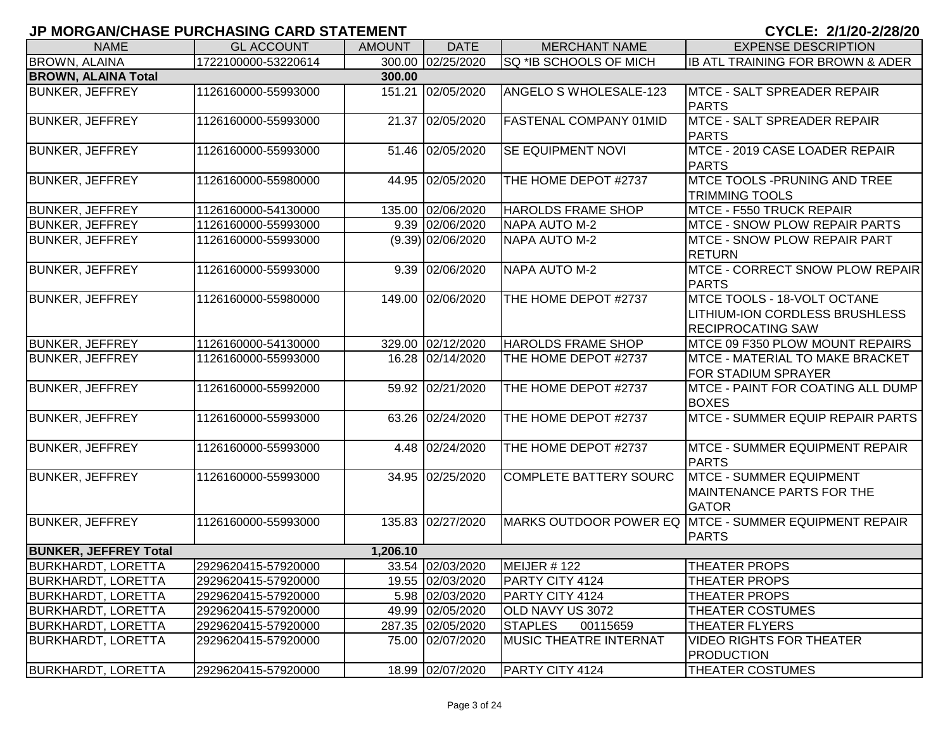| <b>NAME</b>                  | <b>GL ACCOUNT</b>   | <b>AMOUNT</b> | <b>DATE</b>         | <b>MERCHANT NAME</b>           | <b>EXPENSE DESCRIPTION</b>                                                                              |
|------------------------------|---------------------|---------------|---------------------|--------------------------------|---------------------------------------------------------------------------------------------------------|
| BROWN, ALAINA                | 1722100000-53220614 |               | 300.00 02/25/2020   | SQ *IB SCHOOLS OF MICH         | IB ATL TRAINING FOR BROWN & ADER                                                                        |
| <b>BROWN, ALAINA Total</b>   |                     | 300.00        |                     |                                |                                                                                                         |
| <b>BUNKER, JEFFREY</b>       | 1126160000-55993000 |               | 151.21 02/05/2020   | ANGELO S WHOLESALE-123         | MTCE - SALT SPREADER REPAIR<br><b>PARTS</b>                                                             |
| <b>BUNKER, JEFFREY</b>       | 1126160000-55993000 |               | 21.37 02/05/2020    | <b>FASTENAL COMPANY 01MID</b>  | MTCE - SALT SPREADER REPAIR<br><b>PARTS</b>                                                             |
| <b>BUNKER, JEFFREY</b>       | 1126160000-55993000 |               | 51.46 02/05/2020    | SE EQUIPMENT NOVI              | MTCE - 2019 CASE LOADER REPAIR<br><b>PARTS</b>                                                          |
| <b>BUNKER, JEFFREY</b>       | 1126160000-55980000 |               | 44.95 02/05/2020    | THE HOME DEPOT #2737           | MTCE TOOLS -PRUNING AND TREE<br><b>TRIMMING TOOLS</b>                                                   |
| <b>BUNKER, JEFFREY</b>       | 1126160000-54130000 |               | 135.00 02/06/2020   | <b>HAROLDS FRAME SHOP</b>      | MTCE - F550 TRUCK REPAIR                                                                                |
| <b>BUNKER, JEFFREY</b>       | 1126160000-55993000 |               | 9.39 02/06/2020     | <b>NAPA AUTO M-2</b>           | <b>MTCE - SNOW PLOW REPAIR PARTS</b>                                                                    |
| <b>BUNKER, JEFFREY</b>       | 1126160000-55993000 |               | $(9.39)$ 02/06/2020 | <b>NAPA AUTO M-2</b>           | <b>MTCE - SNOW PLOW REPAIR PART</b><br><b>RETURN</b>                                                    |
| <b>BUNKER, JEFFREY</b>       | 1126160000-55993000 |               | 9.39 02/06/2020     | <b>NAPA AUTO M-2</b>           | MTCE - CORRECT SNOW PLOW REPAIR<br>PARTS                                                                |
| <b>BUNKER, JEFFREY</b>       | 1126160000-55980000 |               | 149.00 02/06/2020   | THE HOME DEPOT #2737           | <b>MTCE TOOLS - 18-VOLT OCTANE</b><br><b>LITHIUM-ION CORDLESS BRUSHLESS</b><br><b>RECIPROCATING SAW</b> |
| <b>BUNKER, JEFFREY</b>       | 1126160000-54130000 |               | 329.00 02/12/2020   | <b>HAROLDS FRAME SHOP</b>      | MTCE 09 F350 PLOW MOUNT REPAIRS                                                                         |
| <b>BUNKER, JEFFREY</b>       | 1126160000-55993000 |               | 16.28 02/14/2020    | THE HOME DEPOT #2737           | MTCE - MATERIAL TO MAKE BRACKET<br><b>FOR STADIUM SPRAYER</b>                                           |
| <b>BUNKER, JEFFREY</b>       | 1126160000-55992000 |               | 59.92 02/21/2020    | THE HOME DEPOT #2737           | <b>MTCE - PAINT FOR COATING ALL DUMP</b><br><b>BOXES</b>                                                |
| <b>BUNKER, JEFFREY</b>       | 1126160000-55993000 |               | 63.26 02/24/2020    | THE HOME DEPOT #2737           | <b>MTCE - SUMMER EQUIP REPAIR PARTS</b>                                                                 |
| <b>BUNKER, JEFFREY</b>       | 1126160000-55993000 |               | 4.48 02/24/2020     | THE HOME DEPOT #2737           | <b>MTCE - SUMMER EQUIPMENT REPAIR</b><br>PARTS                                                          |
| <b>BUNKER, JEFFREY</b>       | 1126160000-55993000 |               | 34.95 02/25/2020    | <b>COMPLETE BATTERY SOURC</b>  | <b>MTCE - SUMMER EQUIPMENT</b><br>MAINTENANCE PARTS FOR THE<br><b>GATOR</b>                             |
| <b>BUNKER, JEFFREY</b>       | 1126160000-55993000 |               | 135.83 02/27/2020   |                                | MARKS OUTDOOR POWER EQ MTCE - SUMMER EQUIPMENT REPAIR<br><b>PARTS</b>                                   |
| <b>BUNKER, JEFFREY Total</b> |                     | 1,206.10      |                     |                                |                                                                                                         |
| <b>BURKHARDT, LORETTA</b>    | 2929620415-57920000 |               | 33.54 02/03/2020    | MEIJER #122                    | <b>THEATER PROPS</b>                                                                                    |
| <b>BURKHARDT, LORETTA</b>    | 2929620415-57920000 |               | 19.55 02/03/2020    | <b>PARTY CITY 4124</b>         | <b>THEATER PROPS</b>                                                                                    |
| <b>BURKHARDT, LORETTA</b>    | 2929620415-57920000 |               | 5.98 02/03/2020     | PARTY CITY 4124                | THEATER PROPS                                                                                           |
| <b>BURKHARDT, LORETTA</b>    | 2929620415-57920000 |               | 49.99 02/05/2020    | OLD NAVY US 3072               | THEATER COSTUMES                                                                                        |
| <b>BURKHARDT, LORETTA</b>    | 2929620415-57920000 |               | 287.35 02/05/2020   | <b>STAPLES</b><br>00115659     | THEATER FLYERS                                                                                          |
| <b>BURKHARDT, LORETTA</b>    | 2929620415-57920000 |               | 75.00 02/07/2020    | <b>IMUSIC THEATRE INTERNAT</b> | <b>VIDEO RIGHTS FOR THEATER</b><br><b>PRODUCTION</b>                                                    |
| <b>BURKHARDT, LORETTA</b>    | 2929620415-57920000 |               | 18.99 02/07/2020    | <b>PARTY CITY 4124</b>         | <b>THEATER COSTUMES</b>                                                                                 |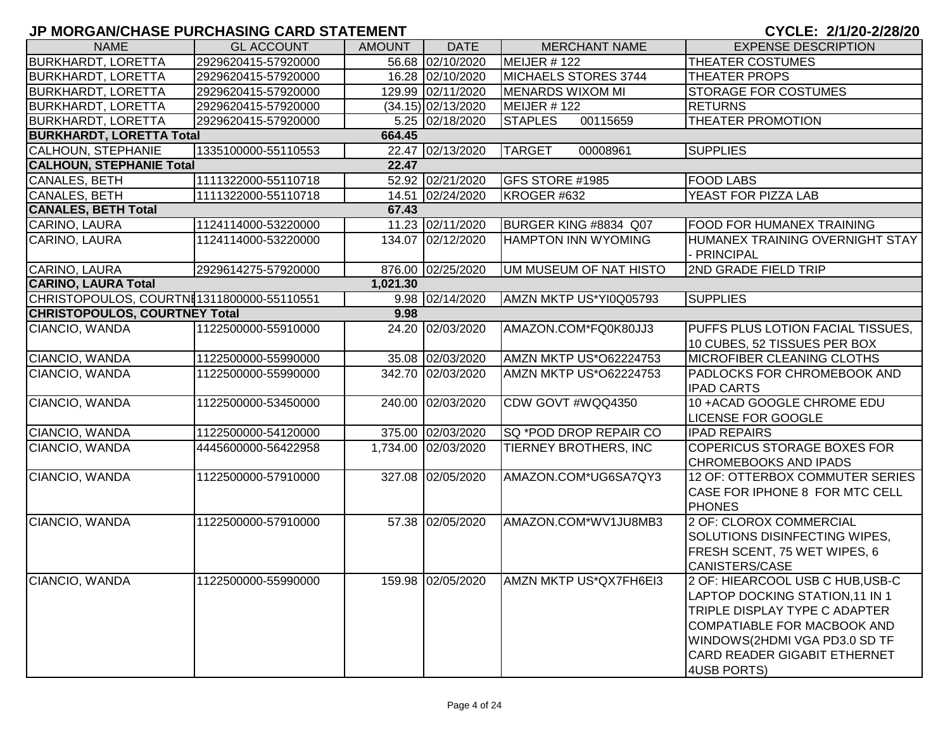|                                           |                     |               |                      |                               | $9.9221$ $4.129$ $4.492$                                                                                                                                                                                            |
|-------------------------------------------|---------------------|---------------|----------------------|-------------------------------|---------------------------------------------------------------------------------------------------------------------------------------------------------------------------------------------------------------------|
| <b>NAME</b>                               | <b>GL ACCOUNT</b>   | <b>AMOUNT</b> | <b>DATE</b>          | <b>MERCHANT NAME</b>          | <b>EXPENSE DESCRIPTION</b>                                                                                                                                                                                          |
| <b>BURKHARDT, LORETTA</b>                 | 2929620415-57920000 |               | 56.68 02/10/2020     | MEIJER # 122                  | THEATER COSTUMES                                                                                                                                                                                                    |
| <b>BURKHARDT, LORETTA</b>                 | 2929620415-57920000 |               | 16.28 02/10/2020     | MICHAELS STORES 3744          | <b>THEATER PROPS</b>                                                                                                                                                                                                |
| <b>BURKHARDT, LORETTA</b>                 | 2929620415-57920000 |               | 129.99 02/11/2020    | MENARDS WIXOM MI              | <b>STORAGE FOR COSTUMES</b>                                                                                                                                                                                         |
| <b>BURKHARDT, LORETTA</b>                 | 2929620415-57920000 |               | $(34.15)$ 02/13/2020 | MEIJER # 122                  | <b>RETURNS</b>                                                                                                                                                                                                      |
| <b>BURKHARDT, LORETTA</b>                 | 2929620415-57920000 |               | 5.25 02/18/2020      | 00115659<br><b>STAPLES</b>    | <b>THEATER PROMOTION</b>                                                                                                                                                                                            |
| <b>BURKHARDT, LORETTA Total</b>           |                     | 664.45        |                      |                               |                                                                                                                                                                                                                     |
| <b>CALHOUN, STEPHANIE</b>                 | 1335100000-55110553 |               | 22.47 02/13/2020     | <b>TARGET</b><br>00008961     | <b>SUPPLIES</b>                                                                                                                                                                                                     |
| <b>CALHOUN, STEPHANIE Total</b>           |                     | 22.47         |                      |                               |                                                                                                                                                                                                                     |
| <b>CANALES, BETH</b>                      | 1111322000-55110718 |               | 52.92 02/21/2020     | GFS STORE #1985               | <b>FOOD LABS</b>                                                                                                                                                                                                    |
| <b>CANALES, BETH</b>                      | 1111322000-55110718 |               | 14.51 02/24/2020     | KROGER #632                   | YEAST FOR PIZZA LAB                                                                                                                                                                                                 |
| <b>CANALES, BETH Total</b>                |                     | 67.43         |                      |                               |                                                                                                                                                                                                                     |
| CARINO, LAURA                             | 1124114000-53220000 |               | 11.23 02/11/2020     | BURGER KING #8834 Q07         | <b>FOOD FOR HUMANEX TRAINING</b>                                                                                                                                                                                    |
| CARINO, LAURA                             | 1124114000-53220000 |               | 134.07 02/12/2020    | <b>HAMPTON INN WYOMING</b>    | HUMANEX TRAINING OVERNIGHT STAY<br>- PRINCIPAL                                                                                                                                                                      |
| CARINO, LAURA                             | 2929614275-57920000 |               | 876.00 02/25/2020    | UM MUSEUM OF NAT HISTO        | 2ND GRADE FIELD TRIP                                                                                                                                                                                                |
| <b>CARINO, LAURA Total</b>                |                     | 1,021.30      |                      |                               |                                                                                                                                                                                                                     |
| CHRISTOPOULOS, COURTNE1311800000-55110551 |                     |               | 9.98 02/14/2020      | AMZN MKTP US*YI0Q05793        | <b>SUPPLIES</b>                                                                                                                                                                                                     |
| <b>CHRISTOPOULOS, COURTNEY Total</b>      |                     | 9.98          |                      |                               |                                                                                                                                                                                                                     |
| CIANCIO, WANDA                            | 1122500000-55910000 |               | 24.20 02/03/2020     | AMAZON.COM*FQ0K80JJ3          | PUFFS PLUS LOTION FACIAL TISSUES,<br>10 CUBES, 52 TISSUES PER BOX                                                                                                                                                   |
| CIANCIO, WANDA                            | 1122500000-55990000 |               | 35.08 02/03/2020     | AMZN MKTP US*O62224753        | <b>MICROFIBER CLEANING CLOTHS</b>                                                                                                                                                                                   |
| CIANCIO, WANDA                            | 1122500000-55990000 |               | 342.70 02/03/2020    | <b>AMZN MKTP US*O62224753</b> | <b>PADLOCKS FOR CHROMEBOOK AND</b>                                                                                                                                                                                  |
|                                           |                     |               |                      |                               | <b>IPAD CARTS</b>                                                                                                                                                                                                   |
| CIANCIO, WANDA                            | 1122500000-53450000 |               | 240.00 02/03/2020    | CDW GOVT #WQQ4350             | 10 + ACAD GOOGLE CHROME EDU                                                                                                                                                                                         |
|                                           |                     |               |                      |                               | <b>LICENSE FOR GOOGLE</b>                                                                                                                                                                                           |
| CIANCIO, WANDA                            | 1122500000-54120000 |               | 375.00 02/03/2020    | SQ *POD DROP REPAIR CO        | <b>IPAD REPAIRS</b>                                                                                                                                                                                                 |
| CIANCIO, WANDA                            | 4445600000-56422958 |               | 1,734.00 02/03/2020  | TIERNEY BROTHERS, INC         | <b>COPERICUS STORAGE BOXES FOR</b>                                                                                                                                                                                  |
|                                           |                     |               |                      |                               | <b>CHROMEBOOKS AND IPADS</b>                                                                                                                                                                                        |
| CIANCIO, WANDA                            | 1122500000-57910000 |               | 327.08 02/05/2020    | AMAZON.COM*UG6SA7QY3          | 12 OF: OTTERBOX COMMUTER SERIES<br>CASE FOR IPHONE 8 FOR MTC CELL                                                                                                                                                   |
|                                           |                     |               |                      |                               | <b>PHONES</b>                                                                                                                                                                                                       |
| CIANCIO, WANDA                            | 1122500000-57910000 |               | 57.38 02/05/2020     | AMAZON.COM*WV1JU8MB3          | 2 OF: CLOROX COMMERCIAL<br>SOLUTIONS DISINFECTING WIPES,<br>FRESH SCENT, 75 WET WIPES, 6<br><b>CANISTERS/CASE</b>                                                                                                   |
| CIANCIO, WANDA                            | 1122500000-55990000 |               | 159.98 02/05/2020    | AMZN MKTP US*QX7FH6EI3        | 2 OF: HIEARCOOL USB C HUB, USB-C<br>LAPTOP DOCKING STATION, 11 IN 1<br>TRIPLE DISPLAY TYPE C ADAPTER<br>COMPATIABLE FOR MACBOOK AND<br>WINDOWS(2HDMI VGA PD3.0 SD TF<br>CARD READER GIGABIT ETHERNET<br>4USB PORTS) |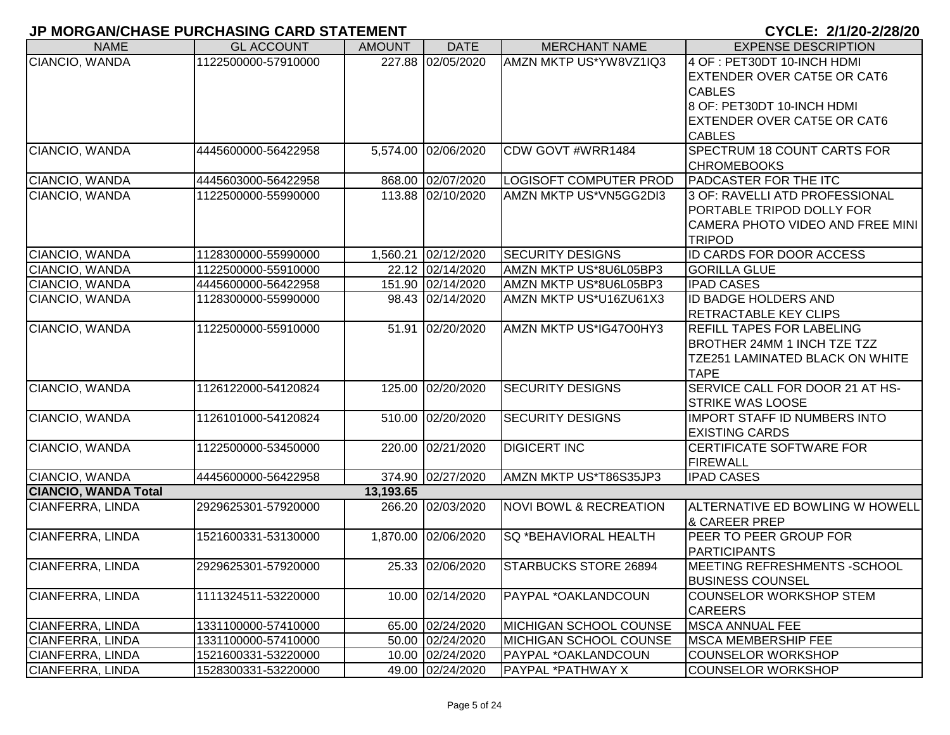| <b>NAME</b>                      | <b>GL ACCOUNT</b>   | <b>AMOUNT</b> | <b>DATE</b>         | <b>MERCHANT NAME</b>                                    | <b>EXPENSE DESCRIPTION</b>                                  |
|----------------------------------|---------------------|---------------|---------------------|---------------------------------------------------------|-------------------------------------------------------------|
| CIANCIO, WANDA                   | 1122500000-57910000 |               | 227.88 02/05/2020   | AMZN MKTP US*YW8VZ1IQ3                                  | 4 OF : PET30DT 10-INCH HDMI                                 |
|                                  |                     |               |                     |                                                         | <b>EXTENDER OVER CAT5E OR CAT6</b>                          |
|                                  |                     |               |                     |                                                         | <b>CABLES</b>                                               |
|                                  |                     |               |                     |                                                         | 8 OF: PET30DT 10-INCH HDMI                                  |
|                                  |                     |               |                     |                                                         | <b>EXTENDER OVER CAT5E OR CAT6</b>                          |
|                                  |                     |               |                     |                                                         | <b>CABLES</b>                                               |
| CIANCIO, WANDA                   | 4445600000-56422958 |               | 5,574.00 02/06/2020 | CDW GOVT #WRR1484                                       | <b>SPECTRUM 18 COUNT CARTS FOR</b>                          |
|                                  |                     |               | 868.00 02/07/2020   |                                                         | <b>CHROMEBOOKS</b><br><b>PADCASTER FOR THE ITC</b>          |
| CIANCIO, WANDA<br>CIANCIO, WANDA | 4445603000-56422958 |               | 113.88 02/10/2020   | <b>LOGISOFT COMPUTER PROD</b><br>AMZN MKTP US*VN5GG2DI3 |                                                             |
|                                  | 1122500000-55990000 |               |                     |                                                         | 3 OF: RAVELLI ATD PROFESSIONAL<br>PORTABLE TRIPOD DOLLY FOR |
|                                  |                     |               |                     |                                                         | CAMERA PHOTO VIDEO AND FREE MINI                            |
|                                  |                     |               |                     |                                                         | <b>TRIPOD</b>                                               |
| CIANCIO, WANDA                   | 1128300000-55990000 |               | 1,560.21 02/12/2020 | <b>SECURITY DESIGNS</b>                                 | ID CARDS FOR DOOR ACCESS                                    |
| CIANCIO, WANDA                   | 1122500000-55910000 |               | 22.12 02/14/2020    | AMZN MKTP US*8U6L05BP3                                  | <b>GORILLA GLUE</b>                                         |
| CIANCIO, WANDA                   | 4445600000-56422958 |               | 151.90 02/14/2020   | AMZN MKTP US*8U6L05BP3                                  | <b>IPAD CASES</b>                                           |
| CIANCIO, WANDA                   | 1128300000-55990000 |               | 98.43 02/14/2020    | AMZN MKTP US*U16ZU61X3                                  | <b>ID BADGE HOLDERS AND</b>                                 |
|                                  |                     |               |                     |                                                         | <b>RETRACTABLE KEY CLIPS</b>                                |
| CIANCIO, WANDA                   | 1122500000-55910000 |               | 51.91 02/20/2020    | AMZN MKTP US*IG47O0HY3                                  | <b>REFILL TAPES FOR LABELING</b>                            |
|                                  |                     |               |                     |                                                         | <b>BROTHER 24MM 1 INCH TZE TZZ</b>                          |
|                                  |                     |               |                     |                                                         | TZE251 LAMINATED BLACK ON WHITE                             |
|                                  |                     |               |                     |                                                         | <b>TAPE</b>                                                 |
| CIANCIO, WANDA                   | 1126122000-54120824 |               | 125.00 02/20/2020   | <b>SECURITY DESIGNS</b>                                 | SERVICE CALL FOR DOOR 21 AT HS-                             |
|                                  |                     |               |                     |                                                         | <b>STRIKE WAS LOOSE</b>                                     |
| CIANCIO, WANDA                   | 1126101000-54120824 |               | 510.00 02/20/2020   | <b>SECURITY DESIGNS</b>                                 | IMPORT STAFF ID NUMBERS INTO                                |
|                                  |                     |               |                     |                                                         | <b>EXISTING CARDS</b>                                       |
| CIANCIO, WANDA                   | 1122500000-53450000 |               | 220.00 02/21/2020   | <b>DIGICERT INC</b>                                     | <b>CERTIFICATE SOFTWARE FOR</b>                             |
|                                  |                     |               |                     |                                                         | <b>FIREWALL</b>                                             |
| CIANCIO, WANDA                   | 4445600000-56422958 |               | 374.90 02/27/2020   | AMZN MKTP US*T86S35JP3                                  | <b>IPAD CASES</b>                                           |
| <b>CIANCIO, WANDA Total</b>      |                     | 13,193.65     |                     |                                                         |                                                             |
| CIANFERRA, LINDA                 | 2929625301-57920000 |               | 266.20 02/03/2020   | <b>NOVI BOWL &amp; RECREATION</b>                       | ALTERNATIVE ED BOWLING W HOWELL<br><b>&amp; CAREER PREP</b> |
| CIANFERRA, LINDA                 | 1521600331-53130000 |               | 1,870.00 02/06/2020 | <b>SQ *BEHAVIORAL HEALTH</b>                            | <b>IPEER TO PEER GROUP FOR</b>                              |
|                                  |                     |               |                     |                                                         | <b>PARTICIPANTS</b>                                         |
| CIANFERRA, LINDA                 | 2929625301-57920000 |               | 25.33 02/06/2020    | STARBUCKS STORE 26894                                   | MEETING REFRESHMENTS -SCHOOL                                |
|                                  |                     |               |                     |                                                         | <b>BUSINESS COUNSEL</b>                                     |
| CIANFERRA, LINDA                 | 1111324511-53220000 |               | 10.00 02/14/2020    | PAYPAL *OAKLANDCOUN                                     | <b>COUNSELOR WORKSHOP STEM</b>                              |
|                                  |                     |               |                     |                                                         | <b>CAREERS</b>                                              |
| CIANFERRA, LINDA                 | 1331100000-57410000 |               | 65.00 02/24/2020    | MICHIGAN SCHOOL COUNSE                                  | <b>MSCA ANNUAL FEE</b>                                      |
| CIANFERRA, LINDA                 | 1331100000-57410000 |               | 50.00 02/24/2020    | <b>MICHIGAN SCHOOL COUNSE</b>                           | <b>MSCA MEMBERSHIP FEE</b>                                  |
| CIANFERRA, LINDA                 | 1521600331-53220000 |               | 10.00 02/24/2020    | PAYPAL *OAKLANDCOUN                                     | <b>COUNSELOR WORKSHOP</b>                                   |
| CIANFERRA, LINDA                 | 1528300331-53220000 |               | 49.00 02/24/2020    | PAYPAL *PATHWAY X                                       | <b>COUNSELOR WORKSHOP</b>                                   |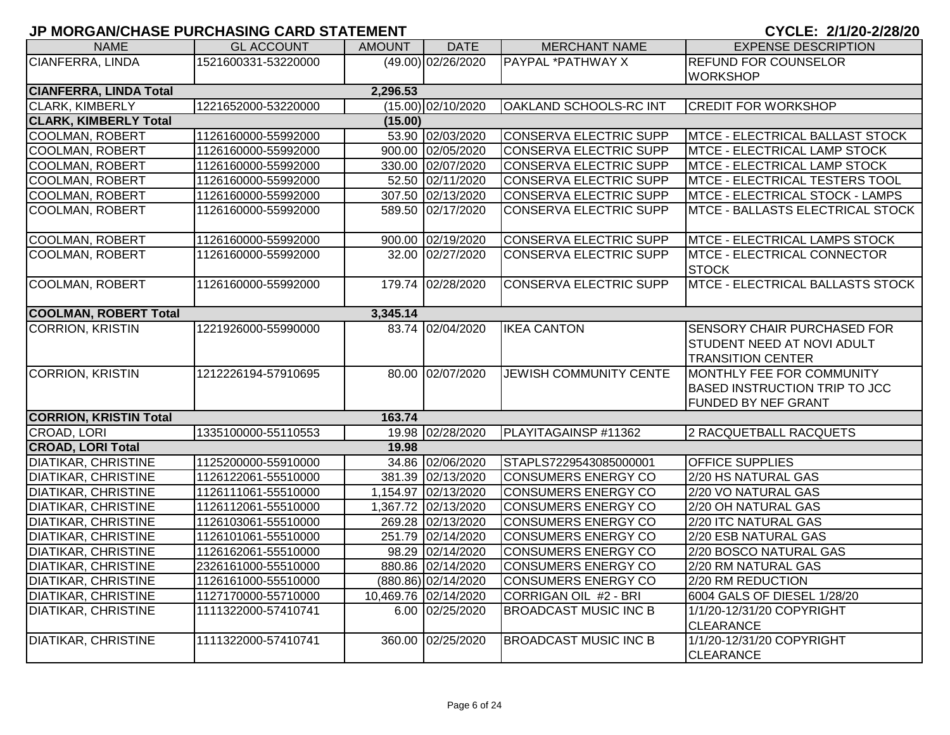| <b>NAME</b>                   | <b>GL ACCOUNT</b>   | <b>AMOUNT</b> | <b>DATE</b>          | <b>MERCHANT NAME</b>          | <b>EXPENSE DESCRIPTION</b>                    |
|-------------------------------|---------------------|---------------|----------------------|-------------------------------|-----------------------------------------------|
| CIANFERRA, LINDA              | 1521600331-53220000 |               | (49.00) 02/26/2020   | PAYPAL *PATHWAY X             | <b>REFUND FOR COUNSELOR</b>                   |
|                               |                     |               |                      |                               | <b>WORKSHOP</b>                               |
| <b>CIANFERRA, LINDA Total</b> |                     | 2,296.53      |                      |                               |                                               |
| <b>CLARK, KIMBERLY</b>        | 1221652000-53220000 |               | $(15.00)$ 02/10/2020 | OAKLAND SCHOOLS-RC INT        | <b>CREDIT FOR WORKSHOP</b>                    |
| <b>CLARK, KIMBERLY Total</b>  |                     | (15.00)       |                      |                               |                                               |
| <b>COOLMAN, ROBERT</b>        | 1126160000-55992000 |               | 53.90 02/03/2020     | <b>CONSERVA ELECTRIC SUPP</b> | MTCE - ELECTRICAL BALLAST STOCK               |
| <b>COOLMAN, ROBERT</b>        | 1126160000-55992000 |               | 900.00 02/05/2020    | CONSERVA ELECTRIC SUPP        | MTCE - ELECTRICAL LAMP STOCK                  |
| <b>COOLMAN, ROBERT</b>        | 1126160000-55992000 |               | 330.00 02/07/2020    | <b>CONSERVA ELECTRIC SUPP</b> | MTCE - ELECTRICAL LAMP STOCK                  |
| <b>COOLMAN, ROBERT</b>        | 1126160000-55992000 |               | 52.50 02/11/2020     | CONSERVA ELECTRIC SUPP        | MTCE - ELECTRICAL TESTERS TOOL                |
| <b>COOLMAN, ROBERT</b>        | 1126160000-55992000 |               | 307.50 02/13/2020    | <b>CONSERVA ELECTRIC SUPP</b> | MTCE - ELECTRICAL STOCK - LAMPS               |
| <b>COOLMAN, ROBERT</b>        | 1126160000-55992000 |               | 589.50 02/17/2020    | <b>CONSERVA ELECTRIC SUPP</b> | MTCE - BALLASTS ELECTRICAL STOCK              |
|                               |                     |               |                      |                               |                                               |
| <b>COOLMAN, ROBERT</b>        | 1126160000-55992000 |               | 900.00 02/19/2020    | <b>CONSERVA ELECTRIC SUPP</b> | <b>MTCE - ELECTRICAL LAMPS STOCK</b>          |
| <b>COOLMAN, ROBERT</b>        | 1126160000-55992000 |               | 32.00 02/27/2020     | <b>CONSERVA ELECTRIC SUPP</b> | MTCE - ELECTRICAL CONNECTOR<br><b>STOCK</b>   |
| <b>COOLMAN, ROBERT</b>        | 1126160000-55992000 |               | 179.74 02/28/2020    | <b>CONSERVA ELECTRIC SUPP</b> | <b>MTCE - ELECTRICAL BALLASTS STOCK</b>       |
| <b>COOLMAN, ROBERT Total</b>  |                     | 3,345.14      |                      |                               |                                               |
| <b>CORRION, KRISTIN</b>       | 1221926000-55990000 |               | 83.74 02/04/2020     | <b>IKEA CANTON</b>            | <b>SENSORY CHAIR PURCHASED FOR</b>            |
|                               |                     |               |                      |                               | <b>STUDENT NEED AT NOVI ADULT</b>             |
|                               |                     |               |                      |                               | <b>TRANSITION CENTER</b>                      |
| <b>CORRION, KRISTIN</b>       | 1212226194-57910695 |               | 80.00 02/07/2020     | <b>JEWISH COMMUNITY CENTE</b> | MONTHLY FEE FOR COMMUNITY                     |
|                               |                     |               |                      |                               | <b>BASED INSTRUCTION TRIP TO JCC</b>          |
|                               |                     |               |                      |                               | FUNDED BY NEF GRANT                           |
| <b>CORRION, KRISTIN Total</b> |                     | 163.74        |                      |                               |                                               |
| CROAD, LORI                   | 1335100000-55110553 |               | 19.98 02/28/2020     | PLAYITAGAINSP #11362          | 2 RACQUETBALL RACQUETS                        |
| <b>CROAD, LORI Total</b>      |                     | 19.98         |                      |                               |                                               |
| <b>DIATIKAR, CHRISTINE</b>    | 1125200000-55910000 |               | 34.86 02/06/2020     | STAPLS7229543085000001        | <b>OFFICE SUPPLIES</b>                        |
| <b>DIATIKAR, CHRISTINE</b>    | 1126122061-55510000 |               | 381.39 02/13/2020    | CONSUMERS ENERGY CO           | 2/20 HS NATURAL GAS                           |
| <b>DIATIKAR, CHRISTINE</b>    | 1126111061-55510000 |               | 1,154.97 02/13/2020  | <b>CONSUMERS ENERGY CO</b>    | 2/20 VO NATURAL GAS                           |
| <b>DIATIKAR, CHRISTINE</b>    | 1126112061-55510000 |               | 1,367.72 02/13/2020  | <b>CONSUMERS ENERGY CO</b>    | 2/20 OH NATURAL GAS                           |
| <b>DIATIKAR, CHRISTINE</b>    | 1126103061-55510000 |               | 269.28 02/13/2020    | <b>CONSUMERS ENERGY CO</b>    | 2/20 ITC NATURAL GAS                          |
| <b>DIATIKAR, CHRISTINE</b>    | 1126101061-55510000 |               | 251.79 02/14/2020    | <b>CONSUMERS ENERGY CO</b>    | 2/20 ESB NATURAL GAS                          |
| <b>DIATIKAR, CHRISTINE</b>    | 1126162061-55510000 |               | 98.29 02/14/2020     | <b>CONSUMERS ENERGY CO</b>    | 2/20 BOSCO NATURAL GAS                        |
| <b>DIATIKAR, CHRISTINE</b>    | 2326161000-55510000 |               | 880.86 02/14/2020    | <b>CONSUMERS ENERGY CO</b>    | 2/20 RM NATURAL GAS                           |
| <b>DIATIKAR, CHRISTINE</b>    | 1126161000-55510000 |               | (880.86) 02/14/2020  | <b>CONSUMERS ENERGY CO</b>    | 2/20 RM REDUCTION                             |
| <b>DIATIKAR, CHRISTINE</b>    | 1127170000-55710000 |               | 10,469.76 02/14/2020 | CORRIGAN OIL #2 - BRI         | 6004 GALS OF DIESEL 1/28/20                   |
| <b>DIATIKAR, CHRISTINE</b>    | 1111322000-57410741 |               | 6.00 02/25/2020      | <b>BROADCAST MUSIC INC B</b>  | 1/1/20-12/31/20 COPYRIGHT<br><b>CLEARANCE</b> |
| <b>DIATIKAR, CHRISTINE</b>    | 1111322000-57410741 |               | 360.00 02/25/2020    | <b>BROADCAST MUSIC INC B</b>  | 1/1/20-12/31/20 COPYRIGHT<br><b>CLEARANCE</b> |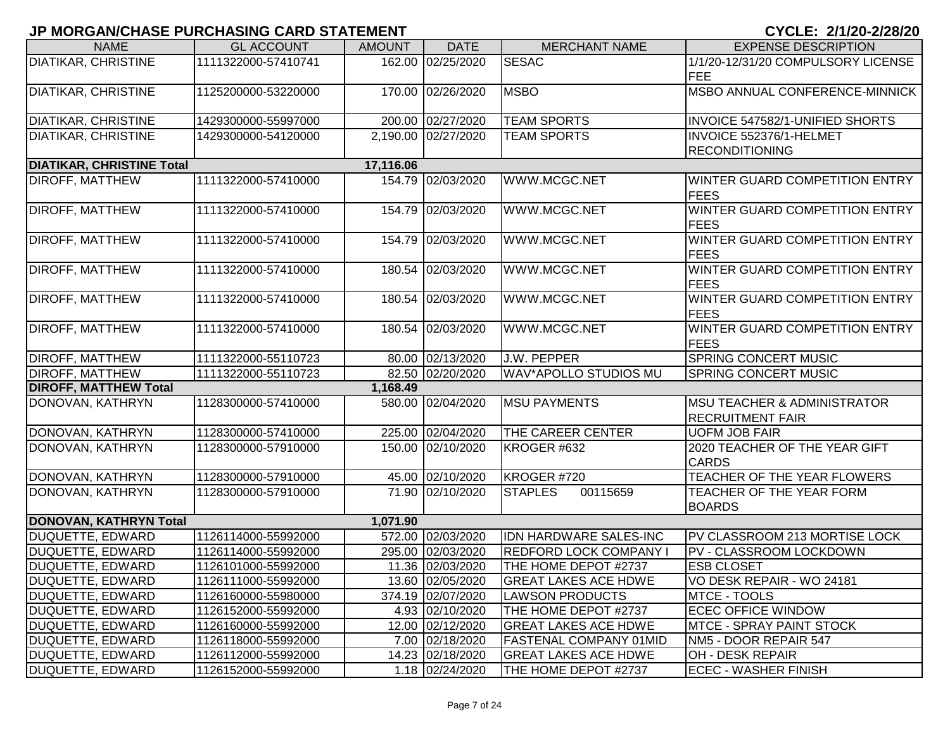| <b>NAME</b>                                       | <b>GL ACCOUNT</b>                          | <b>AMOUNT</b> | <b>DATE</b>         | <b>MERCHANT NAME</b>          | <b>EXPENSE DESCRIPTION</b>                               |
|---------------------------------------------------|--------------------------------------------|---------------|---------------------|-------------------------------|----------------------------------------------------------|
| <b>DIATIKAR, CHRISTINE</b>                        | 1111322000-57410741                        |               | 162.00 02/25/2020   | <b>SESAC</b>                  | 1/1/20-12/31/20 COMPULSORY LICENSE                       |
|                                                   |                                            |               |                     |                               | <b>FEE</b>                                               |
| <b>DIATIKAR, CHRISTINE</b>                        | 1125200000-53220000                        |               | 170.00 02/26/2020   | <b>MSBO</b>                   | MSBO ANNUAL CONFERENCE-MINNICK                           |
|                                                   |                                            |               |                     |                               |                                                          |
| <b>DIATIKAR, CHRISTINE</b>                        | 1429300000-55997000                        |               | 200.00 02/27/2020   | <b>TEAM SPORTS</b>            | INVOICE 547582/1-UNIFIED SHORTS                          |
| <b>DIATIKAR, CHRISTINE</b>                        | 1429300000-54120000                        |               | 2,190.00 02/27/2020 | <b>TEAM SPORTS</b>            | <b>INVOICE 552376/1-HELMET</b>                           |
|                                                   |                                            |               |                     |                               | <b>RECONDITIONING</b>                                    |
| <b>DIATIKAR, CHRISTINE Total</b>                  |                                            | 17,116.06     |                     |                               |                                                          |
| <b>DIROFF, MATTHEW</b>                            | 1111322000-57410000                        |               | 154.79 02/03/2020   | WWW.MCGC.NET                  | WINTER GUARD COMPETITION ENTRY<br><b>FEES</b>            |
| <b>DIROFF, MATTHEW</b>                            | 1111322000-57410000                        |               | 154.79 02/03/2020   | WWW.MCGC.NET                  | WINTER GUARD COMPETITION ENTRY                           |
|                                                   |                                            |               |                     |                               | <b>IFEES</b>                                             |
| <b>DIROFF, MATTHEW</b>                            | 1111322000-57410000                        |               | 154.79 02/03/2020   | WWW.MCGC.NET                  | WINTER GUARD COMPETITION ENTRY                           |
|                                                   |                                            |               |                     |                               | <b>FEES</b>                                              |
| <b>DIROFF, MATTHEW</b>                            | 1111322000-57410000                        |               | 180.54 02/03/2020   | WWW.MCGC.NET                  | WINTER GUARD COMPETITION ENTRY                           |
|                                                   |                                            |               |                     |                               | <b>IFEES</b>                                             |
| <b>DIROFF, MATTHEW</b>                            | 1111322000-57410000                        |               | 180.54 02/03/2020   | WWW.MCGC.NET                  | WINTER GUARD COMPETITION ENTRY                           |
|                                                   |                                            |               |                     |                               | <b>FEES</b>                                              |
| <b>DIROFF, MATTHEW</b>                            | 1111322000-57410000                        |               | 180.54 02/03/2020   | WWW.MCGC.NET                  | WINTER GUARD COMPETITION ENTRY                           |
|                                                   |                                            |               |                     |                               | <b>FEES</b>                                              |
| <b>DIROFF, MATTHEW</b>                            | 1111322000-55110723                        |               | 80.00 02/13/2020    | J.W. PEPPER                   | <b>SPRING CONCERT MUSIC</b>                              |
| <b>DIROFF, MATTHEW</b>                            | 1111322000-55110723                        |               | 82.50 02/20/2020    | <b>WAV*APOLLO STUDIOS MU</b>  | <b>SPRING CONCERT MUSIC</b>                              |
| <b>DIROFF, MATTHEW Total</b>                      |                                            | 1,168.49      |                     |                               |                                                          |
| DONOVAN, KATHRYN                                  | 1128300000-57410000                        |               | 580.00 02/04/2020   | <b>MSU PAYMENTS</b>           | <b>IMSU TEACHER &amp; ADMINISTRATOR</b>                  |
|                                                   |                                            |               |                     |                               | <b>RECRUITMENT FAIR</b>                                  |
| DONOVAN, KATHRYN                                  | 1128300000-57410000                        |               | 225.00 02/04/2020   | <b>THE CAREER CENTER</b>      | <b>UOFM JOB FAIR</b>                                     |
| DONOVAN, KATHRYN                                  | 1128300000-57910000                        |               | 150.00 02/10/2020   | KROGER #632                   | 2020 TEACHER OF THE YEAR GIFT                            |
|                                                   |                                            |               |                     |                               | <b>CARDS</b>                                             |
| DONOVAN, KATHRYN                                  | 1128300000-57910000                        |               | 45.00 02/10/2020    | KROGER #720                   | TEACHER OF THE YEAR FLOWERS                              |
| DONOVAN, KATHRYN                                  | 1128300000-57910000                        |               | 71.90 02/10/2020    | 00115659<br><b>STAPLES</b>    | TEACHER OF THE YEAR FORM                                 |
|                                                   |                                            |               |                     |                               | <b>BOARDS</b>                                            |
| <b>DONOVAN, KATHRYN Total</b><br>DUQUETTE, EDWARD |                                            | 1,071.90      | 572.00 02/03/2020   | <b>IDN HARDWARE SALES-INC</b> |                                                          |
| DUQUETTE, EDWARD                                  | 1126114000-55992000<br>1126114000-55992000 |               | 295.00 02/03/2020   | <b>REDFORD LOCK COMPANY I</b> | PV CLASSROOM 213 MORTISE LOCK<br>PV - CLASSROOM LOCKDOWN |
| DUQUETTE, EDWARD                                  | 1126101000-55992000                        |               | 11.36 02/03/2020    | THE HOME DEPOT #2737          | <b>ESB CLOSET</b>                                        |
| <b>DUQUETTE, EDWARD</b>                           | 1126111000-55992000                        |               | 13.60 02/05/2020    | <b>GREAT LAKES ACE HDWE</b>   |                                                          |
| DUQUETTE, EDWARD                                  | 1126160000-55980000                        |               | 374.19 02/07/2020   | <b>LAWSON PRODUCTS</b>        | VO DESK REPAIR - WO 24181<br>MTCE - TOOLS                |
| DUQUETTE, EDWARD                                  | 1126152000-55992000                        |               | 4.93 02/10/2020     | THE HOME DEPOT #2737          | <b>ECEC OFFICE WINDOW</b>                                |
| DUQUETTE, EDWARD                                  | 1126160000-55992000                        |               | 12.00 02/12/2020    | <b>GREAT LAKES ACE HDWE</b>   | <b>MTCE - SPRAY PAINT STOCK</b>                          |
| DUQUETTE, EDWARD                                  | 1126118000-55992000                        |               | 7.00 02/18/2020     | <b>FASTENAL COMPANY 01MID</b> | NM5 - DOOR REPAIR 547                                    |
| <b>DUQUETTE, EDWARD</b>                           | 1126112000-55992000                        |               | 14.23 02/18/2020    | <b>GREAT LAKES ACE HDWE</b>   | OH - DESK REPAIR                                         |
| DUQUETTE, EDWARD                                  | 1126152000-55992000                        |               | 1.18 02/24/2020     | THE HOME DEPOT #2737          | <b>ECEC - WASHER FINISH</b>                              |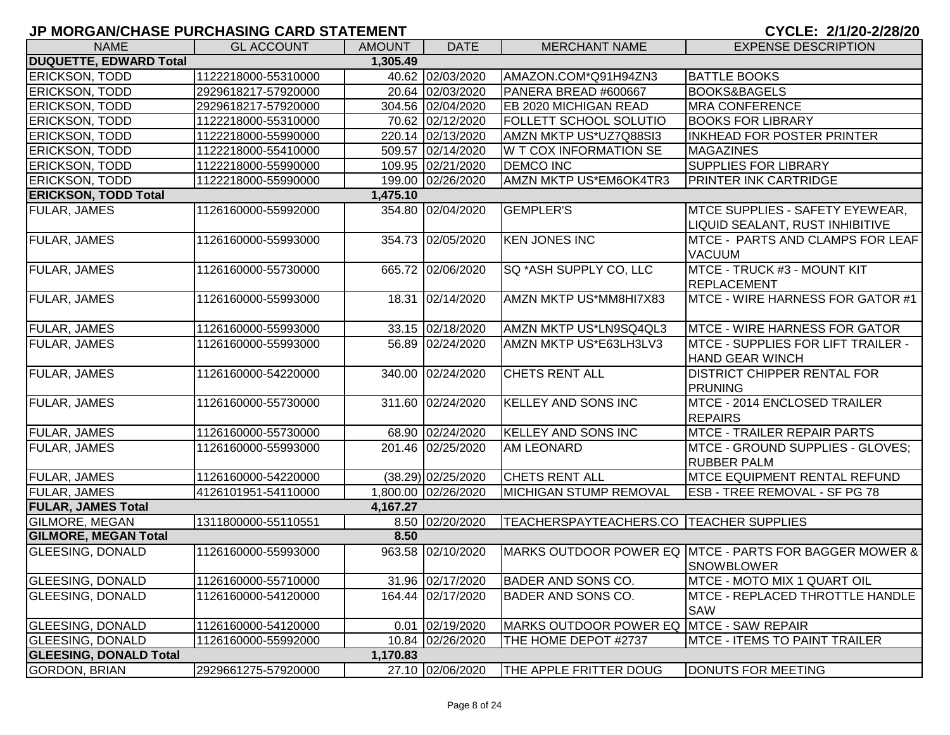| <b>NAME</b>                               | <b>GL ACCOUNT</b>   | <b>AMOUNT</b> | <b>DATE</b>         | <b>MERCHANT NAME</b>                      | <b>EXPENSE DESCRIPTION</b>                                                  |  |  |  |
|-------------------------------------------|---------------------|---------------|---------------------|-------------------------------------------|-----------------------------------------------------------------------------|--|--|--|
| <b>DUQUETTE, EDWARD Total</b><br>1,305.49 |                     |               |                     |                                           |                                                                             |  |  |  |
| <b>ERICKSON, TODD</b>                     | 1122218000-55310000 |               | 40.62 02/03/2020    | AMAZON.COM*Q91H94ZN3                      | <b>BATTLE BOOKS</b>                                                         |  |  |  |
| <b>ERICKSON, TODD</b>                     | 2929618217-57920000 |               | 20.64 02/03/2020    | PANERA BREAD #600667                      | <b>BOOKS&amp;BAGELS</b>                                                     |  |  |  |
| <b>ERICKSON, TODD</b>                     | 2929618217-57920000 |               | 304.56 02/04/2020   | EB 2020 MICHIGAN READ                     | <b>MRA CONFERENCE</b>                                                       |  |  |  |
| <b>ERICKSON, TODD</b>                     | 1122218000-55310000 |               | 70.62 02/12/2020    | FOLLETT SCHOOL SOLUTIO                    | <b>BOOKS FOR LIBRARY</b>                                                    |  |  |  |
| <b>ERICKSON, TODD</b>                     | 1122218000-55990000 |               | 220.14 02/13/2020   | AMZN MKTP US*UZ7Q88SI3                    | INKHEAD FOR POSTER PRINTER                                                  |  |  |  |
| <b>ERICKSON, TODD</b>                     | 1122218000-55410000 |               | 509.57 02/14/2020   | <b>W T COX INFORMATION SE</b>             | <b>MAGAZINES</b>                                                            |  |  |  |
| <b>ERICKSON, TODD</b>                     | 1122218000-55990000 |               | 109.95 02/21/2020   | <b>DEMCO INC</b>                          | <b>SUPPLIES FOR LIBRARY</b>                                                 |  |  |  |
| <b>ERICKSON, TODD</b>                     | 1122218000-55990000 |               | 199.00 02/26/2020   | AMZN MKTP US*EM6OK4TR3                    | <b>PRINTER INK CARTRIDGE</b>                                                |  |  |  |
| <b>ERICKSON, TODD Total</b>               |                     | 1,475.10      |                     |                                           |                                                                             |  |  |  |
| FULAR, JAMES                              | 1126160000-55992000 |               | 354.80 02/04/2020   | <b>GEMPLER'S</b>                          | MTCE SUPPLIES - SAFETY EYEWEAR,<br>LIQUID SEALANT, RUST INHIBITIVE          |  |  |  |
| <b>FULAR, JAMES</b>                       | 1126160000-55993000 |               | 354.73 02/05/2020   | <b>KEN JONES INC</b>                      | MTCE - PARTS AND CLAMPS FOR LEAF<br><b>VACUUM</b>                           |  |  |  |
| FULAR, JAMES                              | 1126160000-55730000 |               | 665.72 02/06/2020   | SQ *ASH SUPPLY CO, LLC                    | <b>MTCE - TRUCK #3 - MOUNT KIT</b><br><b>REPLACEMENT</b>                    |  |  |  |
| <b>FULAR, JAMES</b>                       | 1126160000-55993000 |               | 18.31 02/14/2020    | AMZN MKTP US*MM8HI7X83                    | MTCE - WIRE HARNESS FOR GATOR #1                                            |  |  |  |
| <b>FULAR, JAMES</b>                       | 1126160000-55993000 |               | 33.15 02/18/2020    | AMZN MKTP US*LN9SQ4QL3                    | <b>MTCE - WIRE HARNESS FOR GATOR</b>                                        |  |  |  |
| FULAR, JAMES                              | 1126160000-55993000 |               | 56.89 02/24/2020    | AMZN MKTP US*E63LH3LV3                    | <b>MTCE - SUPPLIES FOR LIFT TRAILER -</b><br><b>HAND GEAR WINCH</b>         |  |  |  |
| FULAR, JAMES                              | 1126160000-54220000 |               | 340.00 02/24/2020   | CHETS RENT ALL                            | <b>DISTRICT CHIPPER RENTAL FOR</b><br><b>PRUNING</b>                        |  |  |  |
| FULAR, JAMES                              | 1126160000-55730000 |               | 311.60 02/24/2020   | <b>KELLEY AND SONS INC</b>                | MTCE - 2014 ENCLOSED TRAILER<br><b>REPAIRS</b>                              |  |  |  |
| <b>FULAR, JAMES</b>                       | 1126160000-55730000 |               | 68.90 02/24/2020    | <b>KELLEY AND SONS INC</b>                | MTCE - TRAILER REPAIR PARTS                                                 |  |  |  |
| FULAR, JAMES                              | 1126160000-55993000 |               | 201.46 02/25/2020   | <b>AM LEONARD</b>                         | MTCE - GROUND SUPPLIES - GLOVES;<br><b>RUBBER PALM</b>                      |  |  |  |
| FULAR, JAMES                              | 1126160000-54220000 |               | (38.29) 02/25/2020  | CHETS RENT ALL                            | <b>MTCE EQUIPMENT RENTAL REFUND</b>                                         |  |  |  |
| FULAR, JAMES                              | 4126101951-54110000 |               | 1,800.00 02/26/2020 | MICHIGAN STUMP REMOVAL                    | <b>ESB - TREE REMOVAL - SF PG 78</b>                                        |  |  |  |
| <b>FULAR, JAMES Total</b>                 |                     | 4,167.27      |                     |                                           |                                                                             |  |  |  |
| GILMORE, MEGAN                            | 1311800000-55110551 |               | 8.50 02/20/2020     | TEACHERSPAYTEACHERS.CO   TEACHER SUPPLIES |                                                                             |  |  |  |
| <b>GILMORE, MEGAN Total</b>               |                     | 8.50          |                     |                                           |                                                                             |  |  |  |
| <b>GLEESING, DONALD</b>                   | 1126160000-55993000 |               | 963.58 02/10/2020   |                                           | MARKS OUTDOOR POWER EQ MTCE - PARTS FOR BAGGER MOWER &<br><b>SNOWBLOWER</b> |  |  |  |
| GLEESING, DONALD                          | 1126160000-55710000 |               | 31.96 02/17/2020    | BADER AND SONS CO.                        | MTCE - MOTO MIX 1 QUART OIL                                                 |  |  |  |
| <b>GLEESING, DONALD</b>                   | 1126160000-54120000 |               | 164.44 02/17/2020   | <b>BADER AND SONS CO.</b>                 | IMTCE - REPLACED THROTTLE HANDLE<br><b>SAW</b>                              |  |  |  |
| <b>GLEESING, DONALD</b>                   | 1126160000-54120000 |               | 0.01 02/19/2020     | <b>IMARKS OUTDOOR POWER EQ</b>            | MTCE - SAW REPAIR                                                           |  |  |  |
| <b>GLEESING, DONALD</b>                   | 1126160000-55992000 |               | 10.84 02/26/2020    | THE HOME DEPOT #2737                      | <b>MTCE - ITEMS TO PAINT TRAILER</b>                                        |  |  |  |
| <b>GLEESING, DONALD Total</b>             |                     | 1,170.83      |                     |                                           |                                                                             |  |  |  |
| GORDON, BRIAN                             | 2929661275-57920000 |               | 27.10 02/06/2020    | THE APPLE FRITTER DOUG                    | DONUTS FOR MEETING                                                          |  |  |  |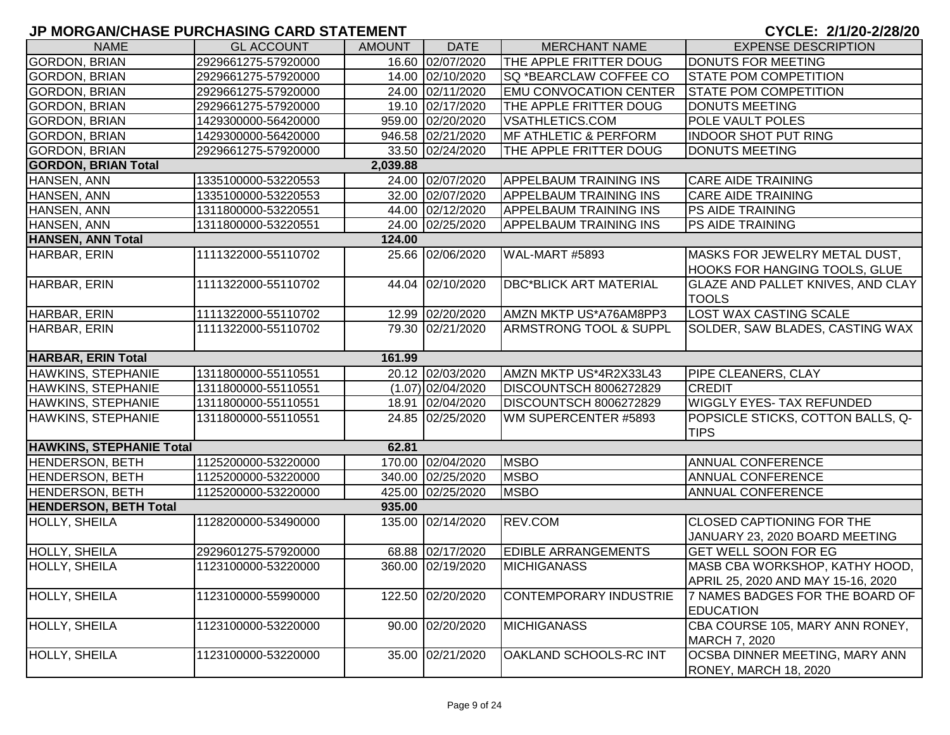| <b>NAME</b>                     | <b>GL ACCOUNT</b>   | <b>AMOUNT</b> | <b>DATE</b>         | <b>MERCHANT NAME</b>              | <b>EXPENSE DESCRIPTION</b>                                                                |
|---------------------------------|---------------------|---------------|---------------------|-----------------------------------|-------------------------------------------------------------------------------------------|
| <b>GORDON, BRIAN</b>            | 2929661275-57920000 |               | 16.60 02/07/2020    | THE APPLE FRITTER DOUG            | DONUTS FOR MEETING                                                                        |
| <b>GORDON, BRIAN</b>            | 2929661275-57920000 |               | 14.00 02/10/2020    | SQ *BEARCLAW COFFEE CO            | <b>STATE POM COMPETITION</b>                                                              |
| <b>GORDON, BRIAN</b>            | 2929661275-57920000 |               | 24.00 02/11/2020    | <b>EMU CONVOCATION CENTER</b>     | <b>STATE POM COMPETITION</b>                                                              |
| <b>GORDON, BRIAN</b>            | 2929661275-57920000 |               | 19.10 02/17/2020    | THE APPLE FRITTER DOUG            | DONUTS MEETING                                                                            |
| <b>GORDON, BRIAN</b>            | 1429300000-56420000 |               | 959.00 02/20/2020   | <b>VSATHLETICS.COM</b>            | <b>POLE VAULT POLES</b>                                                                   |
| <b>GORDON, BRIAN</b>            | 1429300000-56420000 |               | 946.58 02/21/2020   | <b>IMF ATHLETIC &amp; PERFORM</b> | <b>INDOOR SHOT PUT RING</b>                                                               |
| <b>GORDON, BRIAN</b>            | 2929661275-57920000 |               | 33.50 02/24/2020    | THE APPLE FRITTER DOUG            | DONUTS MEETING                                                                            |
| <b>GORDON, BRIAN Total</b>      |                     | 2,039.88      |                     |                                   |                                                                                           |
| HANSEN, ANN                     | 1335100000-53220553 |               | 24.00 02/07/2020    | <b>APPELBAUM TRAINING INS</b>     | <b>CARE AIDE TRAINING</b>                                                                 |
| HANSEN, ANN                     | 1335100000-53220553 |               | 32.00 02/07/2020    | <b>APPELBAUM TRAINING INS</b>     | <b>CARE AIDE TRAINING</b>                                                                 |
| HANSEN, ANN                     | 1311800000-53220551 |               | 44.00 02/12/2020    | <b>APPELBAUM TRAINING INS</b>     | PS AIDE TRAINING                                                                          |
| HANSEN, ANN                     | 1311800000-53220551 |               | 24.00 02/25/2020    | <b>APPELBAUM TRAINING INS</b>     | PS AIDE TRAINING                                                                          |
| <b>HANSEN, ANN Total</b>        |                     | 124.00        |                     |                                   |                                                                                           |
| HARBAR, ERIN                    | 1111322000-55110702 |               | 25.66 02/06/2020    | WAL-MART #5893                    | MASKS FOR JEWELRY METAL DUST,<br><b>HOOKS FOR HANGING TOOLS, GLUE</b>                     |
| HARBAR, ERIN                    | 1111322000-55110702 |               | 44.04 02/10/2020    | <b>DBC*BLICK ART MATERIAL</b>     | <b>GLAZE AND PALLET KNIVES, AND CLAY</b><br><b>TOOLS</b>                                  |
| HARBAR, ERIN                    | 1111322000-55110702 |               | 12.99 02/20/2020    | AMZN MKTP US*A76AM8PP3            | <b>LOST WAX CASTING SCALE</b>                                                             |
| HARBAR, ERIN                    | 1111322000-55110702 |               | 79.30 02/21/2020    | <b>ARMSTRONG TOOL &amp; SUPPL</b> | SOLDER, SAW BLADES, CASTING WAX                                                           |
| HARBAR, ERIN Total              |                     | 161.99        |                     |                                   |                                                                                           |
| <b>HAWKINS, STEPHANIE</b>       | 1311800000-55110551 |               | 20.12 02/03/2020    | AMZN MKTP US*4R2X33L43            | PIPE CLEANERS, CLAY                                                                       |
| HAWKINS, STEPHANIE              | 1311800000-55110551 |               | $(1.07)$ 02/04/2020 | DISCOUNTSCH 8006272829            | ICREDIT                                                                                   |
| HAWKINS, STEPHANIE              | 1311800000-55110551 |               | 18.91 02/04/2020    | DISCOUNTSCH 8006272829            | <b>WIGGLY EYES- TAX REFUNDED</b>                                                          |
| HAWKINS, STEPHANIE              | 1311800000-55110551 |               | 24.85 02/25/2020    | WM SUPERCENTER #5893              | POPSICLE STICKS, COTTON BALLS, Q-<br><b>TIPS</b>                                          |
| <b>HAWKINS, STEPHANIE Total</b> |                     | 62.81         |                     |                                   |                                                                                           |
| <b>HENDERSON, BETH</b>          | 1125200000-53220000 |               | 170.00 02/04/2020   | <b>MSBO</b>                       | <b>ANNUAL CONFERENCE</b>                                                                  |
| <b>HENDERSON, BETH</b>          | 1125200000-53220000 |               | 340.00 02/25/2020   | <b>MSBO</b>                       | <b>ANNUAL CONFERENCE</b>                                                                  |
| <b>HENDERSON, BETH</b>          | 1125200000-53220000 |               | 425.00 02/25/2020   | <b>MSBO</b>                       | <b>ANNUAL CONFERENCE</b>                                                                  |
| <b>HENDERSON, BETH Total</b>    |                     | 935.00        |                     |                                   |                                                                                           |
| HOLLY, SHEILA                   | 1128200000-53490000 |               | 135.00 02/14/2020   | REV.COM                           | <b>CLOSED CAPTIONING FOR THE</b><br>JANUARY 23, 2020 BOARD MEETING                        |
| <b>HOLLY, SHEILA</b>            | 2929601275-57920000 |               | 68.88 02/17/2020    | <b>EDIBLE ARRANGEMENTS</b>        | <b>GET WELL SOON FOR EG</b>                                                               |
| <b>HOLLY, SHEILA</b>            | 1123100000-53220000 |               | 360.00 02/19/2020   | <b>MICHIGANASS</b>                | MASB CBA WORKSHOP, KATHY HOOD,                                                            |
| HOLLY, SHEILA                   | 1123100000-55990000 |               | 122.50 02/20/2020   | <b>CONTEMPORARY INDUSTRIE</b>     | APRIL 25, 2020 AND MAY 15-16, 2020<br>7 NAMES BADGES FOR THE BOARD OF<br><b>EDUCATION</b> |
| <b>HOLLY, SHEILA</b>            | 1123100000-53220000 |               | 90.00 02/20/2020    | <b>MICHIGANASS</b>                | CBA COURSE 105, MARY ANN RONEY,<br>MARCH 7, 2020                                          |
| HOLLY, SHEILA                   | 1123100000-53220000 |               | 35.00 02/21/2020    | OAKLAND SCHOOLS-RC INT            | OCSBA DINNER MEETING, MARY ANN<br>RONEY, MARCH 18, 2020                                   |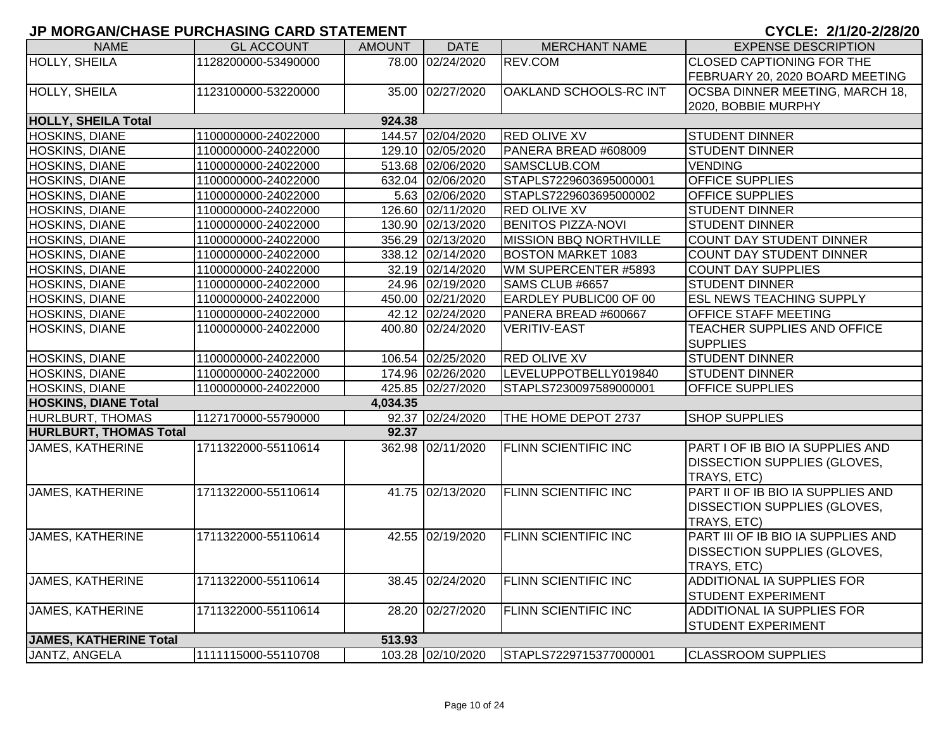| <b>NAME</b>                          | <b>GL ACCOUNT</b>   | AMOUNT   | <b>DATE</b>       | <b>MERCHANT NAME</b>          | <b>EXPENSE DESCRIPTION</b>          |  |  |  |  |  |
|--------------------------------------|---------------------|----------|-------------------|-------------------------------|-------------------------------------|--|--|--|--|--|
| <b>HOLLY, SHEILA</b>                 | 1128200000-53490000 |          | 78.00 02/24/2020  | REV.COM                       | <b>CLOSED CAPTIONING FOR THE</b>    |  |  |  |  |  |
|                                      |                     |          |                   |                               | FEBRUARY 20, 2020 BOARD MEETING     |  |  |  |  |  |
| HOLLY, SHEILA                        | 1123100000-53220000 |          | 35.00 02/27/2020  | OAKLAND SCHOOLS-RC INT        | OCSBA DINNER MEETING, MARCH 18,     |  |  |  |  |  |
|                                      |                     |          |                   |                               | 2020, BOBBIE MURPHY                 |  |  |  |  |  |
| <b>HOLLY, SHEILA Total</b><br>924.38 |                     |          |                   |                               |                                     |  |  |  |  |  |
| HOSKINS, DIANE                       | 1100000000-24022000 |          | 144.57 02/04/2020 | <b>RED OLIVE XV</b>           | <b>STUDENT DINNER</b>               |  |  |  |  |  |
| HOSKINS, DIANE                       | 1100000000-24022000 |          | 129.10 02/05/2020 | PANERA BREAD #608009          | <b>STUDENT DINNER</b>               |  |  |  |  |  |
| HOSKINS, DIANE                       | 1100000000-24022000 |          | 513.68 02/06/2020 | SAMSCLUB.COM                  | <b>VENDING</b>                      |  |  |  |  |  |
| HOSKINS, DIANE                       | 1100000000-24022000 |          | 632.04 02/06/2020 | STAPLS7229603695000001        | OFFICE SUPPLIES                     |  |  |  |  |  |
| HOSKINS, DIANE                       | 1100000000-24022000 |          | 5.63 02/06/2020   | STAPLS7229603695000002        | <b>OFFICE SUPPLIES</b>              |  |  |  |  |  |
| HOSKINS, DIANE                       | 1100000000-24022000 |          | 126.60 02/11/2020 | <b>RED OLIVE XV</b>           | <b>STUDENT DINNER</b>               |  |  |  |  |  |
| <b>HOSKINS, DIANE</b>                | 1100000000-24022000 |          | 130.90 02/13/2020 | <b>BENITOS PIZZA-NOVI</b>     | <b>STUDENT DINNER</b>               |  |  |  |  |  |
| HOSKINS, DIANE                       | 1100000000-24022000 |          | 356.29 02/13/2020 | <b>MISSION BBQ NORTHVILLE</b> | <b>COUNT DAY STUDENT DINNER</b>     |  |  |  |  |  |
| <b>HOSKINS, DIANE</b>                | 1100000000-24022000 |          | 338.12 02/14/2020 | <b>BOSTON MARKET 1083</b>     | COUNT DAY STUDENT DINNER            |  |  |  |  |  |
| HOSKINS, DIANE                       | 1100000000-24022000 |          | 32.19 02/14/2020  | WM SUPERCENTER #5893          | <b>COUNT DAY SUPPLIES</b>           |  |  |  |  |  |
| <b>HOSKINS, DIANE</b>                | 1100000000-24022000 |          | 24.96 02/19/2020  | SAMS CLUB #6657               | <b>STUDENT DINNER</b>               |  |  |  |  |  |
| HOSKINS, DIANE                       | 1100000000-24022000 |          | 450.00 02/21/2020 | <b>EARDLEY PUBLIC00 OF 00</b> | <b>ESL NEWS TEACHING SUPPLY</b>     |  |  |  |  |  |
| HOSKINS, DIANE                       | 1100000000-24022000 |          | 42.12 02/24/2020  | PANERA BREAD #600667          | OFFICE STAFF MEETING                |  |  |  |  |  |
| <b>HOSKINS, DIANE</b>                | 1100000000-24022000 |          | 400.80 02/24/2020 | <b>VERITIV-EAST</b>           | TEACHER SUPPLIES AND OFFICE         |  |  |  |  |  |
|                                      |                     |          |                   |                               | <b>SUPPLIES</b>                     |  |  |  |  |  |
| <b>HOSKINS, DIANE</b>                | 1100000000-24022000 |          | 106.54 02/25/2020 | <b>RED OLIVE XV</b>           | <b>STUDENT DINNER</b>               |  |  |  |  |  |
| HOSKINS, DIANE                       | 1100000000-24022000 |          | 174.96 02/26/2020 | LEVELUPPOTBELLY019840         | <b>STUDENT DINNER</b>               |  |  |  |  |  |
| HOSKINS, DIANE                       | 1100000000-24022000 |          | 425.85 02/27/2020 | STAPLS7230097589000001        | OFFICE SUPPLIES                     |  |  |  |  |  |
| <b>HOSKINS, DIANE Total</b>          |                     | 4,034.35 |                   |                               |                                     |  |  |  |  |  |
| <b>HURLBURT, THOMAS</b>              | 1127170000-55790000 |          | 92.37 02/24/2020  | THE HOME DEPOT 2737           | <b>SHOP SUPPLIES</b>                |  |  |  |  |  |
| <b>HURLBURT, THOMAS Total</b>        |                     | 92.37    |                   |                               |                                     |  |  |  |  |  |
| <b>JAMES, KATHERINE</b>              | 1711322000-55110614 |          | 362.98 02/11/2020 | <b>FLINN SCIENTIFIC INC</b>   | PART I OF IB BIO IA SUPPLIES AND    |  |  |  |  |  |
|                                      |                     |          |                   |                               | <b>DISSECTION SUPPLIES (GLOVES,</b> |  |  |  |  |  |
|                                      |                     |          |                   |                               | TRAYS, ETC)                         |  |  |  |  |  |
| <b>JAMES, KATHERINE</b>              | 1711322000-55110614 |          | 41.75 02/13/2020  | <b>FLINN SCIENTIFIC INC</b>   | PART II OF IB BIO IA SUPPLIES AND   |  |  |  |  |  |
|                                      |                     |          |                   |                               | <b>DISSECTION SUPPLIES (GLOVES,</b> |  |  |  |  |  |
|                                      |                     |          |                   |                               | TRAYS, ETC)                         |  |  |  |  |  |
| <b>JAMES, KATHERINE</b>              | 1711322000-55110614 |          | 42.55 02/19/2020  | <b>FLINN SCIENTIFIC INC</b>   | PART III OF IB BIO IA SUPPLIES AND  |  |  |  |  |  |
|                                      |                     |          |                   |                               | <b>DISSECTION SUPPLIES (GLOVES,</b> |  |  |  |  |  |
|                                      |                     |          |                   |                               | TRAYS, ETC)                         |  |  |  |  |  |
| <b>JAMES, KATHERINE</b>              | 1711322000-55110614 |          | 38.45 02/24/2020  | <b>FLINN SCIENTIFIC INC</b>   | ADDITIONAL IA SUPPLIES FOR          |  |  |  |  |  |
|                                      |                     |          |                   |                               | <b>STUDENT EXPERIMENT</b>           |  |  |  |  |  |
| <b>JAMES, KATHERINE</b>              | 1711322000-55110614 |          | 28.20 02/27/2020  | <b>FLINN SCIENTIFIC INC</b>   | <b>ADDITIONAL IA SUPPLIES FOR</b>   |  |  |  |  |  |
|                                      |                     |          |                   |                               | <b>STUDENT EXPERIMENT</b>           |  |  |  |  |  |
| <b>JAMES, KATHERINE Total</b>        |                     | 513.93   |                   |                               |                                     |  |  |  |  |  |
| JANTZ, ANGELA                        | 1111115000-55110708 |          | 103.28 02/10/2020 | STAPLS7229715377000001        | <b>CLASSROOM SUPPLIES</b>           |  |  |  |  |  |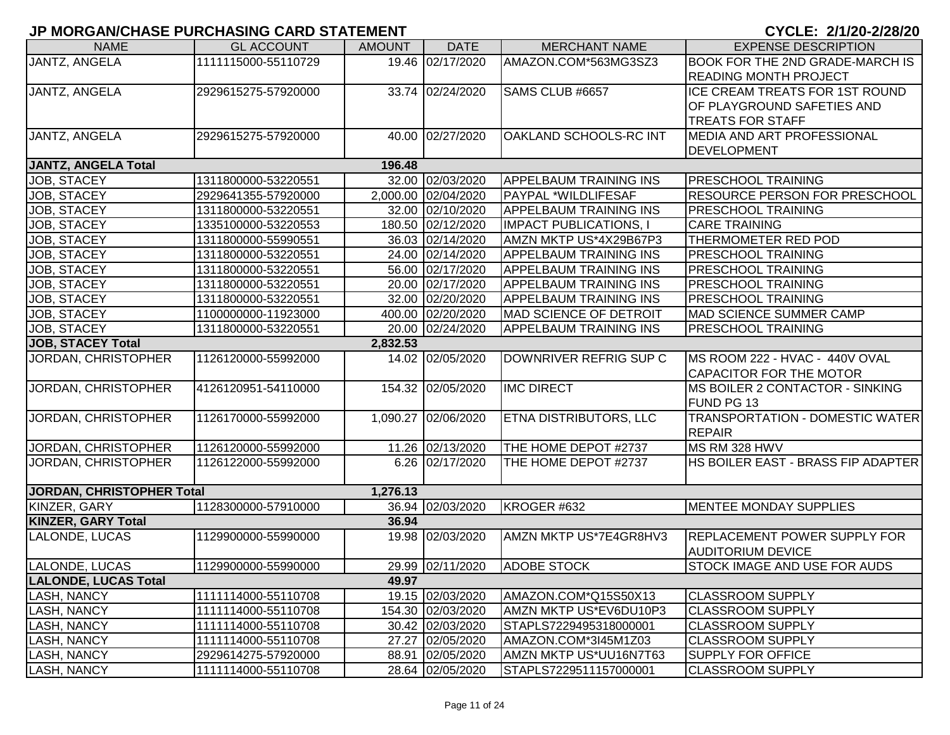| <b>NAME</b>                 | <b>GL ACCOUNT</b>   | <b>AMOUNT</b> | <b>DATE</b>         | <b>MERCHANT NAME</b>          | <b>EXPENSE DESCRIPTION</b>             |
|-----------------------------|---------------------|---------------|---------------------|-------------------------------|----------------------------------------|
| JANTZ, ANGELA               | 1111115000-55110729 |               | 19.46 02/17/2020    | AMAZON.COM*563MG3SZ3          | BOOK FOR THE 2ND GRADE-MARCH IS        |
|                             |                     |               |                     |                               | <b>READING MONTH PROJECT</b>           |
| JANTZ, ANGELA               | 2929615275-57920000 |               | 33.74 02/24/2020    | SAMS CLUB #6657               | ICE CREAM TREATS FOR 1ST ROUND         |
|                             |                     |               |                     |                               | OF PLAYGROUND SAFETIES AND             |
|                             |                     |               |                     |                               | <b>TREATS FOR STAFF</b>                |
| JANTZ, ANGELA               | 2929615275-57920000 |               | 40.00 02/27/2020    | OAKLAND SCHOOLS-RC INT        | <b>IMEDIA AND ART PROFESSIONAL</b>     |
|                             |                     |               |                     |                               | <b>DEVELOPMENT</b>                     |
| <b>JANTZ, ANGELA Total</b>  |                     | 196.48        |                     |                               |                                        |
| JOB, STACEY                 | 1311800000-53220551 |               | 32.00 02/03/2020    | <b>APPELBAUM TRAINING INS</b> | PRESCHOOL TRAINING                     |
| <b>JOB, STACEY</b>          | 2929641355-57920000 |               | 2,000.00 02/04/2020 | PAYPAL *WILDLIFESAF           | <b>RESOURCE PERSON FOR PRESCHOOL</b>   |
| JOB, STACEY                 | 1311800000-53220551 |               | 32.00 02/10/2020    | <b>APPELBAUM TRAINING INS</b> | <b>PRESCHOOL TRAINING</b>              |
| JOB, STACEY                 | 1335100000-53220553 |               | 180.50 02/12/2020   | <b>IMPACT PUBLICATIONS, I</b> | <b>CARE TRAINING</b>                   |
| JOB, STACEY                 | 1311800000-55990551 |               | 36.03 02/14/2020    | AMZN MKTP US*4X29B67P3        | THERMOMETER RED POD                    |
| JOB, STACEY                 | 1311800000-53220551 |               | 24.00 02/14/2020    | <b>APPELBAUM TRAINING INS</b> | <b>PRESCHOOL TRAINING</b>              |
| JOB, STACEY                 | 1311800000-53220551 |               | 56.00 02/17/2020    | <b>APPELBAUM TRAINING INS</b> | <b>PRESCHOOL TRAINING</b>              |
| <b>JOB, STACEY</b>          | 1311800000-53220551 |               | 20.00 02/17/2020    | <b>APPELBAUM TRAINING INS</b> | <b>PRESCHOOL TRAINING</b>              |
| JOB, STACEY                 | 1311800000-53220551 |               | 32.00 02/20/2020    | <b>APPELBAUM TRAINING INS</b> | <b>PRESCHOOL TRAINING</b>              |
| JOB, STACEY                 | 1100000000-11923000 |               | 400.00 02/20/2020   | MAD SCIENCE OF DETROIT        | MAD SCIENCE SUMMER CAMP                |
| <b>JOB, STACEY</b>          | 1311800000-53220551 |               | 20.00 02/24/2020    | <b>APPELBAUM TRAINING INS</b> | <b>PRESCHOOL TRAINING</b>              |
| <b>JOB, STACEY Total</b>    |                     | 2,832.53      |                     |                               |                                        |
| JORDAN, CHRISTOPHER         | 1126120000-55992000 |               | 14.02 02/05/2020    | DOWNRIVER REFRIG SUP C        | MS ROOM 222 - HVAC - 440V OVAL         |
|                             |                     |               |                     |                               | CAPACITOR FOR THE MOTOR                |
| JORDAN, CHRISTOPHER         | 4126120951-54110000 |               | 154.32 02/05/2020   | <b>IMC DIRECT</b>             | MS BOILER 2 CONTACTOR - SINKING        |
|                             |                     |               |                     |                               | FUND PG 13                             |
| JORDAN, CHRISTOPHER         | 1126170000-55992000 |               | 1,090.27 02/06/2020 | <b>ETNA DISTRIBUTORS, LLC</b> | <b>TRANSPORTATION - DOMESTIC WATER</b> |
|                             |                     |               |                     |                               | <b>REPAIR</b>                          |
| JORDAN, CHRISTOPHER         | 1126120000-55992000 |               | 11.26 02/13/2020    | THE HOME DEPOT #2737          | MS RM 328 HWV                          |
| JORDAN, CHRISTOPHER         | 1126122000-55992000 |               | 6.26 02/17/2020     | THE HOME DEPOT #2737          | HS BOILER EAST - BRASS FIP ADAPTER     |
|                             |                     |               |                     |                               |                                        |
| JORDAN, CHRISTOPHER Total   |                     | 1,276.13      |                     |                               |                                        |
| KINZER, GARY                | 1128300000-57910000 |               | 36.94 02/03/2020    | KROGER #632                   | <b>MENTEE MONDAY SUPPLIES</b>          |
| <b>KINZER, GARY Total</b>   |                     | 36.94         |                     |                               |                                        |
| LALONDE, LUCAS              | 1129900000-55990000 |               | 19.98 02/03/2020    | AMZN MKTP US*7E4GR8HV3        | <b>REPLACEMENT POWER SUPPLY FOR</b>    |
|                             |                     |               |                     |                               | <b>AUDITORIUM DEVICE</b>               |
| LALONDE, LUCAS              | 1129900000-55990000 |               | 29.99 02/11/2020    | <b>ADOBE STOCK</b>            | <b>STOCK IMAGE AND USE FOR AUDS</b>    |
| <b>LALONDE, LUCAS Total</b> |                     | 49.97         |                     |                               |                                        |
| LASH, NANCY                 | 1111114000-55110708 |               | 19.15 02/03/2020    | AMAZON.COM*Q15S50X13          | <b>CLASSROOM SUPPLY</b>                |
| LASH, NANCY                 | 1111114000-55110708 |               | 154.30 02/03/2020   | AMZN MKTP US*EV6DU10P3        | <b>CLASSROOM SUPPLY</b>                |
| LASH, NANCY                 | 1111114000-55110708 |               | 30.42 02/03/2020    | STAPLS7229495318000001        | <b>CLASSROOM SUPPLY</b>                |
| LASH, NANCY                 | 1111114000-55110708 |               | 27.27 02/05/2020    | AMAZON.COM*3I45M1Z03          | <b>CLASSROOM SUPPLY</b>                |
| LASH, NANCY                 | 2929614275-57920000 |               | 88.91 02/05/2020    | AMZN MKTP US*UU16N7T63        | <b>SUPPLY FOR OFFICE</b>               |
| LASH, NANCY                 | 1111114000-55110708 |               | 28.64 02/05/2020    | STAPLS7229511157000001        | <b>CLASSROOM SUPPLY</b>                |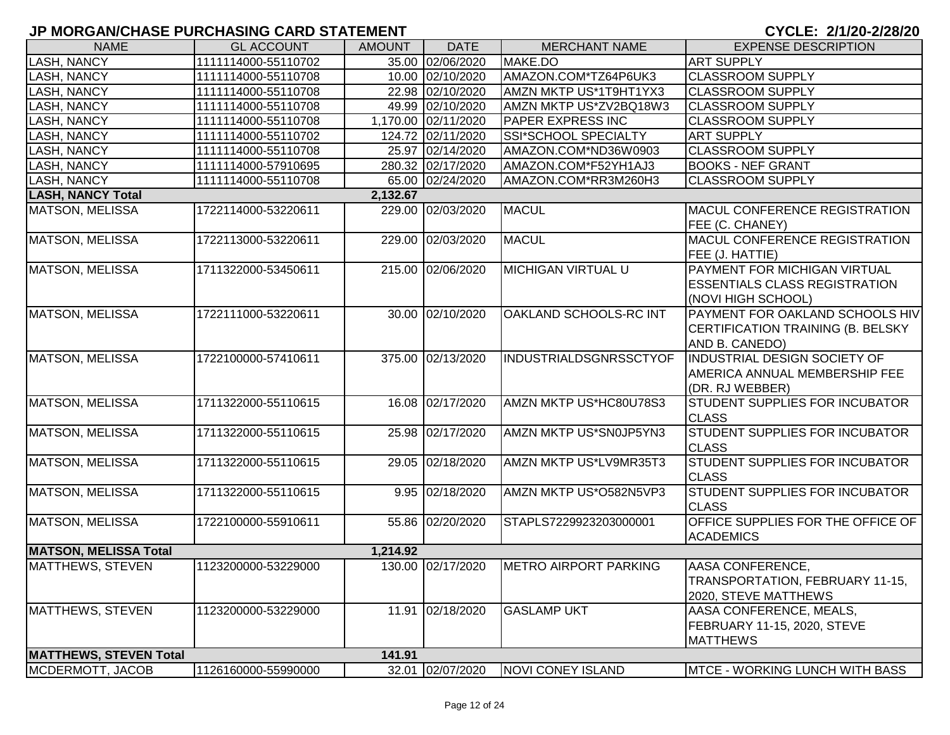| <b>NAME</b>                   | <b>GL ACCOUNT</b>   | <b>AMOUNT</b> | <b>DATE</b>         | <b>MERCHANT NAME</b>          | <b>EXPENSE DESCRIPTION</b>                                                                        |
|-------------------------------|---------------------|---------------|---------------------|-------------------------------|---------------------------------------------------------------------------------------------------|
| LASH, NANCY                   | 1111114000-55110702 |               | 35.00 02/06/2020    | MAKE.DO                       | <b>ART SUPPLY</b>                                                                                 |
| LASH, NANCY                   | 1111114000-55110708 |               | 10.00 02/10/2020    | AMAZON.COM*TZ64P6UK3          | <b>CLASSROOM SUPPLY</b>                                                                           |
| LASH, NANCY                   | 1111114000-55110708 |               | 22.98 02/10/2020    | AMZN MKTP US*1T9HT1YX3        | <b>CLASSROOM SUPPLY</b>                                                                           |
| LASH, NANCY                   | 1111114000-55110708 |               | 49.99 02/10/2020    | AMZN MKTP US*ZV2BQ18W3        | <b>CLASSROOM SUPPLY</b>                                                                           |
| <b>LASH, NANCY</b>            | 1111114000-55110708 |               | 1,170.00 02/11/2020 | PAPER EXPRESS INC             | <b>CLASSROOM SUPPLY</b>                                                                           |
| <b>LASH, NANCY</b>            | 1111114000-55110702 |               | 124.72 02/11/2020   | SSI*SCHOOL SPECIALTY          | <b>ART SUPPLY</b>                                                                                 |
| <b>LASH, NANCY</b>            | 1111114000-55110708 |               | 25.97 02/14/2020    | AMAZON.COM*ND36W0903          | <b>CLASSROOM SUPPLY</b>                                                                           |
| <b>LASH, NANCY</b>            | 1111114000-57910695 |               | 280.32 02/17/2020   | AMAZON.COM*F52YH1AJ3          | <b>BOOKS - NEF GRANT</b>                                                                          |
| <b>LASH, NANCY</b>            | 1111114000-55110708 |               | 65.00 02/24/2020    | AMAZON.COM*RR3M260H3          | <b>CLASSROOM SUPPLY</b>                                                                           |
| <b>LASH, NANCY Total</b>      |                     | 2,132.67      |                     |                               |                                                                                                   |
| MATSON, MELISSA               | 1722114000-53220611 |               | 229.00 02/03/2020   | <b>MACUL</b>                  | <b>MACUL CONFERENCE REGISTRATION</b><br>FEE (C. CHANEY)                                           |
| <b>MATSON, MELISSA</b>        | 1722113000-53220611 |               | 229.00 02/03/2020   | <b>MACUL</b>                  | MACUL CONFERENCE REGISTRATION<br>FEE (J. HATTIE)                                                  |
| MATSON, MELISSA               | 1711322000-53450611 |               | 215.00 02/06/2020   | <b>MICHIGAN VIRTUAL U</b>     | <b>PAYMENT FOR MICHIGAN VIRTUAL</b><br><b>ESSENTIALS CLASS REGISTRATION</b><br>(NOVI HIGH SCHOOL) |
| MATSON, MELISSA               | 1722111000-53220611 |               | 30.00 02/10/2020    | OAKLAND SCHOOLS-RC INT        | <b>PAYMENT FOR OAKLAND SCHOOLS HIV</b><br>CERTIFICATION TRAINING (B. BELSKY<br>AND B. CANEDO)     |
| <b>MATSON, MELISSA</b>        | 1722100000-57410611 |               | 375.00 02/13/2020   | <b>INDUSTRIALDSGNRSSCTYOF</b> | <b>INDUSTRIAL DESIGN SOCIETY OF</b><br><b>AMERICA ANNUAL MEMBERSHIP FEE</b><br>(DR. RJ WEBBER)    |
| <b>MATSON, MELISSA</b>        | 1711322000-55110615 |               | 16.08 02/17/2020    | AMZN MKTP US*HC80U78S3        | <b>STUDENT SUPPLIES FOR INCUBATOR</b><br><b>CLASS</b>                                             |
| <b>MATSON, MELISSA</b>        | 1711322000-55110615 |               | 25.98 02/17/2020    | AMZN MKTP US*SN0JP5YN3        | <b>STUDENT SUPPLIES FOR INCUBATOR</b><br><b>CLASS</b>                                             |
| <b>MATSON, MELISSA</b>        | 1711322000-55110615 |               | 29.05 02/18/2020    | AMZN MKTP US*LV9MR35T3        | STUDENT SUPPLIES FOR INCUBATOR<br><b>CLASS</b>                                                    |
| MATSON, MELISSA               | 1711322000-55110615 |               | 9.95 02/18/2020     | AMZN MKTP US*O582N5VP3        | STUDENT SUPPLIES FOR INCUBATOR<br><b>CLASS</b>                                                    |
| MATSON, MELISSA               | 1722100000-55910611 |               | 55.86 02/20/2020    | STAPLS7229923203000001        | OFFICE SUPPLIES FOR THE OFFICE OF<br><b>ACADEMICS</b>                                             |
| <b>MATSON, MELISSA Total</b>  |                     | 1,214.92      |                     |                               |                                                                                                   |
| MATTHEWS, STEVEN              | 1123200000-53229000 |               | 130.00 02/17/2020   | <b>METRO AIRPORT PARKING</b>  | AASA CONFERENCE,<br>TRANSPORTATION, FEBRUARY 11-15,<br>2020, STEVE MATTHEWS                       |
| MATTHEWS, STEVEN              | 1123200000-53229000 |               | 11.91 02/18/2020    | <b>GASLAMP UKT</b>            | AASA CONFERENCE, MEALS,<br>FEBRUARY 11-15, 2020, STEVE<br><b>MATTHEWS</b>                         |
| <b>MATTHEWS, STEVEN Total</b> |                     | 141.91        |                     |                               |                                                                                                   |
| MCDERMOTT, JACOB              | 1126160000-55990000 |               | 32.01 02/07/2020    | NOVI CONEY ISLAND             | MTCE - WORKING LUNCH WITH BASS                                                                    |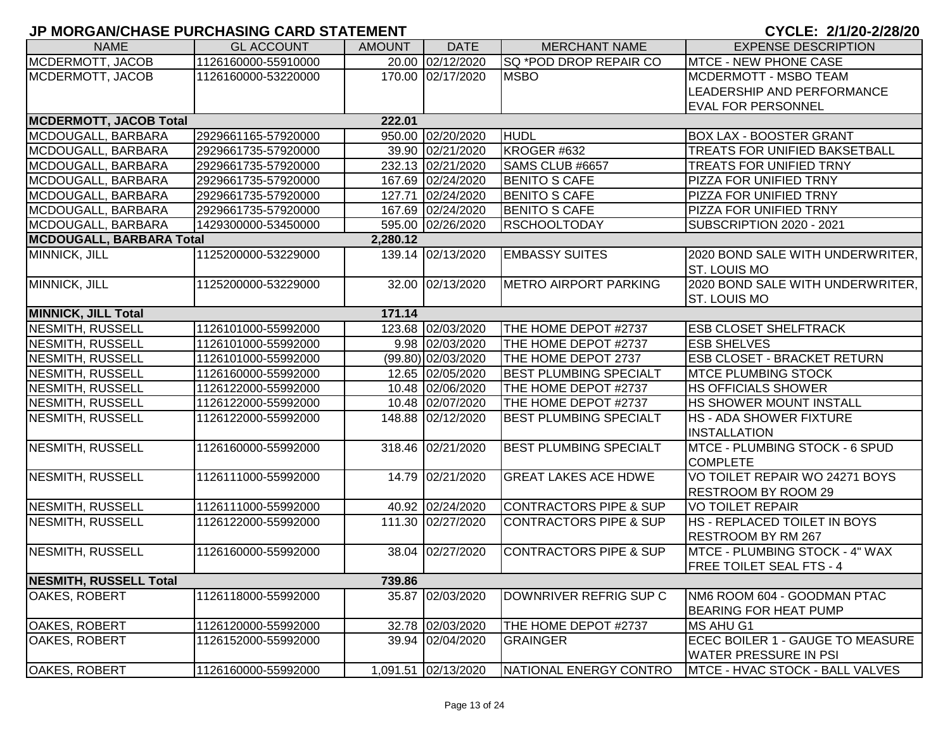| <b>NAME</b>                   | <b>GL ACCOUNT</b>   | <b>AMOUNT</b> | <b>DATE</b>         | <b>MERCHANT NAME</b>              | <b>EXPENSE DESCRIPTION</b>             |
|-------------------------------|---------------------|---------------|---------------------|-----------------------------------|----------------------------------------|
| MCDERMOTT, JACOB              | 1126160000-55910000 |               | 20.00 02/12/2020    | <b>SQ *POD DROP REPAIR CO</b>     | <b>MTCE - NEW PHONE CASE</b>           |
| MCDERMOTT, JACOB              | 1126160000-53220000 |               | 170.00 02/17/2020   | <b>MSBO</b>                       | MCDERMOTT - MSBO TEAM                  |
|                               |                     |               |                     |                                   | LEADERSHIP AND PERFORMANCE             |
|                               |                     |               |                     |                                   | <b>EVAL FOR PERSONNEL</b>              |
| <b>MCDERMOTT, JACOB Total</b> |                     | 222.01        |                     |                                   |                                        |
| MCDOUGALL, BARBARA            | 2929661165-57920000 |               | 950.00 02/20/2020   | HUDL                              | <b>BOX LAX - BOOSTER GRANT</b>         |
| MCDOUGALL, BARBARA            | 2929661735-57920000 |               | 39.90 02/21/2020    | KROGER #632                       | <b>TREATS FOR UNIFIED BAKSETBALL</b>   |
| MCDOUGALL, BARBARA            | 2929661735-57920000 |               | 232.13 02/21/2020   | SAMS CLUB #6657                   | <b>TREATS FOR UNIFIED TRNY</b>         |
| MCDOUGALL, BARBARA            | 2929661735-57920000 |               | 167.69 02/24/2020   | <b>BENITO S CAFE</b>              | PIZZA FOR UNIFIED TRNY                 |
| MCDOUGALL, BARBARA            | 2929661735-57920000 |               | 127.71 02/24/2020   | <b>BENITO S CAFE</b>              | PIZZA FOR UNIFIED TRNY                 |
| MCDOUGALL, BARBARA            | 2929661735-57920000 |               | 167.69 02/24/2020   | <b>BENITO S CAFE</b>              | PIZZA FOR UNIFIED TRNY                 |
| MCDOUGALL, BARBARA            | 1429300000-53450000 |               | 595.00 02/26/2020   | <b>RSCHOOLTODAY</b>               | SUBSCRIPTION 2020 - 2021               |
| MCDOUGALL, BARBARA Total      |                     | 2,280.12      |                     |                                   |                                        |
| MINNICK, JILL                 | 1125200000-53229000 |               | 139.14 02/13/2020   | <b>EMBASSY SUITES</b>             | 2020 BOND SALE WITH UNDERWRITER,       |
|                               |                     |               |                     |                                   | <b>ST. LOUIS MO</b>                    |
| MINNICK, JILL                 | 1125200000-53229000 |               | 32.00 02/13/2020    | <b>METRO AIRPORT PARKING</b>      | 2020 BOND SALE WITH UNDERWRITER,       |
|                               |                     |               |                     |                                   | <b>ST. LOUIS MO</b>                    |
| <b>MINNICK, JILL Total</b>    |                     | 171.14        |                     |                                   |                                        |
| NESMITH, RUSSELL              | 1126101000-55992000 |               | 123.68 02/03/2020   | THE HOME DEPOT #2737              | <b>ESB CLOSET SHELFTRACK</b>           |
| NESMITH, RUSSELL              | 1126101000-55992000 |               | 9.98 02/03/2020     | THE HOME DEPOT #2737              | <b>ESB SHELVES</b>                     |
| <b>NESMITH, RUSSELL</b>       | 1126101000-55992000 |               | (99.80) 02/03/2020  | THE HOME DEPOT 2737               | <b>ESB CLOSET - BRACKET RETURN</b>     |
| NESMITH, RUSSELL              | 1126160000-55992000 |               | 12.65 02/05/2020    | <b>BEST PLUMBING SPECIALT</b>     | <b>MTCE PLUMBING STOCK</b>             |
| <b>NESMITH, RUSSELL</b>       | 1126122000-55992000 |               | 10.48 02/06/2020    | THE HOME DEPOT #2737              | <b>HS OFFICIALS SHOWER</b>             |
| <b>NESMITH, RUSSELL</b>       | 1126122000-55992000 |               | 10.48 02/07/2020    | THE HOME DEPOT #2737              | <b>HS SHOWER MOUNT INSTALL</b>         |
| NESMITH, RUSSELL              | 1126122000-55992000 |               | 148.88 02/12/2020   | <b>BEST PLUMBING SPECIALT</b>     | <b>HS - ADA SHOWER FIXTURE</b>         |
|                               |                     |               |                     |                                   | INSTALLATION                           |
| <b>NESMITH, RUSSELL</b>       | 1126160000-55992000 |               | 318.46 02/21/2020   | <b>BEST PLUMBING SPECIALT</b>     | MTCE - PLUMBING STOCK - 6 SPUD         |
|                               |                     |               |                     |                                   | <b>COMPLETE</b>                        |
| NESMITH, RUSSELL              | 1126111000-55992000 |               | 14.79 02/21/2020    | <b>GREAT LAKES ACE HDWE</b>       | VO TOILET REPAIR WO 24271 BOYS         |
|                               |                     |               |                     |                                   | RESTROOM BY ROOM 29                    |
| NESMITH, RUSSELL              | 1126111000-55992000 |               | 40.92 02/24/2020    | CONTRACTORS PIPE & SUP            | <b>VO TOILET REPAIR</b>                |
| NESMITH, RUSSELL              | 1126122000-55992000 |               | 111.30 02/27/2020   | <b>CONTRACTORS PIPE &amp; SUP</b> | HS - REPLACED TOILET IN BOYS           |
|                               |                     |               |                     |                                   | <b>RESTROOM BY RM 267</b>              |
| NESMITH, RUSSELL              | 1126160000-55992000 |               | 38.04 02/27/2020    | <b>CONTRACTORS PIPE &amp; SUP</b> | <b>IMTCE - PLUMBING STOCK - 4" WAX</b> |
|                               |                     |               |                     |                                   | <b>FREE TOILET SEAL FTS - 4</b>        |
| NESMITH, RUSSELL Total        |                     | 739.86        |                     |                                   |                                        |
| OAKES, ROBERT                 | 1126118000-55992000 |               | 35.87 02/03/2020    | DOWNRIVER REFRIG SUP C            | NM6 ROOM 604 - GOODMAN PTAC            |
|                               |                     |               |                     |                                   | <b>BEARING FOR HEAT PUMP</b>           |
| OAKES, ROBERT                 | 1126120000-55992000 |               | 32.78 02/03/2020    | THE HOME DEPOT #2737              | MS AHU G1                              |
| <b>OAKES, ROBERT</b>          | 1126152000-55992000 |               | 39.94 02/04/2020    | <b>GRAINGER</b>                   | ECEC BOILER 1 - GAUGE TO MEASURE       |
|                               |                     |               |                     |                                   | <b>WATER PRESSURE IN PSI</b>           |
| <b>OAKES, ROBERT</b>          | 1126160000-55992000 |               | 1,091.51 02/13/2020 | NATIONAL ENERGY CONTRO            | MTCE - HVAC STOCK - BALL VALVES        |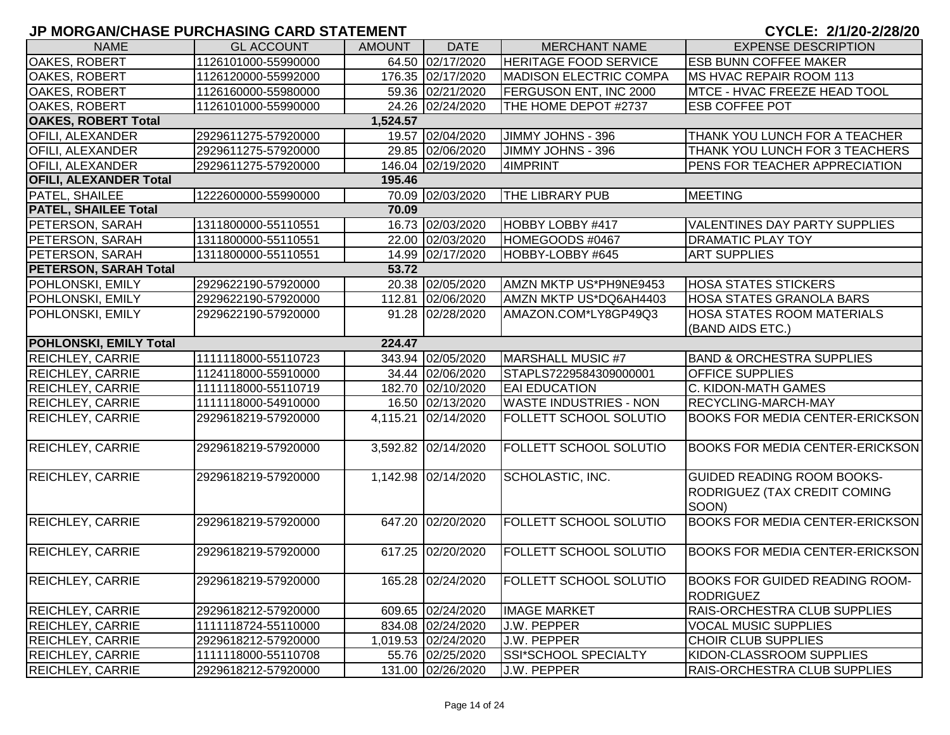|                               |                     |               |                     |                               | $9.922.$ $4.129.272.$                  |
|-------------------------------|---------------------|---------------|---------------------|-------------------------------|----------------------------------------|
| <b>NAME</b>                   | <b>GL ACCOUNT</b>   | <b>AMOUNT</b> | <b>DATE</b>         | <b>MERCHANT NAME</b>          | <b>EXPENSE DESCRIPTION</b>             |
| OAKES, ROBERT                 | 1126101000-55990000 |               | 64.50 02/17/2020    | <b>HERITAGE FOOD SERVICE</b>  | <b>ESB BUNN COFFEE MAKER</b>           |
| <b>OAKES, ROBERT</b>          | 1126120000-55992000 |               | 176.35 02/17/2020   | <b>MADISON ELECTRIC COMPA</b> | <b>IMS HVAC REPAIR ROOM 113</b>        |
| <b>OAKES, ROBERT</b>          | 1126160000-55980000 |               | 59.36 02/21/2020    | FERGUSON ENT, INC 2000        | MTCE - HVAC FREEZE HEAD TOOL           |
| <b>OAKES, ROBERT</b>          | 1126101000-55990000 |               | 24.26 02/24/2020    | THE HOME DEPOT #2737          | <b>ESB COFFEE POT</b>                  |
| <b>OAKES, ROBERT Total</b>    |                     | 1,524.57      |                     |                               |                                        |
| <b>OFILI, ALEXANDER</b>       | 2929611275-57920000 |               | 19.57 02/04/2020    | JIMMY JOHNS - 396             | THANK YOU LUNCH FOR A TEACHER          |
| <b>OFILI, ALEXANDER</b>       | 2929611275-57920000 |               | 29.85 02/06/2020    | JIMMY JOHNS - 396             | THANK YOU LUNCH FOR 3 TEACHERS         |
| <b>OFILI, ALEXANDER</b>       | 2929611275-57920000 |               | 146.04 02/19/2020   | 4IMPRINT                      | PENS FOR TEACHER APPRECIATION          |
| <b>OFILI, ALEXANDER Total</b> |                     | 195.46        |                     |                               |                                        |
| PATEL, SHAILEE                | 1222600000-55990000 |               | 70.09 02/03/2020    | <b>THE LIBRARY PUB</b>        | MEETING                                |
| <b>PATEL, SHAILEE Total</b>   |                     | 70.09         |                     |                               |                                        |
| PETERSON, SARAH               | 1311800000-55110551 |               | 16.73 02/03/2020    | HOBBY LOBBY #417              | <b>VALENTINES DAY PARTY SUPPLIES</b>   |
| PETERSON, SARAH               | 1311800000-55110551 |               | 22.00 02/03/2020    | HOMEGOODS #0467               | <b>DRAMATIC PLAY TOY</b>               |
| PETERSON, SARAH               | 1311800000-55110551 |               | 14.99 02/17/2020    | HOBBY-LOBBY #645              | <b>ART SUPPLIES</b>                    |
| <b>PETERSON, SARAH Total</b>  |                     | 53.72         |                     |                               |                                        |
| POHLONSKI, EMILY              | 2929622190-57920000 |               | 20.38 02/05/2020    | AMZN MKTP US*PH9NE9453        | <b>HOSA STATES STICKERS</b>            |
| POHLONSKI, EMILY              | 2929622190-57920000 |               | 112.81 02/06/2020   | AMZN MKTP US*DQ6AH4403        | <b>HOSA STATES GRANOLA BARS</b>        |
| POHLONSKI, EMILY              | 2929622190-57920000 |               | 91.28 02/28/2020    | AMAZON.COM*LY8GP49Q3          | <b>HOSA STATES ROOM MATERIALS</b>      |
|                               |                     |               |                     |                               | (BAND AIDS ETC.)                       |
| <b>POHLONSKI, EMILY Total</b> |                     | 224.47        |                     |                               |                                        |
| <b>REICHLEY, CARRIE</b>       | 1111118000-55110723 |               | 343.94 02/05/2020   | MARSHALL MUSIC #7             | <b>BAND &amp; ORCHESTRA SUPPLIES</b>   |
| <b>REICHLEY, CARRIE</b>       | 1124118000-55910000 |               | 34.44 02/06/2020    | STAPLS7229584309000001        | <b>OFFICE SUPPLIES</b>                 |
| <b>REICHLEY, CARRIE</b>       | 1111118000-55110719 |               | 182.70 02/10/2020   | <b>EAI EDUCATION</b>          | C. KIDON-MATH GAMES                    |
| <b>REICHLEY, CARRIE</b>       | 1111118000-54910000 |               | 16.50 02/13/2020    | <b>WASTE INDUSTRIES - NON</b> | RECYCLING-MARCH-MAY                    |
| REICHLEY, CARRIE              | 2929618219-57920000 |               | 4,115.21 02/14/2020 | FOLLETT SCHOOL SOLUTIO        | <b>BOOKS FOR MEDIA CENTER-ERICKSON</b> |
|                               |                     |               |                     |                               |                                        |
| <b>REICHLEY, CARRIE</b>       | 2929618219-57920000 |               | 3,592.82 02/14/2020 | FOLLETT SCHOOL SOLUTIO        | <b>BOOKS FOR MEDIA CENTER-ERICKSON</b> |
|                               |                     |               |                     |                               |                                        |
| <b>REICHLEY, CARRIE</b>       | 2929618219-57920000 |               | 1,142.98 02/14/2020 | SCHOLASTIC, INC.              | <b>GUIDED READING ROOM BOOKS-</b>      |
|                               |                     |               |                     |                               | <b>RODRIGUEZ (TAX CREDIT COMING</b>    |
|                               |                     |               |                     |                               | SOON)                                  |
| <b>REICHLEY, CARRIE</b>       | 2929618219-57920000 |               | 647.20 02/20/2020   | <b>FOLLETT SCHOOL SOLUTIO</b> | <b>BOOKS FOR MEDIA CENTER-ERICKSON</b> |
|                               |                     |               |                     |                               |                                        |
| <b>REICHLEY, CARRIE</b>       | 2929618219-57920000 |               | 617.25 02/20/2020   | <b>FOLLETT SCHOOL SOLUTIO</b> | <b>BOOKS FOR MEDIA CENTER-ERICKSON</b> |
|                               |                     |               |                     |                               |                                        |
| <b>REICHLEY, CARRIE</b>       | 2929618219-57920000 |               | 165.28 02/24/2020   | <b>FOLLETT SCHOOL SOLUTIO</b> | <b>BOOKS FOR GUIDED READING ROOM-</b>  |
|                               |                     |               |                     |                               | <b>RODRIGUEZ</b>                       |
| <b>REICHLEY, CARRIE</b>       | 2929618212-57920000 |               | 609.65 02/24/2020   | <b>IMAGE MARKET</b>           | RAIS-ORCHESTRA CLUB SUPPLIES           |
| <b>REICHLEY, CARRIE</b>       | 1111118724-55110000 |               | 834.08 02/24/2020   | J.W. PEPPER                   | <b>VOCAL MUSIC SUPPLIES</b>            |
| <b>REICHLEY, CARRIE</b>       | 2929618212-57920000 |               | 1,019.53 02/24/2020 | J.W. PEPPER                   | CHOIR CLUB SUPPLIES                    |
| <b>REICHLEY, CARRIE</b>       | 1111118000-55110708 |               | 55.76 02/25/2020    | SSI*SCHOOL SPECIALTY          | KIDON-CLASSROOM SUPPLIES               |
| <b>REICHLEY, CARRIE</b>       | 2929618212-57920000 |               | 131.00 02/26/2020   | <b>J.W. PEPPER</b>            | RAIS-ORCHESTRA CLUB SUPPLIES           |
|                               |                     |               |                     |                               |                                        |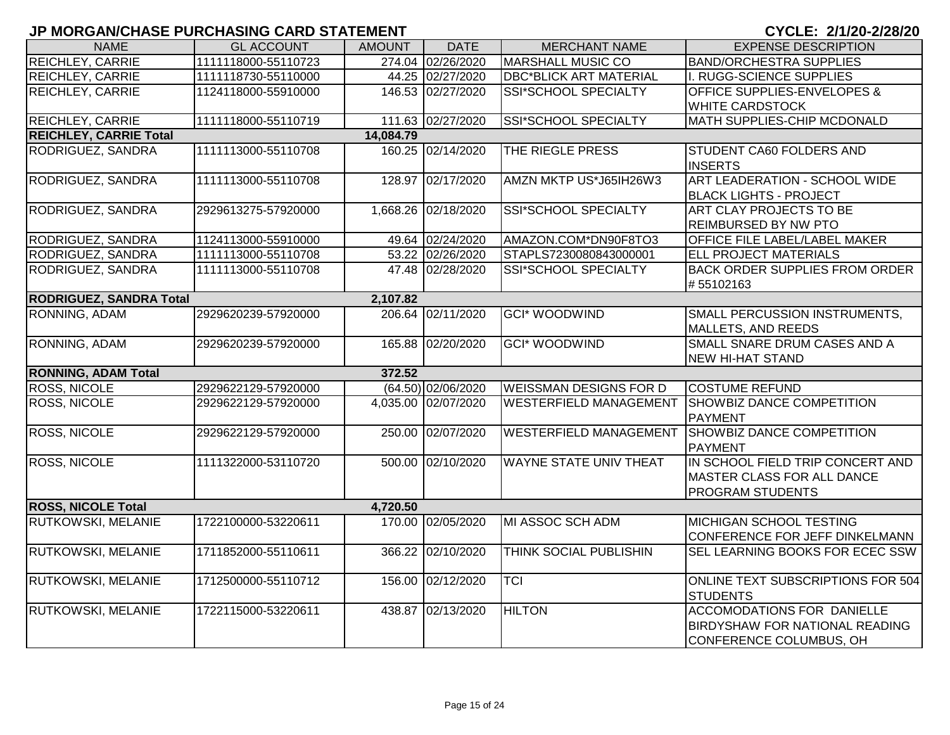| <b>NAME</b>                    | <b>GL ACCOUNT</b>   | <b>AMOUNT</b> | <b>DATE</b>         | <b>MERCHANT NAME</b>          | <b>EXPENSE DESCRIPTION</b>                                          |
|--------------------------------|---------------------|---------------|---------------------|-------------------------------|---------------------------------------------------------------------|
| REICHLEY, CARRIE               | 1111118000-55110723 |               | 274.04 02/26/2020   | <b>MARSHALL MUSIC CO</b>      | <b>BAND/ORCHESTRA SUPPLIES</b>                                      |
| REICHLEY, CARRIE               | 1111118730-55110000 |               | 44.25 02/27/2020    | <b>DBC*BLICK ART MATERIAL</b> | I. RUGG-SCIENCE SUPPLIES                                            |
| REICHLEY, CARRIE               | 1124118000-55910000 |               | 146.53 02/27/2020   | SSI*SCHOOL SPECIALTY          | <b>OFFICE SUPPLIES-ENVELOPES &amp;</b>                              |
|                                |                     |               |                     |                               | <b>WHITE CARDSTOCK</b>                                              |
| <b>REICHLEY, CARRIE</b>        | 1111118000-55110719 |               | 111.63 02/27/2020   | <b>SSI*SCHOOL SPECIALTY</b>   | MATH SUPPLIES-CHIP MCDONALD                                         |
| <b>REICHLEY, CARRIE Total</b>  |                     | 14,084.79     |                     |                               |                                                                     |
| RODRIGUEZ, SANDRA              | 1111113000-55110708 |               | 160.25 02/14/2020   | THE RIEGLE PRESS              | STUDENT CA60 FOLDERS AND                                            |
|                                |                     |               |                     |                               | <b>INSERTS</b>                                                      |
| RODRIGUEZ, SANDRA              | 1111113000-55110708 |               | 128.97 02/17/2020   | AMZN MKTP US*J65IH26W3        | ART LEADERATION - SCHOOL WIDE                                       |
|                                |                     |               |                     |                               | <b>BLACK LIGHTS - PROJECT</b>                                       |
| RODRIGUEZ, SANDRA              | 2929613275-57920000 | 1,668.26      | 02/18/2020          | SSI*SCHOOL SPECIALTY          | <b>ART CLAY PROJECTS TO BE</b>                                      |
|                                |                     |               |                     |                               | <b>REIMBURSED BY NW PTO</b>                                         |
| RODRIGUEZ, SANDRA              | 1124113000-55910000 |               | 49.64 02/24/2020    | AMAZON.COM*DN90F8TO3          | OFFICE FILE LABEL/LABEL MAKER                                       |
| RODRIGUEZ, SANDRA              | 1111113000-55110708 |               | 53.22 02/26/2020    | STAPLS7230080843000001        | <b>ELL PROJECT MATERIALS</b>                                        |
| RODRIGUEZ, SANDRA              | 1111113000-55110708 |               | 47.48 02/28/2020    | <b>SSI*SCHOOL SPECIALTY</b>   | <b>BACK ORDER SUPPLIES FROM ORDER</b>                               |
|                                |                     |               |                     |                               | #55102163                                                           |
| <b>RODRIGUEZ, SANDRA Total</b> |                     | 2,107.82      |                     |                               |                                                                     |
| RONNING, ADAM                  | 2929620239-57920000 |               | 206.64 02/11/2020   | <b>GCI* WOODWIND</b>          | SMALL PERCUSSION INSTRUMENTS,                                       |
|                                |                     |               |                     |                               | MALLETS, AND REEDS                                                  |
| RONNING, ADAM                  | 2929620239-57920000 |               | 165.88 02/20/2020   | <b>GCI* WOODWIND</b>          | SMALL SNARE DRUM CASES AND A                                        |
|                                |                     |               |                     |                               | <b>NEW HI-HAT STAND</b>                                             |
| <b>RONNING, ADAM Total</b>     |                     | 372.52        |                     |                               |                                                                     |
| <b>ROSS, NICOLE</b>            | 2929622129-57920000 |               | (64.50) 02/06/2020  | <b>WEISSMAN DESIGNS FOR D</b> | <b>COSTUME REFUND</b>                                               |
| <b>ROSS, NICOLE</b>            | 2929622129-57920000 |               | 4,035.00 02/07/2020 | <b>WESTERFIELD MANAGEMENT</b> | SHOWBIZ DANCE COMPETITION<br>PAYMENT                                |
| <b>ROSS, NICOLE</b>            | 2929622129-57920000 |               | 250.00 02/07/2020   | <b>WESTERFIELD MANAGEMENT</b> | SHOWBIZ DANCE COMPETITION                                           |
|                                |                     |               |                     |                               | PAYMENT                                                             |
| <b>ROSS, NICOLE</b>            | 1111322000-53110720 |               | 500.00 02/10/2020   | <b>WAYNE STATE UNIV THEAT</b> | IN SCHOOL FIELD TRIP CONCERT AND                                    |
|                                |                     |               |                     |                               | MASTER CLASS FOR ALL DANCE                                          |
|                                |                     |               |                     |                               | <b>PROGRAM STUDENTS</b>                                             |
| <b>ROSS, NICOLE Total</b>      |                     | 4,720.50      |                     |                               |                                                                     |
| RUTKOWSKI, MELANIE             | 1722100000-53220611 |               | 170.00 02/05/2020   | MI ASSOC SCH ADM              | MICHIGAN SCHOOL TESTING                                             |
|                                |                     |               |                     |                               | CONFERENCE FOR JEFF DINKELMANN                                      |
| RUTKOWSKI, MELANIE             | 1711852000-55110611 | 366.22        | 02/10/2020          | THINK SOCIAL PUBLISHIN        | SEL LEARNING BOOKS FOR ECEC SSW                                     |
| RUTKOWSKI, MELANIE             | 1712500000-55110712 |               | 156.00 02/12/2020   | <b>TCI</b>                    | ONLINE TEXT SUBSCRIPTIONS FOR 504                                   |
|                                |                     |               |                     |                               | STUDENTS                                                            |
| RUTKOWSKI, MELANIE             | 1722115000-53220611 | 438.87        | 02/13/2020          | <b>HILTON</b>                 | ACCOMODATIONS FOR DANIELLE<br><b>BIRDYSHAW FOR NATIONAL READING</b> |
|                                |                     |               |                     |                               |                                                                     |
|                                |                     |               |                     |                               | CONFERENCE COLUMBUS, OH                                             |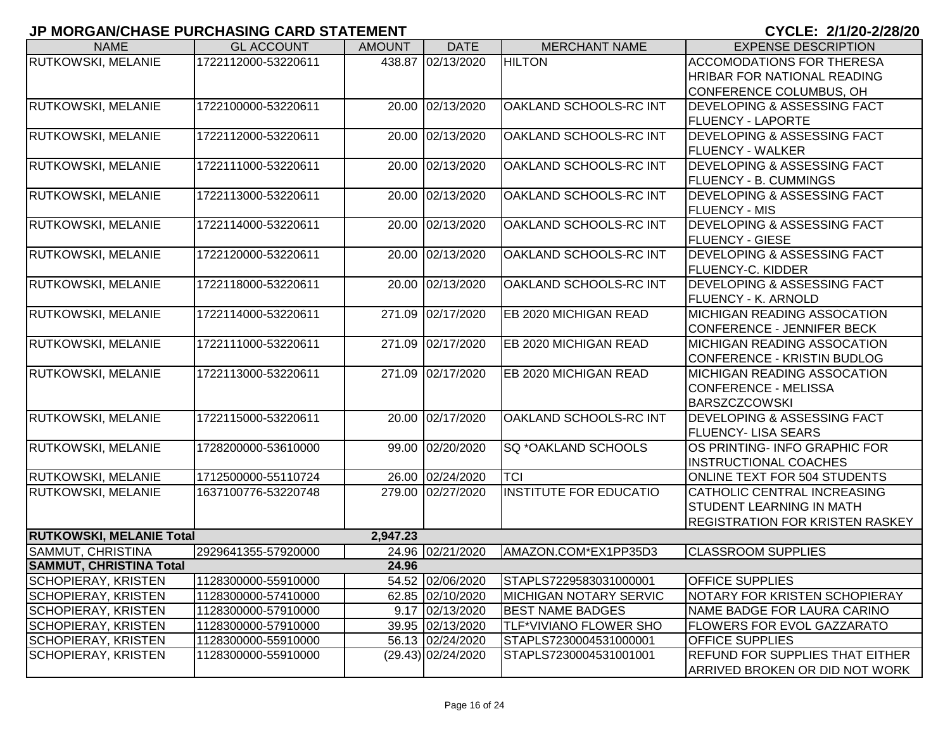| <b>NAME</b>                     | <b>GL ACCOUNT</b>   | <b>AMOUNT</b> | <b>DATE</b>          | <b>MERCHANT NAME</b>          | <b>EXPENSE DESCRIPTION</b>             |
|---------------------------------|---------------------|---------------|----------------------|-------------------------------|----------------------------------------|
| RUTKOWSKI, MELANIE              | 1722112000-53220611 |               | 438.87 02/13/2020    | <b>HILTON</b>                 | <b>ACCOMODATIONS FOR THERESA</b>       |
|                                 |                     |               |                      |                               | <b>HRIBAR FOR NATIONAL READING</b>     |
|                                 |                     |               |                      |                               | CONFERENCE COLUMBUS, OH                |
| <b>RUTKOWSKI, MELANIE</b>       | 1722100000-53220611 |               | 20.00 02/13/2020     | OAKLAND SCHOOLS-RC INT        | <b>DEVELOPING &amp; ASSESSING FACT</b> |
|                                 |                     |               |                      |                               | <b>FLUENCY - LAPORTE</b>               |
| <b>RUTKOWSKI, MELANIE</b>       | 1722112000-53220611 |               | 20.00 02/13/2020     | OAKLAND SCHOOLS-RC INT        | <b>DEVELOPING &amp; ASSESSING FACT</b> |
|                                 |                     |               |                      |                               | <b>FLUENCY - WALKER</b>                |
| <b>RUTKOWSKI, MELANIE</b>       | 1722111000-53220611 |               | 20.00 02/13/2020     | OAKLAND SCHOOLS-RC INT        | <b>DEVELOPING &amp; ASSESSING FACT</b> |
|                                 |                     |               |                      |                               | FLUENCY - B. CUMMINGS                  |
| RUTKOWSKI, MELANIE              | 1722113000-53220611 |               | 20.00 02/13/2020     | OAKLAND SCHOOLS-RC INT        | <b>DEVELOPING &amp; ASSESSING FACT</b> |
|                                 |                     |               |                      |                               | <b>FLUENCY - MIS</b>                   |
| RUTKOWSKI, MELANIE              | 1722114000-53220611 | 20.00         | 02/13/2020           | OAKLAND SCHOOLS-RC INT        | <b>DEVELOPING &amp; ASSESSING FACT</b> |
|                                 |                     |               |                      |                               | <b>FLUENCY - GIESE</b>                 |
| RUTKOWSKI, MELANIE              | 1722120000-53220611 | 20.00         | 02/13/2020           | OAKLAND SCHOOLS-RC INT        | <b>DEVELOPING &amp; ASSESSING FACT</b> |
|                                 |                     |               |                      |                               | <b>FLUENCY-C. KIDDER</b>               |
| <b>RUTKOWSKI, MELANIE</b>       | 1722118000-53220611 |               | 20.00 02/13/2020     | OAKLAND SCHOOLS-RC INT        | <b>DEVELOPING &amp; ASSESSING FACT</b> |
|                                 |                     |               |                      |                               | <b>FLUENCY - K. ARNOLD</b>             |
| RUTKOWSKI, MELANIE              | 1722114000-53220611 | 271.09        | 02/17/2020           | EB 2020 MICHIGAN READ         | <b>MICHIGAN READING ASSOCATION</b>     |
|                                 |                     |               |                      |                               | CONFERENCE - JENNIFER BECK             |
| RUTKOWSKI, MELANIE              | 1722111000-53220611 | 271.09        | 02/17/2020           | EB 2020 MICHIGAN READ         | <b>MICHIGAN READING ASSOCATION</b>     |
|                                 |                     |               |                      |                               | CONFERENCE - KRISTIN BUDLOG            |
| RUTKOWSKI, MELANIE              | 1722113000-53220611 |               | 271.09 02/17/2020    | EB 2020 MICHIGAN READ         | <b>MICHIGAN READING ASSOCATION</b>     |
|                                 |                     |               |                      |                               | <b>CONFERENCE - MELISSA</b>            |
|                                 |                     |               |                      |                               | <b>BARSZCZCOWSKI</b>                   |
| RUTKOWSKI, MELANIE              | 1722115000-53220611 |               | 20.00 02/17/2020     | OAKLAND SCHOOLS-RC INT        | <b>DEVELOPING &amp; ASSESSING FACT</b> |
|                                 |                     |               |                      |                               | <b>FLUENCY- LISA SEARS</b>             |
| RUTKOWSKI, MELANIE              | 1728200000-53610000 |               | 99.00 02/20/2020     | SQ *OAKLAND SCHOOLS           | OS PRINTING- INFO GRAPHIC FOR          |
|                                 |                     |               |                      |                               | <b>INSTRUCTIONAL COACHES</b>           |
| <b>RUTKOWSKI, MELANIE</b>       | 1712500000-55110724 |               | 26.00 02/24/2020     | <b>TCI</b>                    | <b>ONLINE TEXT FOR 504 STUDENTS</b>    |
| RUTKOWSKI, MELANIE              | 1637100776-53220748 |               | 279.00 02/27/2020    | <b>INSTITUTE FOR EDUCATIO</b> | CATHOLIC CENTRAL INCREASING            |
|                                 |                     |               |                      |                               | STUDENT LEARNING IN MATH               |
|                                 |                     |               |                      |                               | <b>REGISTRATION FOR KRISTEN RASKEY</b> |
| <b>RUTKOWSKI, MELANIE Total</b> |                     | 2,947.23      |                      |                               |                                        |
| <b>SAMMUT, CHRISTINA</b>        | 2929641355-57920000 |               | 24.96 02/21/2020     | AMAZON.COM*EX1PP35D3          | <b>CLASSROOM SUPPLIES</b>              |
| <b>SAMMUT, CHRISTINA Total</b>  |                     | 24.96         |                      |                               |                                        |
| <b>SCHOPIERAY, KRISTEN</b>      | 1128300000-55910000 |               | 54.52 02/06/2020     | STAPLS7229583031000001        | <b>OFFICE SUPPLIES</b>                 |
| <b>SCHOPIERAY, KRISTEN</b>      | 1128300000-57410000 |               | 62.85 02/10/2020     | <b>MICHIGAN NOTARY SERVIC</b> | NOTARY FOR KRISTEN SCHOPIERAY          |
| <b>SCHOPIERAY, KRISTEN</b>      | 1128300000-57910000 |               | 9.17 02/13/2020      | <b>BEST NAME BADGES</b>       | NAME BADGE FOR LAURA CARINO            |
| <b>SCHOPIERAY, KRISTEN</b>      | 1128300000-57910000 |               | 39.95 02/13/2020     | TLF*VIVIANO FLOWER SHO        | <b>FLOWERS FOR EVOL GAZZARATO</b>      |
| <b>SCHOPIERAY, KRISTEN</b>      | 1128300000-55910000 |               | 56.13 02/24/2020     | STAPLS7230004531000001        | <b>OFFICE SUPPLIES</b>                 |
| <b>SCHOPIERAY, KRISTEN</b>      | 1128300000-55910000 |               | $(29.43)$ 02/24/2020 | STAPLS7230004531001001        | <b>REFUND FOR SUPPLIES THAT EITHER</b> |
|                                 |                     |               |                      |                               | ARRIVED BROKEN OR DID NOT WORK         |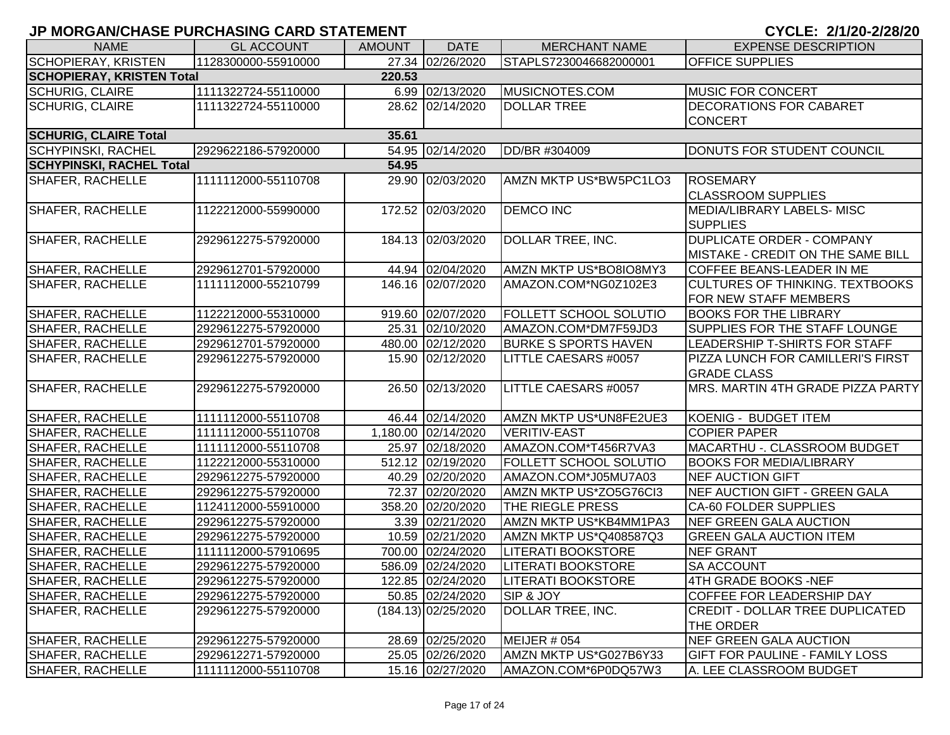| <b>NAME</b>                      | <b>GL ACCOUNT</b>   | <b>AMOUNT</b> | <b>DATE</b>           | <b>MERCHANT NAME</b>          | <b>EXPENSE DESCRIPTION</b>             |
|----------------------------------|---------------------|---------------|-----------------------|-------------------------------|----------------------------------------|
| <b>SCHOPIERAY, KRISTEN</b>       | 1128300000-55910000 |               | 27.34 02/26/2020      | STAPLS7230046682000001        | <b>OFFICE SUPPLIES</b>                 |
| <b>SCHOPIERAY, KRISTEN Total</b> |                     | 220.53        |                       |                               |                                        |
| <b>SCHURIG, CLAIRE</b>           | 1111322724-55110000 |               | 6.99 02/13/2020       | MUSICNOTES.COM                | <b>MUSIC FOR CONCERT</b>               |
| <b>SCHURIG, CLAIRE</b>           | 1111322724-55110000 |               | 28.62 02/14/2020      | <b>DOLLAR TREE</b>            | <b>DECORATIONS FOR CABARET</b>         |
|                                  |                     |               |                       |                               | <b>CONCERT</b>                         |
| <b>SCHURIG, CLAIRE Total</b>     |                     | 35.61         |                       |                               |                                        |
| <b>SCHYPINSKI, RACHEL</b>        | 2929622186-57920000 |               | 54.95 02/14/2020      | DD/BR #304009                 | DONUTS FOR STUDENT COUNCIL             |
| <b>SCHYPINSKI, RACHEL Total</b>  |                     | 54.95         |                       |                               |                                        |
| <b>SHAFER, RACHELLE</b>          | 1111112000-55110708 |               | 29.90 02/03/2020      | AMZN MKTP US*BW5PC1LO3        | ROSEMARY                               |
|                                  |                     |               |                       |                               | <b>CLASSROOM SUPPLIES</b>              |
| <b>SHAFER, RACHELLE</b>          | 1122212000-55990000 |               | 172.52 02/03/2020     | <b>DEMCO INC</b>              | MEDIA/LIBRARY LABELS- MISC             |
|                                  |                     |               |                       |                               | <b>SUPPLIES</b>                        |
| <b>SHAFER, RACHELLE</b>          | 2929612275-57920000 |               | 184.13 02/03/2020     | <b>DOLLAR TREE, INC.</b>      | <b>DUPLICATE ORDER - COMPANY</b>       |
|                                  |                     |               |                       |                               | MISTAKE - CREDIT ON THE SAME BILL      |
| SHAFER, RACHELLE                 | 2929612701-57920000 |               | 44.94 02/04/2020      | AMZN MKTP US*BO8IO8MY3        | COFFEE BEANS-LEADER IN ME              |
| <b>SHAFER, RACHELLE</b>          | 1111112000-55210799 |               | 146.16 02/07/2020     | AMAZON.COM*NG0Z102E3          | <b>CULTURES OF THINKING. TEXTBOOKS</b> |
|                                  |                     |               |                       |                               | FOR NEW STAFF MEMBERS                  |
| <b>SHAFER, RACHELLE</b>          | 1122212000-55310000 |               | 919.60 02/07/2020     | FOLLETT SCHOOL SOLUTIO        | <b>BOOKS FOR THE LIBRARY</b>           |
| <b>SHAFER, RACHELLE</b>          | 2929612275-57920000 |               | 25.31 02/10/2020      | AMAZON.COM*DM7F59JD3          | <b>SUPPLIES FOR THE STAFF LOUNGE</b>   |
| <b>SHAFER, RACHELLE</b>          | 2929612701-57920000 |               | 480.00 02/12/2020     | <b>BURKE S SPORTS HAVEN</b>   | LEADERSHIP T-SHIRTS FOR STAFF          |
| <b>SHAFER, RACHELLE</b>          | 2929612275-57920000 |               | 15.90 02/12/2020      | LITTLE CAESARS #0057          | PIZZA LUNCH FOR CAMILLERI'S FIRST      |
|                                  |                     |               |                       |                               | <b>GRADE CLASS</b>                     |
| <b>SHAFER, RACHELLE</b>          | 2929612275-57920000 |               | 26.50 02/13/2020      | <b>LITTLE CAESARS #0057</b>   | MRS. MARTIN 4TH GRADE PIZZA PARTY      |
|                                  |                     |               |                       |                               |                                        |
| <b>SHAFER, RACHELLE</b>          | 1111112000-55110708 |               | 46.44 02/14/2020      | AMZN MKTP US*UN8FE2UE3        | KOENIG - BUDGET ITEM                   |
| <b>SHAFER, RACHELLE</b>          | 1111112000-55110708 |               | 1,180.00 02/14/2020   | <b>VERITIV-EAST</b>           | <b>COPIER PAPER</b>                    |
| <b>SHAFER, RACHELLE</b>          | 1111112000-55110708 |               | 25.97 02/18/2020      | AMAZON.COM*T456R7VA3          | MACARTHU -. CLASSROOM BUDGET           |
| <b>SHAFER, RACHELLE</b>          | 1122212000-55310000 |               | 512.12 02/19/2020     | <b>FOLLETT SCHOOL SOLUTIO</b> | <b>BOOKS FOR MEDIA/LIBRARY</b>         |
| <b>SHAFER, RACHELLE</b>          | 2929612275-57920000 |               | 40.29 02/20/2020      | AMAZON.COM*J05MU7A03          | <b>NEF AUCTION GIFT</b>                |
| SHAFER, RACHELLE                 | 2929612275-57920000 |               | 72.37 02/20/2020      | AMZN MKTP US*ZO5G76CI3        | NEF AUCTION GIFT - GREEN GALA          |
| SHAFER, RACHELLE                 | 1124112000-55910000 |               | 358.20 02/20/2020     | THE RIEGLE PRESS              | <b>CA-60 FOLDER SUPPLIES</b>           |
| SHAFER, RACHELLE                 | 2929612275-57920000 |               | 3.39 02/21/2020       | AMZN MKTP US*KB4MM1PA3        | NEF GREEN GALA AUCTION                 |
| SHAFER, RACHELLE                 | 2929612275-57920000 |               | 10.59 02/21/2020      | AMZN MKTP US*Q408587Q3        | <b>GREEN GALA AUCTION ITEM</b>         |
| <b>SHAFER, RACHELLE</b>          | 1111112000-57910695 |               | 700.00 02/24/2020     | LITERATI BOOKSTORE            | <b>NEF GRANT</b>                       |
| <b>SHAFER, RACHELLE</b>          | 2929612275-57920000 |               | 586.09 02/24/2020     | LITERATI BOOKSTORE            | <b>SA ACCOUNT</b>                      |
| SHAFER, RACHELLE                 | 2929612275-57920000 |               | 122.85 02/24/2020     | <b>LITERATI BOOKSTORE</b>     | 4TH GRADE BOOKS -NEF                   |
| SHAFER, RACHELLE                 | 2929612275-57920000 |               | 50.85 02/24/2020      | SIP & JOY                     | <b>COFFEE FOR LEADERSHIP DAY</b>       |
| <b>SHAFER, RACHELLE</b>          | 2929612275-57920000 |               | $(184.13)$ 02/25/2020 | DOLLAR TREE, INC.             | CREDIT - DOLLAR TREE DUPLICATED        |
|                                  |                     |               |                       |                               | THE ORDER                              |
| SHAFER, RACHELLE                 | 2929612275-57920000 |               | 28.69 02/25/2020      | MEIJER # 054                  | NEF GREEN GALA AUCTION                 |
| SHAFER, RACHELLE                 | 2929612271-57920000 |               | 25.05 02/26/2020      | AMZN MKTP US*G027B6Y33        | <b>GIFT FOR PAULINE - FAMILY LOSS</b>  |
| <b>SHAFER, RACHELLE</b>          | 1111112000-55110708 |               | 15.16 02/27/2020      | AMAZON.COM*6P0DQ57W3          | A. LEE CLASSROOM BUDGET                |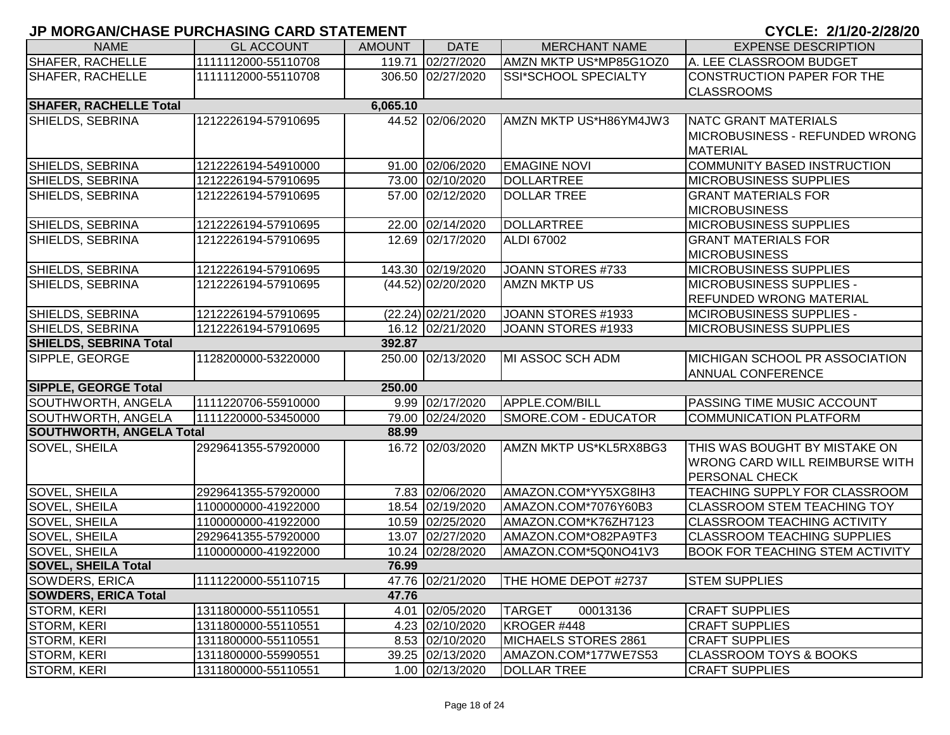| <b>NAME</b>                     | <b>GL ACCOUNT</b>   | <b>AMOUNT</b> | <b>DATE</b>          | <b>MERCHANT NAME</b>        | <b>EXPENSE DESCRIPTION</b>             |
|---------------------------------|---------------------|---------------|----------------------|-----------------------------|----------------------------------------|
| SHAFER, RACHELLE                | 1111112000-55110708 |               | 119.71 02/27/2020    | AMZN MKTP US*MP85G1OZ0      | A. LEE CLASSROOM BUDGET                |
| <b>SHAFER, RACHELLE</b>         | 1111112000-55110708 |               | 306.50 02/27/2020    | SSI*SCHOOL SPECIALTY        | CONSTRUCTION PAPER FOR THE             |
|                                 |                     |               |                      |                             | <b>CLASSROOMS</b>                      |
| <b>SHAFER, RACHELLE Total</b>   |                     | 6,065.10      |                      |                             |                                        |
| SHIELDS, SEBRINA                | 1212226194-57910695 |               | 44.52 02/06/2020     | AMZN MKTP US*H86YM4JW3      | NATC GRANT MATERIALS                   |
|                                 |                     |               |                      |                             | MICROBUSINESS - REFUNDED WRONG         |
|                                 |                     |               |                      |                             | <b>MATERIAL</b>                        |
| SHIELDS, SEBRINA                | 1212226194-54910000 |               | 91.00 02/06/2020     | <b>EMAGINE NOVI</b>         | COMMUNITY BASED INSTRUCTION            |
| SHIELDS, SEBRINA                | 1212226194-57910695 |               | 73.00 02/10/2020     | DOLLARTREE                  | <b>MICROBUSINESS SUPPLIES</b>          |
| SHIELDS, SEBRINA                | 1212226194-57910695 |               | 57.00 02/12/2020     | <b>DOLLAR TREE</b>          | <b>GRANT MATERIALS FOR</b>             |
|                                 |                     |               |                      |                             | <b>MICROBUSINESS</b>                   |
| SHIELDS, SEBRINA                | 1212226194-57910695 |               | 22.00 02/14/2020     | DOLLARTREE                  | <b>MICROBUSINESS SUPPLIES</b>          |
| SHIELDS, SEBRINA                | 1212226194-57910695 |               | 12.69 02/17/2020     | <b>ALDI 67002</b>           | <b>GRANT MATERIALS FOR</b>             |
|                                 |                     |               |                      |                             | <b>MICROBUSINESS</b>                   |
| SHIELDS, SEBRINA                | 1212226194-57910695 |               | 143.30 02/19/2020    | JOANN STORES #733           | <b>MICROBUSINESS SUPPLIES</b>          |
| SHIELDS, SEBRINA                | 1212226194-57910695 |               | $(44.52)$ 02/20/2020 | <b>AMZN MKTP US</b>         | <b>MICROBUSINESS SUPPLIES -</b>        |
|                                 |                     |               |                      |                             | <b>REFUNDED WRONG MATERIAL</b>         |
| SHIELDS, SEBRINA                | 1212226194-57910695 |               | (22.24) 02/21/2020   | JOANN STORES #1933          | MCIROBUSINESS SUPPLIES -               |
| SHIELDS, SEBRINA                | 1212226194-57910695 |               | 16.12 02/21/2020     | JOANN STORES #1933          | <b>MICROBUSINESS SUPPLIES</b>          |
| <b>SHIELDS, SEBRINA Total</b>   |                     | 392.87        |                      |                             |                                        |
| SIPPLE, GEORGE                  | 1128200000-53220000 |               | 250.00 02/13/2020    | MI ASSOC SCH ADM            | MICHIGAN SCHOOL PR ASSOCIATION         |
|                                 |                     |               |                      |                             | <b>ANNUAL CONFERENCE</b>               |
| <b>SIPPLE, GEORGE Total</b>     |                     | 250.00        |                      |                             |                                        |
| SOUTHWORTH, ANGELA              | 1111220706-55910000 |               | 9.99 02/17/2020      | APPLE.COM/BILL              | <b>PASSING TIME MUSIC ACCOUNT</b>      |
| SOUTHWORTH, ANGELA              | 1111220000-53450000 |               | 79.00 02/24/2020     | SMORE.COM - EDUCATOR        | <b>COMMUNICATION PLATFORM</b>          |
| <b>SOUTHWORTH, ANGELA Total</b> |                     | 88.99         |                      |                             |                                        |
| <b>SOVEL, SHEILA</b>            | 2929641355-57920000 |               | 16.72 02/03/2020     | AMZN MKTP US*KL5RX8BG3      | THIS WAS BOUGHT BY MISTAKE ON          |
|                                 |                     |               |                      |                             | <b>WRONG CARD WILL REIMBURSE WITH</b>  |
|                                 |                     |               |                      |                             | <b>PERSONAL CHECK</b>                  |
| SOVEL, SHEILA                   | 2929641355-57920000 |               | 7.83 02/06/2020      | AMAZON.COM*YY5XG8IH3        | TEACHING SUPPLY FOR CLASSROOM          |
| SOVEL, SHEILA                   | 1100000000-41922000 |               | 18.54 02/19/2020     | AMAZON.COM*7076Y60B3        | <b>CLASSROOM STEM TEACHING TOY</b>     |
| SOVEL, SHEILA                   | 1100000000-41922000 |               | 10.59 02/25/2020     | AMAZON.COM*K76ZH7123        | <b>CLASSROOM TEACHING ACTIVITY</b>     |
| <b>SOVEL, SHEILA</b>            | 2929641355-57920000 |               | 13.07 02/27/2020     | AMAZON.COM*O82PA9TF3        | <b>CLASSROOM TEACHING SUPPLIES</b>     |
| <b>SOVEL, SHEILA</b>            | 1100000000-41922000 |               | 10.24 02/28/2020     | AMAZON.COM*5Q0NO41V3        | <b>BOOK FOR TEACHING STEM ACTIVITY</b> |
| <b>SOVEL, SHEILA Total</b>      |                     | 76.99         |                      |                             |                                        |
| SOWDERS, ERICA                  | 1111220000-55110715 |               | 47.76 02/21/2020     | <b>THE HOME DEPOT #2737</b> | <b>STEM SUPPLIES</b>                   |
| <b>SOWDERS, ERICA Total</b>     |                     | 47.76         |                      |                             |                                        |
| STORM, KERI                     | 1311800000-55110551 |               | 4.01 02/05/2020      | <b>TARGET</b><br>00013136   | <b>CRAFT SUPPLIES</b>                  |
| STORM, KERI                     | 1311800000-55110551 |               | 4.23 02/10/2020      | KROGER #448                 | <b>CRAFT SUPPLIES</b>                  |
| STORM, KERI                     | 1311800000-55110551 |               | 8.53 02/10/2020      | MICHAELS STORES 2861        | <b>CRAFT SUPPLIES</b>                  |
| STORM, KERI                     | 1311800000-55990551 |               | 39.25 02/13/2020     | AMAZON.COM*177WE7S53        | <b>CLASSROOM TOYS &amp; BOOKS</b>      |
| STORM, KERI                     | 1311800000-55110551 |               | 1.00 02/13/2020      | <b>DOLLAR TREE</b>          | <b>CRAFT SUPPLIES</b>                  |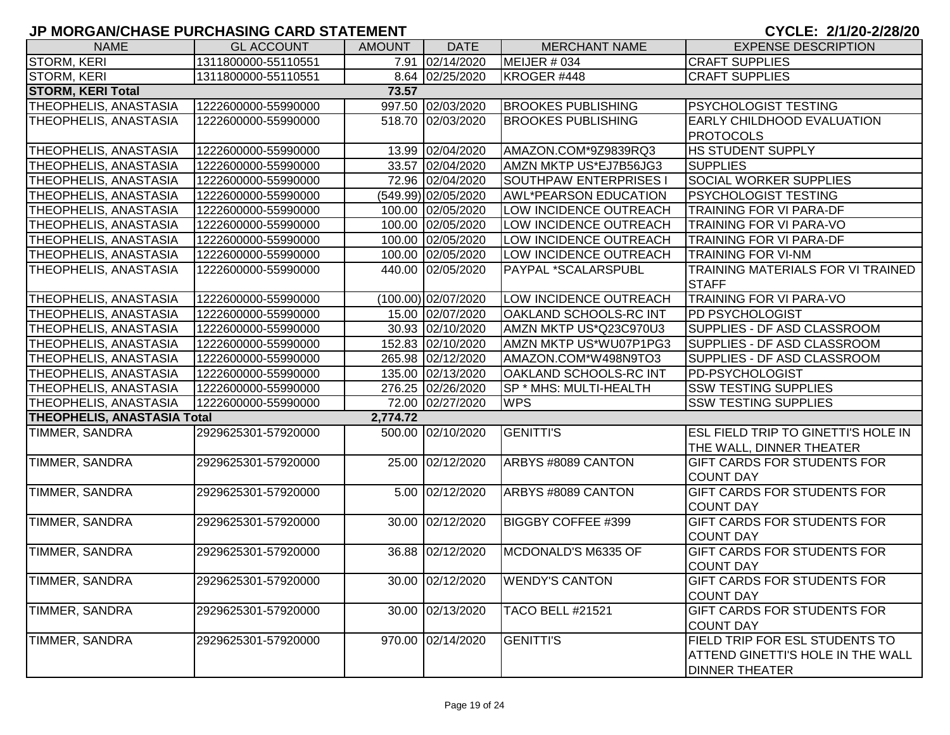| <b>NAME</b>                        | <b>GL ACCOUNT</b>   | <b>AMOUNT</b> | <b>DATE</b>           | <b>MERCHANT NAME</b>          | <b>EXPENSE DESCRIPTION</b>                 |  |  |  |  |
|------------------------------------|---------------------|---------------|-----------------------|-------------------------------|--------------------------------------------|--|--|--|--|
| STORM, KERI                        | 1311800000-55110551 |               | 7.91 02/14/2020       | MEIJER # 034                  | <b>CRAFT SUPPLIES</b>                      |  |  |  |  |
| <b>STORM, KERI</b>                 | 1311800000-55110551 |               | 8.64 02/25/2020       | KROGER #448                   | <b>CRAFT SUPPLIES</b>                      |  |  |  |  |
| <b>STORM, KERI Total</b><br>73.57  |                     |               |                       |                               |                                            |  |  |  |  |
| <b>THEOPHELIS, ANASTASIA</b>       | 1222600000-55990000 |               | 997.50 02/03/2020     | <b>BROOKES PUBLISHING</b>     | <b>PSYCHOLOGIST TESTING</b>                |  |  |  |  |
| THEOPHELIS, ANASTASIA              | 1222600000-55990000 |               | 518.70 02/03/2020     | <b>BROOKES PUBLISHING</b>     | <b>EARLY CHILDHOOD EVALUATION</b>          |  |  |  |  |
|                                    |                     |               |                       |                               | <b>PROTOCOLS</b>                           |  |  |  |  |
| <b>THEOPHELIS, ANASTASIA</b>       | 1222600000-55990000 |               | 13.99 02/04/2020      | AMAZON.COM*9Z9839RQ3          | <b>HS STUDENT SUPPLY</b>                   |  |  |  |  |
| <b>THEOPHELIS, ANASTASIA</b>       | 1222600000-55990000 |               | 33.57 02/04/2020      | AMZN MKTP US*EJ7B56JG3        | <b>SUPPLIES</b>                            |  |  |  |  |
| <b>THEOPHELIS, ANASTASIA</b>       | 1222600000-55990000 |               | 72.96 02/04/2020      | <b>SOUTHPAW ENTERPRISES I</b> | <b>SOCIAL WORKER SUPPLIES</b>              |  |  |  |  |
| <b>THEOPHELIS, ANASTASIA</b>       | 1222600000-55990000 |               | (549.99) 02/05/2020   | <b>AWL*PEARSON EDUCATION</b>  | <b>PSYCHOLOGIST TESTING</b>                |  |  |  |  |
| <b>THEOPHELIS, ANASTASIA</b>       | 1222600000-55990000 |               | 100.00 02/05/2020     | LOW INCIDENCE OUTREACH        | <b>TRAINING FOR VI PARA-DF</b>             |  |  |  |  |
| <b>THEOPHELIS, ANASTASIA</b>       | 1222600000-55990000 |               | 100.00 02/05/2020     | LOW INCIDENCE OUTREACH        | <b>TRAINING FOR VI PARA-VO</b>             |  |  |  |  |
| THEOPHELIS, ANASTASIA              | 1222600000-55990000 |               | 100.00 02/05/2020     | LOW INCIDENCE OUTREACH        | <b>TRAINING FOR VI PARA-DF</b>             |  |  |  |  |
| THEOPHELIS, ANASTASIA              | 1222600000-55990000 |               | 100.00 02/05/2020     | LOW INCIDENCE OUTREACH        | <b>TRAINING FOR VI-NM</b>                  |  |  |  |  |
| THEOPHELIS, ANASTASIA              | 1222600000-55990000 |               | 440.00 02/05/2020     | PAYPAL *SCALARSPUBL           | TRAINING MATERIALS FOR VI TRAINED          |  |  |  |  |
|                                    |                     |               |                       |                               | <b>STAFF</b>                               |  |  |  |  |
| <b>THEOPHELIS, ANASTASIA</b>       | 1222600000-55990000 |               | $(100.00)$ 02/07/2020 | LOW INCIDENCE OUTREACH        | <b>TRAINING FOR VI PARA-VO</b>             |  |  |  |  |
| <b>THEOPHELIS, ANASTASIA</b>       | 1222600000-55990000 |               | 15.00 02/07/2020      | OAKLAND SCHOOLS-RC INT        | <b>PD PSYCHOLOGIST</b>                     |  |  |  |  |
| <b>THEOPHELIS, ANASTASIA</b>       | 1222600000-55990000 |               | 30.93 02/10/2020      | AMZN MKTP US*Q23C970U3        | SUPPLIES - DF ASD CLASSROOM                |  |  |  |  |
| THEOPHELIS, ANASTASIA              | 1222600000-55990000 |               | 152.83 02/10/2020     | AMZN MKTP US*WU07P1PG3        | SUPPLIES - DF ASD CLASSROOM                |  |  |  |  |
| <b>THEOPHELIS, ANASTASIA</b>       | 1222600000-55990000 |               | 265.98 02/12/2020     | AMAZON.COM*W498N9TO3          | SUPPLIES - DF ASD CLASSROOM                |  |  |  |  |
| THEOPHELIS, ANASTASIA              | 1222600000-55990000 |               | 135.00 02/13/2020     | OAKLAND SCHOOLS-RC INT        | <b>PD-PSYCHOLOGIST</b>                     |  |  |  |  |
| THEOPHELIS, ANASTASIA              | 1222600000-55990000 |               | 276.25 02/26/2020     | SP * MHS: MULTI-HEALTH        | <b>SSW TESTING SUPPLIES</b>                |  |  |  |  |
| THEOPHELIS, ANASTASIA              | 1222600000-55990000 |               | 72.00 02/27/2020      | <b>WPS</b>                    | <b>SSW TESTING SUPPLIES</b>                |  |  |  |  |
| <b>THEOPHELIS, ANASTASIA Total</b> |                     | 2,774.72      |                       |                               |                                            |  |  |  |  |
| <b>TIMMER, SANDRA</b>              | 2929625301-57920000 |               | 500.00 02/10/2020     | <b>GENITTI'S</b>              | <b>ESL FIELD TRIP TO GINETTI'S HOLE IN</b> |  |  |  |  |
|                                    |                     |               |                       |                               | THE WALL, DINNER THEATER                   |  |  |  |  |
| TIMMER, SANDRA                     | 2929625301-57920000 |               | 25.00 02/12/2020      | ARBYS #8089 CANTON            | <b>GIFT CARDS FOR STUDENTS FOR</b>         |  |  |  |  |
|                                    |                     |               |                       |                               | <b>COUNT DAY</b>                           |  |  |  |  |
| TIMMER, SANDRA                     | 2929625301-57920000 |               | 5.00 02/12/2020       | ARBYS #8089 CANTON            | GIFT CARDS FOR STUDENTS FOR                |  |  |  |  |
|                                    |                     |               |                       |                               | <b>COUNT DAY</b>                           |  |  |  |  |
| TIMMER, SANDRA                     | 2929625301-57920000 |               | 30.00 02/12/2020      | <b>BIGGBY COFFEE #399</b>     | GIFT CARDS FOR STUDENTS FOR                |  |  |  |  |
|                                    |                     |               |                       |                               | <b>COUNT DAY</b>                           |  |  |  |  |
| <b>TIMMER, SANDRA</b>              | 2929625301-57920000 |               | 36.88 02/12/2020      | MCDONALD'S M6335 OF           | <b>GIFT CARDS FOR STUDENTS FOR</b>         |  |  |  |  |
|                                    |                     |               |                       |                               | <b>COUNT DAY</b>                           |  |  |  |  |
| TIMMER, SANDRA                     | 2929625301-57920000 |               | 30.00 02/12/2020      | <b>WENDY'S CANTON</b>         | <b>GIFT CARDS FOR STUDENTS FOR</b>         |  |  |  |  |
|                                    |                     |               |                       |                               | <b>COUNT DAY</b>                           |  |  |  |  |
| TIMMER, SANDRA                     | 2929625301-57920000 |               | 30.00 02/13/2020      | <b>TACO BELL #21521</b>       | GIFT CARDS FOR STUDENTS FOR                |  |  |  |  |
|                                    |                     |               |                       |                               | <b>COUNT DAY</b>                           |  |  |  |  |
| TIMMER, SANDRA                     | 2929625301-57920000 |               | 970.00 02/14/2020     | <b>GENITTI'S</b>              | FIELD TRIP FOR ESL STUDENTS TO             |  |  |  |  |
|                                    |                     |               |                       |                               | <b>ATTEND GINETTI'S HOLE IN THE WALL</b>   |  |  |  |  |
|                                    |                     |               |                       |                               | <b>DINNER THEATER</b>                      |  |  |  |  |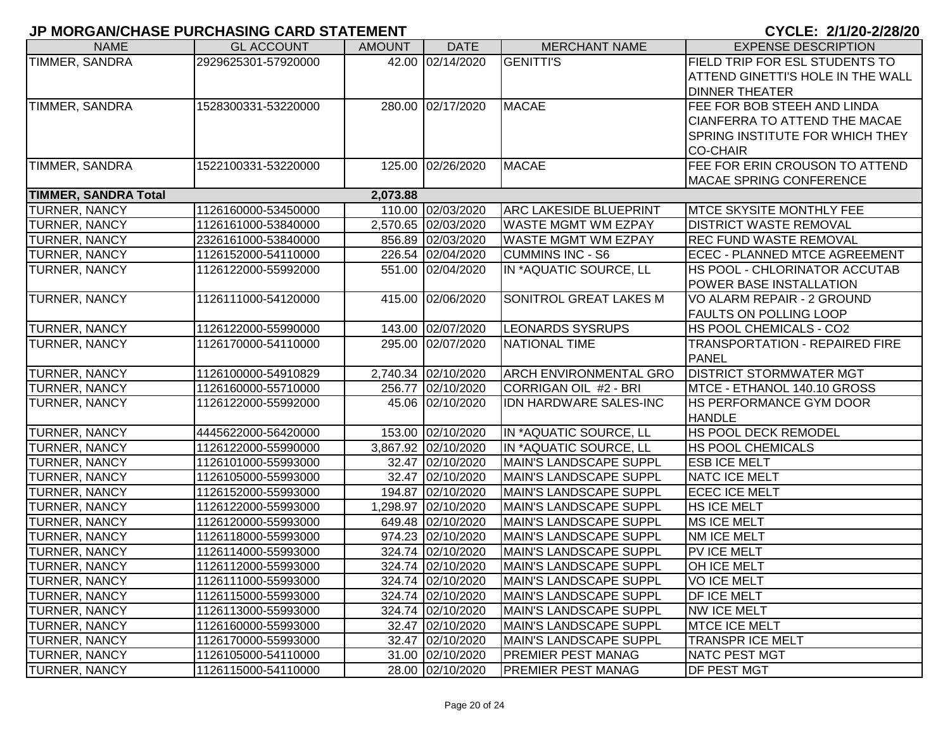| <b>NAME</b>                 | <b>GL ACCOUNT</b>   | <b>AMOUNT</b> | <b>DATE</b>         | <b>MERCHANT NAME</b>          | <b>EXPENSE DESCRIPTION</b>               |
|-----------------------------|---------------------|---------------|---------------------|-------------------------------|------------------------------------------|
| TIMMER, SANDRA              | 2929625301-57920000 |               | 42.00 02/14/2020    | <b>GENITTI'S</b>              | FIELD TRIP FOR ESL STUDENTS TO           |
|                             |                     |               |                     |                               | <b>ATTEND GINETTI'S HOLE IN THE WALL</b> |
|                             |                     |               |                     |                               | <b>DINNER THEATER</b>                    |
| TIMMER, SANDRA              | 1528300331-53220000 |               | 280.00 02/17/2020   | MACAE                         | FEE FOR BOB STEEH AND LINDA              |
|                             |                     |               |                     |                               | <b>CIANFERRA TO ATTEND THE MACAE</b>     |
|                             |                     |               |                     |                               | <b>SPRING INSTITUTE FOR WHICH THEY</b>   |
|                             |                     |               |                     |                               | <b>CO-CHAIR</b>                          |
| TIMMER, SANDRA              | 1522100331-53220000 |               | 125.00 02/26/2020   | MACAE                         | FEE FOR ERIN CROUSON TO ATTEND           |
|                             |                     |               |                     |                               | <b>MACAE SPRING CONFERENCE</b>           |
| <b>TIMMER, SANDRA Total</b> |                     | 2,073.88      |                     |                               |                                          |
| TURNER, NANCY               | 1126160000-53450000 |               | 110.00 02/03/2020   | <b>ARC LAKESIDE BLUEPRINT</b> | <b>MTCE SKYSITE MONTHLY FEE</b>          |
| TURNER, NANCY               | 1126161000-53840000 |               | 2,570.65 02/03/2020 | <b>WASTE MGMT WM EZPAY</b>    | <b>DISTRICT WASTE REMOVAL</b>            |
| TURNER, NANCY               | 2326161000-53840000 |               | 856.89 02/03/2020   | <b>WASTE MGMT WM EZPAY</b>    | <b>REC FUND WASTE REMOVAL</b>            |
| TURNER, NANCY               | 1126152000-54110000 |               | 226.54 02/04/2020   | <b>CUMMINS INC - S6</b>       | ECEC - PLANNED MTCE AGREEMENT            |
| TURNER, NANCY               | 1126122000-55992000 |               | 551.00 02/04/2020   | IN *AQUATIC SOURCE, LL        | HS POOL - CHLORINATOR ACCUTAB            |
|                             |                     |               |                     |                               | <b>POWER BASE INSTALLATION</b>           |
| TURNER, NANCY               | 1126111000-54120000 |               | 415.00 02/06/2020   | SONITROL GREAT LAKES M        | VO ALARM REPAIR - 2 GROUND               |
|                             |                     |               |                     |                               | <b>FAULTS ON POLLING LOOP</b>            |
| <b>TURNER, NANCY</b>        | 1126122000-55990000 |               | 143.00 02/07/2020   | <b>LEONARDS SYSRUPS</b>       | HS POOL CHEMICALS - CO2                  |
| TURNER, NANCY               | 1126170000-54110000 |               | 295.00 02/07/2020   | NATIONAL TIME                 | <b>TRANSPORTATION - REPAIRED FIRE</b>    |
|                             |                     |               |                     |                               | <b>PANEL</b>                             |
| TURNER, NANCY               | 1126100000-54910829 |               | 2,740.34 02/10/2020 | <b>ARCH ENVIRONMENTAL GRO</b> | <b>DISTRICT STORMWATER MGT</b>           |
| TURNER, NANCY               | 1126160000-55710000 |               | 256.77 02/10/2020   | CORRIGAN OIL #2 - BRI         | MTCE - ETHANOL 140.10 GROSS              |
| TURNER, NANCY               | 1126122000-55992000 |               | 45.06 02/10/2020    | IDN HARDWARE SALES-INC        | HS PERFORMANCE GYM DOOR                  |
|                             |                     |               |                     |                               | <b>HANDLE</b>                            |
| <b>TURNER, NANCY</b>        | 4445622000-56420000 |               | 153.00 02/10/2020   | IN *AQUATIC SOURCE, LL        | HS POOL DECK REMODEL                     |
| TURNER, NANCY               | 1126122000-55990000 |               | 3,867.92 02/10/2020 | IN *AQUATIC SOURCE, LL        | <b>HS POOL CHEMICALS</b>                 |
| TURNER, NANCY               | 1126101000-55993000 |               | 32.47 02/10/2020    | MAIN'S LANDSCAPE SUPPL        | <b>ESB ICE MELT</b>                      |
| TURNER, NANCY               | 1126105000-55993000 |               | 32.47 02/10/2020    | MAIN'S LANDSCAPE SUPPL        | <b>NATC ICE MELT</b>                     |
| TURNER, NANCY               | 1126152000-55993000 |               | 194.87 02/10/2020   | <b>MAIN'S LANDSCAPE SUPPL</b> | <b>ECEC ICE MELT</b>                     |
| TURNER, NANCY               | 1126122000-55993000 |               | 1,298.97 02/10/2020 | MAIN'S LANDSCAPE SUPPL        | <b>HS ICE MELT</b>                       |
| TURNER, NANCY               | 1126120000-55993000 |               | 649.48 02/10/2020   | MAIN'S LANDSCAPE SUPPL        | MS ICE MELT                              |
| TURNER, NANCY               | 1126118000-55993000 |               | 974.23 02/10/2020   | MAIN'S LANDSCAPE SUPPL        | NM ICE MELT                              |
| TURNER, NANCY               | 1126114000-55993000 |               | 324.74 02/10/2020   | <b>MAIN'S LANDSCAPE SUPPL</b> | PV ICE MELT                              |
| <b>TURNER, NANCY</b>        | 1126112000-55993000 |               | 324.74 02/10/2020   | MAIN'S LANDSCAPE SUPPL        | OH ICE MELT                              |
| <b>TURNER, NANCY</b>        | 1126111000-55993000 |               | 324.74 02/10/2020   | MAIN'S LANDSCAPE SUPPL        | <b>VOICE MELT</b>                        |
| TURNER, NANCY               | 1126115000-55993000 |               | 324.74 02/10/2020   | <b>MAIN'S LANDSCAPE SUPPL</b> | <b>DF ICE MELT</b>                       |
| TURNER, NANCY               | 1126113000-55993000 |               | 324.74 02/10/2020   | MAIN'S LANDSCAPE SUPPL        | <b>NW ICE MELT</b>                       |
| <b>TURNER, NANCY</b>        | 1126160000-55993000 |               | 32.47 02/10/2020    | MAIN'S LANDSCAPE SUPPL        | <b>MTCE ICE MELT</b>                     |
| <b>TURNER, NANCY</b>        | 1126170000-55993000 |               | 32.47 02/10/2020    | MAIN'S LANDSCAPE SUPPL        | <b>TRANSPR ICE MELT</b>                  |
| <b>TURNER, NANCY</b>        | 1126105000-54110000 |               | 31.00 02/10/2020    | <b>PREMIER PEST MANAG</b>     | <b>NATC PEST MGT</b>                     |
| <b>TURNER, NANCY</b>        | 1126115000-54110000 |               | 28.00 02/10/2020    | <b>PREMIER PEST MANAG</b>     | <b>DF PEST MGT</b>                       |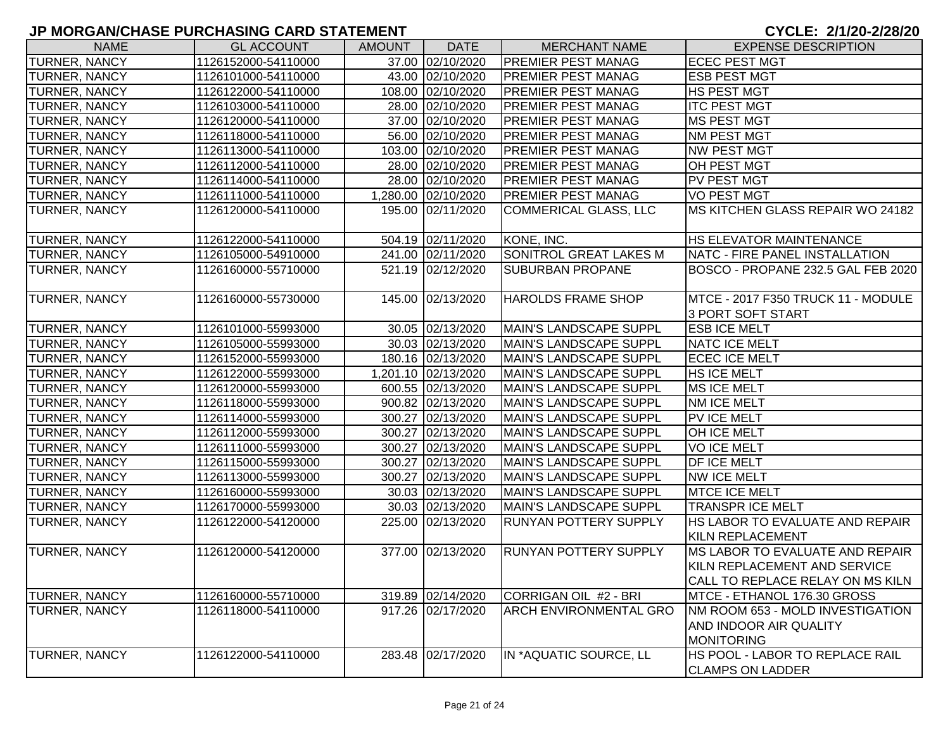| <b>NAME</b>          | <b>GL ACCOUNT</b>                          | <b>AMOUNT</b> | <b>DATE</b>                          | <b>MERCHANT NAME</b>                             | <b>EXPENSE DESCRIPTION</b>                                                                          |
|----------------------|--------------------------------------------|---------------|--------------------------------------|--------------------------------------------------|-----------------------------------------------------------------------------------------------------|
| <b>TURNER, NANCY</b> | 1126152000-54110000                        |               | 37.00 02/10/2020                     | <b>PREMIER PEST MANAG</b>                        | <b>ECEC PEST MGT</b>                                                                                |
| <b>TURNER, NANCY</b> | 1126101000-54110000                        |               | 43.00 02/10/2020                     | <b>PREMIER PEST MANAG</b>                        | <b>ESB PEST MGT</b>                                                                                 |
| <b>TURNER, NANCY</b> | 1126122000-54110000                        |               | 108.00 02/10/2020                    | PREMIER PEST MANAG                               | <b>HS PEST MGT</b>                                                                                  |
| <b>TURNER, NANCY</b> | 1126103000-54110000                        |               | 28.00 02/10/2020                     | PREMIER PEST MANAG                               | <b>ITC PEST MGT</b>                                                                                 |
| <b>TURNER, NANCY</b> | 1126120000-54110000                        |               | 37.00 02/10/2020                     | <b>PREMIER PEST MANAG</b>                        | <b>MS PEST MGT</b>                                                                                  |
| <b>TURNER, NANCY</b> | 1126118000-54110000                        |               | 56.00 02/10/2020                     | <b>PREMIER PEST MANAG</b>                        | <b>NM PEST MGT</b>                                                                                  |
| <b>TURNER, NANCY</b> | 1126113000-54110000                        |               | 103.00 02/10/2020                    | <b>PREMIER PEST MANAG</b>                        | NW PEST MGT                                                                                         |
| <b>TURNER, NANCY</b> | 1126112000-54110000                        |               | 28.00 02/10/2020                     | <b>PREMIER PEST MANAG</b>                        | OH PEST MGT                                                                                         |
| <b>TURNER, NANCY</b> | 1126114000-54110000                        |               | 28.00 02/10/2020                     | <b>PREMIER PEST MANAG</b>                        | <b>PV PEST MGT</b>                                                                                  |
| <b>TURNER, NANCY</b> | 1126111000-54110000                        |               | 1,280.00 02/10/2020                  | PREMIER PEST MANAG                               | <b>VO PEST MGT</b>                                                                                  |
| <b>TURNER, NANCY</b> | 1126120000-54110000                        |               | 195.00 02/11/2020                    | <b>COMMERICAL GLASS, LLC</b>                     | MS KITCHEN GLASS REPAIR WO 24182                                                                    |
| TURNER, NANCY        | 1126122000-54110000                        |               | 504.19 02/11/2020                    | KONE, INC.                                       | <b>HS ELEVATOR MAINTENANCE</b>                                                                      |
| <b>TURNER, NANCY</b> | 1126105000-54910000                        |               | 241.00 02/11/2020                    | SONITROL GREAT LAKES M                           | NATC - FIRE PANEL INSTALLATION                                                                      |
| TURNER, NANCY        | 1126160000-55710000                        |               | 521.19 02/12/2020                    | <b>SUBURBAN PROPANE</b>                          | BOSCO - PROPANE 232.5 GAL FEB 2020                                                                  |
| <b>TURNER, NANCY</b> | 1126160000-55730000                        |               | 145.00 02/13/2020                    | <b>HAROLDS FRAME SHOP</b>                        | MTCE - 2017 F350 TRUCK 11 - MODULE                                                                  |
|                      |                                            |               |                                      |                                                  | 3 PORT SOFT START                                                                                   |
| <b>TURNER, NANCY</b> | 1126101000-55993000                        |               | 30.05 02/13/2020                     | MAIN'S LANDSCAPE SUPPL                           | <b>ESB ICE MELT</b>                                                                                 |
| <b>TURNER, NANCY</b> | 1126105000-55993000                        |               | 30.03 02/13/2020                     | <b>MAIN'S LANDSCAPE SUPPL</b>                    | <b>NATC ICE MELT</b>                                                                                |
| <b>TURNER, NANCY</b> | 1126152000-55993000                        |               | 180.16 02/13/2020                    | <b>MAIN'S LANDSCAPE SUPPL</b>                    | <b>ECEC ICE MELT</b>                                                                                |
| <b>TURNER, NANCY</b> | 1126122000-55993000                        |               | 1,201.10 02/13/2020                  | MAIN'S LANDSCAPE SUPPL                           | HS ICE MELT                                                                                         |
| <b>TURNER, NANCY</b> | 1126120000-55993000                        |               | 600.55 02/13/2020                    | MAIN'S LANDSCAPE SUPPL                           | MS ICE MELT                                                                                         |
| <b>TURNER, NANCY</b> | 1126118000-55993000                        |               | 900.82 02/13/2020                    | MAIN'S LANDSCAPE SUPPL                           | <b>NM ICE MELT</b>                                                                                  |
| <b>TURNER, NANCY</b> | 1126114000-55993000                        |               | 300.27 02/13/2020                    | MAIN'S LANDSCAPE SUPPL                           | <b>PV ICE MELT</b>                                                                                  |
| <b>TURNER, NANCY</b> | 1126112000-55993000                        |               | 300.27 02/13/2020                    | MAIN'S LANDSCAPE SUPPL                           | OH ICE MELT                                                                                         |
| <b>TURNER, NANCY</b> | 1126111000-55993000                        |               | 300.27 02/13/2020                    | MAIN'S LANDSCAPE SUPPL                           | <b>VOICE MELT</b><br><b>DF ICE MELT</b>                                                             |
| <b>TURNER, NANCY</b> | 1126115000-55993000                        |               | 300.27 02/13/2020                    | MAIN'S LANDSCAPE SUPPL                           |                                                                                                     |
| <b>TURNER, NANCY</b> | 1126113000-55993000                        |               | 300.27 02/13/2020                    | <b>MAIN'S LANDSCAPE SUPPL</b>                    | <b>NW ICE MELT</b><br><b>MTCE ICE MELT</b>                                                          |
| <b>TURNER, NANCY</b> | 1126160000-55993000                        |               | 30.03 02/13/2020<br>30.03 02/13/2020 | MAIN'S LANDSCAPE SUPPL<br>MAIN'S LANDSCAPE SUPPL | <b>TRANSPR ICE MELT</b>                                                                             |
| <b>TURNER, NANCY</b> | 1126170000-55993000<br>1126122000-54120000 |               | 225.00 02/13/2020                    | <b>RUNYAN POTTERY SUPPLY</b>                     | HS LABOR TO EVALUATE AND REPAIR                                                                     |
| <b>TURNER, NANCY</b> |                                            |               |                                      |                                                  | <b>KILN REPLACEMENT</b>                                                                             |
| <b>TURNER, NANCY</b> | 1126120000-54120000                        |               | 377.00 02/13/2020                    | <b>RUNYAN POTTERY SUPPLY</b>                     | MS LABOR TO EVALUATE AND REPAIR<br>KILN REPLACEMENT AND SERVICE<br>CALL TO REPLACE RELAY ON MS KILN |
| <b>TURNER, NANCY</b> | 1126160000-55710000                        |               | 319.89 02/14/2020                    | CORRIGAN OIL #2 - BRI                            | MTCE - ETHANOL 176.30 GROSS                                                                         |
| <b>TURNER, NANCY</b> | 1126118000-54110000                        |               | 917.26 02/17/2020                    | <b>ARCH ENVIRONMENTAL GRO</b>                    | NM ROOM 653 - MOLD INVESTIGATION<br><b>AND INDOOR AIR QUALITY</b><br><b>MONITORING</b>              |
| TURNER, NANCY        | 1126122000-54110000                        |               | 283.48 02/17/2020                    | IN *AQUATIC SOURCE, LL                           | <b>HS POOL - LABOR TO REPLACE RAIL</b><br><b>CLAMPS ON LADDER</b>                                   |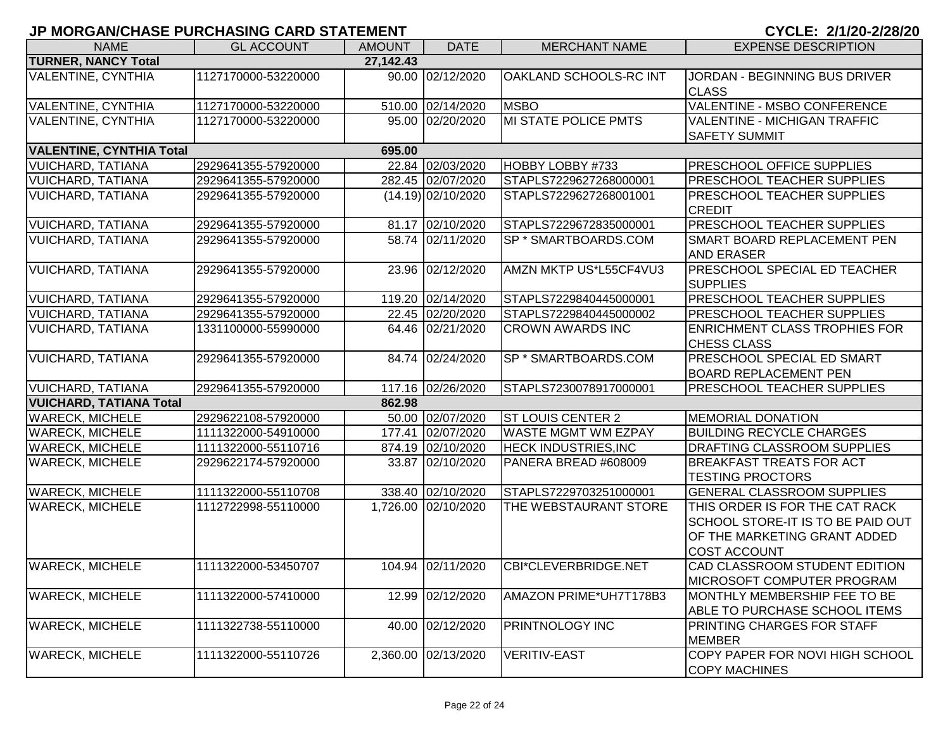| <b>NAME</b>                     | <b>GL ACCOUNT</b>   | <b>AMOUNT</b> | <b>DATE</b>          | <b>MERCHANT NAME</b>        | <b>EXPENSE DESCRIPTION</b>                                                                                                 |
|---------------------------------|---------------------|---------------|----------------------|-----------------------------|----------------------------------------------------------------------------------------------------------------------------|
| <b>TURNER, NANCY Total</b>      |                     | 27,142.43     |                      |                             |                                                                                                                            |
| VALENTINE, CYNTHIA              | 1127170000-53220000 |               | 90.00 02/12/2020     | OAKLAND SCHOOLS-RC INT      | JORDAN - BEGINNING BUS DRIVER<br><b>CLASS</b>                                                                              |
| <b>VALENTINE, CYNTHIA</b>       | 1127170000-53220000 |               | 510.00 02/14/2020    | <b>IMSBO</b>                | VALENTINE - MSBO CONFERENCE                                                                                                |
| <b>VALENTINE, CYNTHIA</b>       | 1127170000-53220000 |               | 95.00 02/20/2020     | <b>MI STATE POLICE PMTS</b> | VALENTINE - MICHIGAN TRAFFIC<br><b>SAFETY SUMMIT</b>                                                                       |
| <b>VALENTINE, CYNTHIA Total</b> |                     | 695.00        |                      |                             |                                                                                                                            |
| <b>VUICHARD, TATIANA</b>        | 2929641355-57920000 |               | 22.84 02/03/2020     | HOBBY LOBBY #733            | PRESCHOOL OFFICE SUPPLIES                                                                                                  |
| <b>VUICHARD, TATIANA</b>        | 2929641355-57920000 |               | 282.45 02/07/2020    | STAPLS7229627268000001      | PRESCHOOL TEACHER SUPPLIES                                                                                                 |
| <b>VUICHARD, TATIANA</b>        | 2929641355-57920000 |               | $(14.19)$ 02/10/2020 | STAPLS7229627268001001      | <b>PRESCHOOL TEACHER SUPPLIES</b><br><b>CREDIT</b>                                                                         |
| <b>VUICHARD, TATIANA</b>        | 2929641355-57920000 |               | 81.17 02/10/2020     | STAPLS7229672835000001      | PRESCHOOL TEACHER SUPPLIES                                                                                                 |
| <b>VUICHARD, TATIANA</b>        | 2929641355-57920000 |               | 58.74 02/11/2020     | SP * SMARTBOARDS.COM        | SMART BOARD REPLACEMENT PEN<br><b>AND ERASER</b>                                                                           |
| <b>VUICHARD, TATIANA</b>        | 2929641355-57920000 |               | 23.96 02/12/2020     | AMZN MKTP US*L55CF4VU3      | PRESCHOOL SPECIAL ED TEACHER<br><b>SUPPLIES</b>                                                                            |
| <b>VUICHARD, TATIANA</b>        | 2929641355-57920000 |               | 119.20 02/14/2020    | STAPLS7229840445000001      | PRESCHOOL TEACHER SUPPLIES                                                                                                 |
| <b>VUICHARD, TATIANA</b>        | 2929641355-57920000 |               | 22.45 02/20/2020     | STAPLS7229840445000002      | PRESCHOOL TEACHER SUPPLIES                                                                                                 |
| <b>VUICHARD, TATIANA</b>        | 1331100000-55990000 |               | 64.46 02/21/2020     | <b>CROWN AWARDS INC</b>     | <b>ENRICHMENT CLASS TROPHIES FOR</b><br><b>CHESS CLASS</b>                                                                 |
| <b>VUICHARD, TATIANA</b>        | 2929641355-57920000 |               | 84.74 02/24/2020     | SP * SMARTBOARDS.COM        | <b>PRESCHOOL SPECIAL ED SMART</b><br><b>BOARD REPLACEMENT PEN</b>                                                          |
| <b>VUICHARD, TATIANA</b>        | 2929641355-57920000 |               | 117.16 02/26/2020    | STAPLS7230078917000001      | <b>PRESCHOOL TEACHER SUPPLIES</b>                                                                                          |
| <b>VUICHARD, TATIANA Total</b>  |                     | 862.98        |                      |                             |                                                                                                                            |
| <b>WARECK, MICHELE</b>          | 2929622108-57920000 |               | 50.00 02/07/2020     | <b>ST LOUIS CENTER 2</b>    | <b>MEMORIAL DONATION</b>                                                                                                   |
| <b>WARECK, MICHELE</b>          | 1111322000-54910000 |               | 177.41 02/07/2020    | <b>WASTE MGMT WM EZPAY</b>  | <b>BUILDING RECYCLE CHARGES</b>                                                                                            |
| <b>WARECK, MICHELE</b>          | 1111322000-55110716 |               | 874.19 02/10/2020    | <b>HECK INDUSTRIES, INC</b> | DRAFTING CLASSROOM SUPPLIES                                                                                                |
| <b>WARECK, MICHELE</b>          | 2929622174-57920000 |               | 33.87 02/10/2020     | PANERA BREAD #608009        | <b>BREAKFAST TREATS FOR ACT</b><br><b>TESTING PROCTORS</b>                                                                 |
| <b>WARECK, MICHELE</b>          | 1111322000-55110708 |               | 338.40 02/10/2020    | STAPLS7229703251000001      | <b>GENERAL CLASSROOM SUPPLIES</b>                                                                                          |
| <b>WARECK, MICHELE</b>          | 1112722998-55110000 |               | 1,726.00 02/10/2020  | THE WEBSTAURANT STORE       | THIS ORDER IS FOR THE CAT RACK<br>SCHOOL STORE-IT IS TO BE PAID OUT<br>OF THE MARKETING GRANT ADDED<br><b>COST ACCOUNT</b> |
| <b>WARECK, MICHELE</b>          | 1111322000-53450707 |               | 104.94 02/11/2020    | CBI*CLEVERBRIDGE.NET        | CAD CLASSROOM STUDENT EDITION<br>MICROSOFT COMPUTER PROGRAM                                                                |
| <b>WARECK, MICHELE</b>          | 1111322000-57410000 |               | 12.99 02/12/2020     | AMAZON PRIME*UH7T178B3      | MONTHLY MEMBERSHIP FEE TO BE<br>ABLE TO PURCHASE SCHOOL ITEMS                                                              |
| <b>WARECK, MICHELE</b>          | 1111322738-55110000 |               | 40.00 02/12/2020     | <b>PRINTNOLOGY INC</b>      | PRINTING CHARGES FOR STAFF<br><b>MEMBER</b>                                                                                |
| <b>WARECK, MICHELE</b>          | 1111322000-55110726 |               | 2,360.00 02/13/2020  | <b>VERITIV-EAST</b>         | COPY PAPER FOR NOVI HIGH SCHOOL<br><b>COPY MACHINES</b>                                                                    |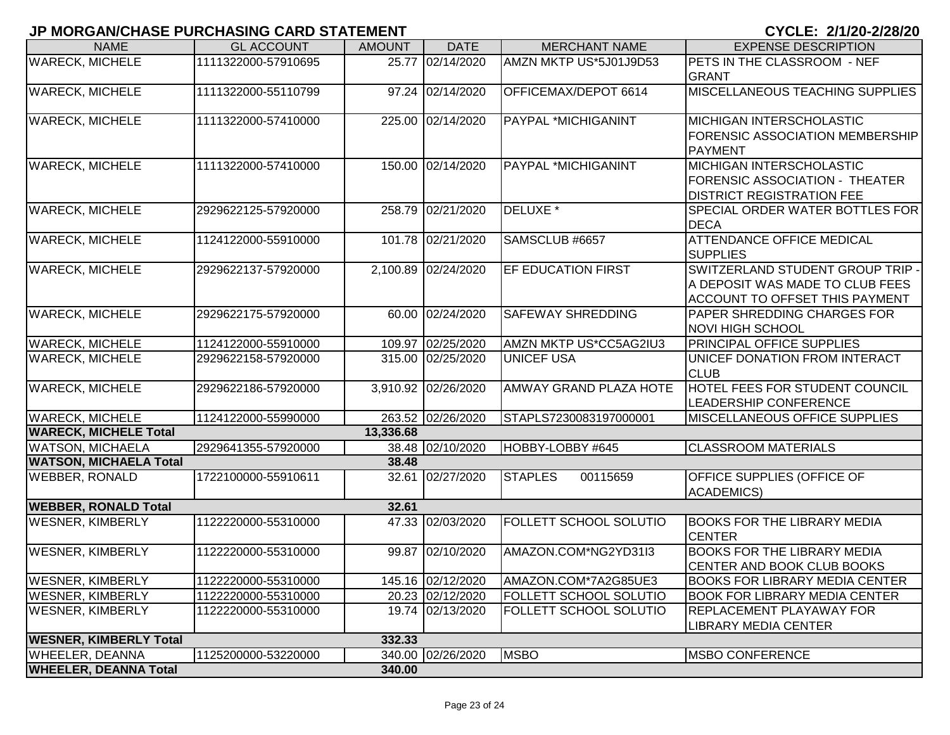| <b>NAME</b>                                              | <b>GL ACCOUNT</b>   | <b>AMOUNT</b> | <b>DATE</b>         | <b>MERCHANT NAME</b>          | <b>EXPENSE DESCRIPTION</b>                     |
|----------------------------------------------------------|---------------------|---------------|---------------------|-------------------------------|------------------------------------------------|
| <b>WARECK, MICHELE</b>                                   | 1111322000-57910695 | 25.77         | 02/14/2020          | AMZN MKTP US*5J01J9D53        | PETS IN THE CLASSROOM - NEF                    |
|                                                          |                     |               |                     |                               | <b>GRANT</b>                                   |
| <b>WARECK, MICHELE</b>                                   | 1111322000-55110799 |               | 97.24 02/14/2020    | OFFICEMAX/DEPOT 6614          | <b>MISCELLANEOUS TEACHING SUPPLIES</b>         |
|                                                          |                     |               |                     |                               |                                                |
| <b>WARECK, MICHELE</b>                                   | 1111322000-57410000 |               | 225.00 02/14/2020   | <b>PAYPAL *MICHIGANINT</b>    | <b>MICHIGAN INTERSCHOLASTIC</b>                |
|                                                          |                     |               |                     |                               | <b>FORENSIC ASSOCIATION MEMBERSHIP</b>         |
|                                                          |                     |               |                     |                               | PAYMENT                                        |
| <b>WARECK, MICHELE</b>                                   | 1111322000-57410000 |               | 150.00 02/14/2020   | <b>PAYPAL *MICHIGANINT</b>    | <b>MICHIGAN INTERSCHOLASTIC</b>                |
|                                                          |                     |               |                     |                               | FORENSIC ASSOCIATION - THEATER                 |
|                                                          |                     |               |                     | DELUXE <sup>*</sup>           | <b>DISTRICT REGISTRATION FEE</b>               |
| <b>WARECK, MICHELE</b>                                   | 2929622125-57920000 | 258.79        | 02/21/2020          |                               | <b>SPECIAL ORDER WATER BOTTLES FOR</b><br>DECA |
| <b>WARECK, MICHELE</b>                                   | 1124122000-55910000 |               | 101.78 02/21/2020   | SAMSCLUB #6657                | <b>ATTENDANCE OFFICE MEDICAL</b>               |
|                                                          |                     |               |                     |                               | <b>SUPPLIES</b>                                |
| <b>WARECK, MICHELE</b>                                   | 2929622137-57920000 |               | 2,100.89 02/24/2020 | <b>EF EDUCATION FIRST</b>     | SWITZERLAND STUDENT GROUP TRIP -               |
|                                                          |                     |               |                     |                               | A DEPOSIT WAS MADE TO CLUB FEES                |
|                                                          |                     |               |                     |                               | ACCOUNT TO OFFSET THIS PAYMENT                 |
| <b>WARECK, MICHELE</b>                                   | 2929622175-57920000 |               | 60.00 02/24/2020    | <b>SAFEWAY SHREDDING</b>      | <b>PAPER SHREDDING CHARGES FOR</b>             |
|                                                          |                     |               |                     |                               | NOVI HIGH SCHOOL                               |
| <b>WARECK, MICHELE</b>                                   | 1124122000-55910000 |               | 109.97 02/25/2020   | AMZN MKTP US*CC5AG2IU3        | <b>PRINCIPAL OFFICE SUPPLIES</b>               |
| <b>WARECK, MICHELE</b>                                   | 2929622158-57920000 |               | 315.00 02/25/2020   | <b>UNICEF USA</b>             | UNICEF DONATION FROM INTERACT                  |
|                                                          |                     |               |                     |                               | <b>CLUB</b>                                    |
| <b>WARECK, MICHELE</b>                                   | 2929622186-57920000 |               | 3,910.92 02/26/2020 | <b>AMWAY GRAND PLAZA HOTE</b> | <b>HOTEL FEES FOR STUDENT COUNCIL</b>          |
|                                                          |                     |               |                     |                               | <b>LEADERSHIP CONFERENCE</b>                   |
| <b>WARECK, MICHELE</b>                                   | 1124122000-55990000 |               | 263.52 02/26/2020   | STAPLS7230083197000001        | MISCELLANEOUS OFFICE SUPPLIES                  |
| <b>WARECK, MICHELE Total</b>                             |                     | 13,336.68     |                     |                               |                                                |
| <b>WATSON, MICHAELA</b><br><b>WATSON, MICHAELA Total</b> | 2929641355-57920000 | 38.48         | 38.48 02/10/2020    | HOBBY-LOBBY #645              | <b>CLASSROOM MATERIALS</b>                     |
| <b>WEBBER, RONALD</b>                                    | 1722100000-55910611 |               | 32.61 02/27/2020    | <b>STAPLES</b><br>00115659    | <b>OFFICE SUPPLIES (OFFICE OF</b>              |
|                                                          |                     |               |                     |                               | <b>ACADEMICS)</b>                              |
| <b>WEBBER, RONALD Total</b>                              |                     | 32.61         |                     |                               |                                                |
| <b>WESNER, KIMBERLY</b>                                  | 1122220000-55310000 |               | 47.33 02/03/2020    | <b>FOLLETT SCHOOL SOLUTIO</b> | <b>BOOKS FOR THE LIBRARY MEDIA</b>             |
|                                                          |                     |               |                     |                               | <b>CENTER</b>                                  |
| <b>WESNER, KIMBERLY</b>                                  | 1122220000-55310000 |               | 99.87 02/10/2020    | AMAZON.COM*NG2YD31I3          | <b>BOOKS FOR THE LIBRARY MEDIA</b>             |
|                                                          |                     |               |                     |                               | CENTER AND BOOK CLUB BOOKS                     |
| <b>WESNER, KIMBERLY</b>                                  | 1122220000-55310000 |               | 145.16 02/12/2020   | AMAZON.COM*7A2G85UE3          | BOOKS FOR LIBRARY MEDIA CENTER                 |
| <b>WESNER, KIMBERLY</b>                                  | 1122220000-55310000 |               | 20.23 02/12/2020    | <b>FOLLETT SCHOOL SOLUTIO</b> | <b>BOOK FOR LIBRARY MEDIA CENTER</b>           |
| <b>WESNER, KIMBERLY</b>                                  | 1122220000-55310000 |               | 19.74 02/13/2020    | <b>FOLLETT SCHOOL SOLUTIO</b> | <b>REPLACEMENT PLAYAWAY FOR</b>                |
|                                                          |                     |               |                     |                               | <b>LIBRARY MEDIA CENTER</b>                    |
| <b>WESNER, KIMBERLY Total</b>                            |                     | 332.33        |                     |                               |                                                |
| <b>WHEELER, DEANNA</b>                                   | 1125200000-53220000 |               | 340.00 02/26/2020   | <b>MSBO</b>                   | <b>MSBO CONFERENCE</b>                         |
| <b>WHEELER, DEANNA Total</b>                             |                     | 340.00        |                     |                               |                                                |